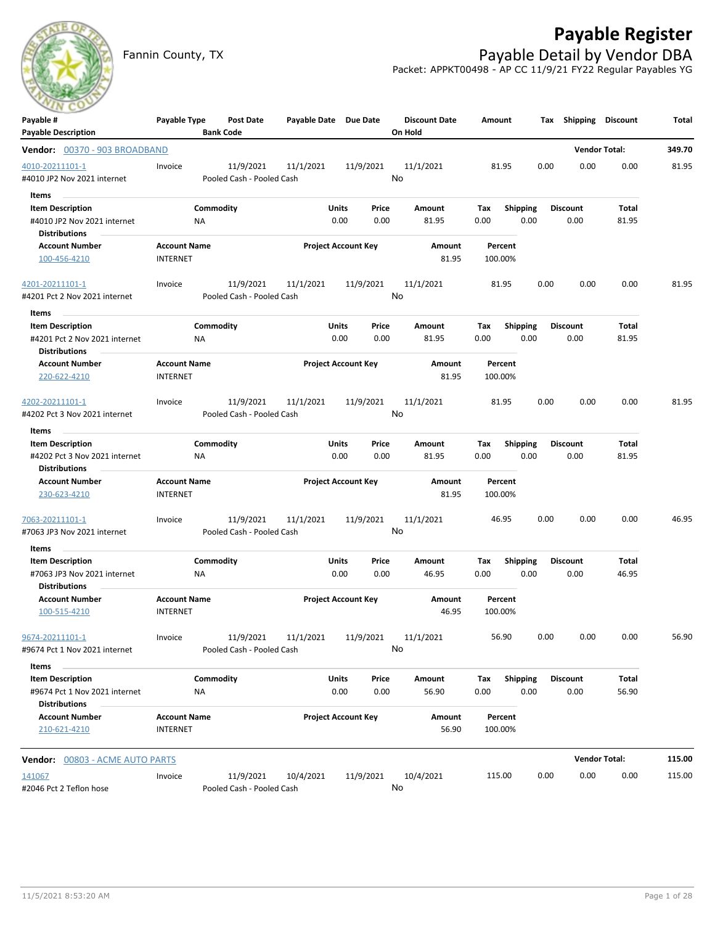

# **Payable Register**

Fannin County, TX **Payable Detail by Vendor DBA** Packet: APPKT00498 - AP CC 11/9/21 FY22 Regular Payables YG

| Payable #                                     | Payable Type        | Post Date                 |                     | Payable Date Due Date      |      | <b>Discount Date</b> | Amount  |                 | Tax  | Shipping        | <b>Discount</b>      | Total  |
|-----------------------------------------------|---------------------|---------------------------|---------------------|----------------------------|------|----------------------|---------|-----------------|------|-----------------|----------------------|--------|
| <b>Payable Description</b>                    |                     | <b>Bank Code</b>          |                     |                            |      | On Hold              |         |                 |      |                 |                      |        |
| Vendor: 00370 - 903 BROADBAND                 |                     |                           |                     |                            |      |                      |         |                 |      |                 | <b>Vendor Total:</b> | 349.70 |
| 4010-20211101-1                               | Invoice             | 11/9/2021                 | 11/1/2021           | 11/9/2021                  |      | 11/1/2021            | 81.95   |                 | 0.00 | 0.00            | 0.00                 | 81.95  |
| #4010 JP2 Nov 2021 internet                   |                     | Pooled Cash - Pooled Cash |                     |                            | No   |                      |         |                 |      |                 |                      |        |
| Items                                         |                     |                           |                     |                            |      |                      |         |                 |      |                 |                      |        |
| <b>Item Description</b>                       |                     | Commodity                 |                     | <b>Units</b><br>Price      |      | Amount               | Tax     | <b>Shipping</b> |      | <b>Discount</b> | Total                |        |
| #4010 JP2 Nov 2021 internet                   | ΝA                  |                           |                     | 0.00                       | 0.00 | 81.95                | 0.00    | 0.00            |      | 0.00            | 81.95                |        |
| <b>Distributions</b>                          |                     |                           |                     |                            |      |                      |         |                 |      |                 |                      |        |
| <b>Account Number</b>                         | <b>Account Name</b> |                           |                     | <b>Project Account Key</b> |      | Amount               |         | Percent         |      |                 |                      |        |
| 100-456-4210                                  | <b>INTERNET</b>     |                           |                     |                            |      | 81.95                | 100.00% |                 |      |                 |                      |        |
| 4201-20211101-1                               | Invoice             | 11/9/2021                 | 11/1/2021           | 11/9/2021                  |      | 11/1/2021            | 81.95   |                 | 0.00 | 0.00            | 0.00                 | 81.95  |
| #4201 Pct 2 Nov 2021 internet                 |                     | Pooled Cash - Pooled Cash |                     |                            | No   |                      |         |                 |      |                 |                      |        |
| Items                                         |                     |                           |                     |                            |      |                      |         |                 |      |                 |                      |        |
| <b>Item Description</b>                       |                     | Commodity                 |                     | <b>Units</b><br>Price      |      | Amount               | Tax     | <b>Shipping</b> |      | <b>Discount</b> | Total                |        |
| #4201 Pct 2 Nov 2021 internet                 | ΝA                  |                           |                     | 0.00                       | 0.00 | 81.95                | 0.00    | 0.00            |      | 0.00            | 81.95                |        |
| <b>Distributions</b>                          |                     |                           |                     |                            |      |                      |         |                 |      |                 |                      |        |
| <b>Account Number</b>                         | <b>Account Name</b> |                           |                     | <b>Project Account Key</b> |      | Amount               |         | Percent         |      |                 |                      |        |
| 220-622-4210                                  | <b>INTERNET</b>     |                           |                     |                            |      | 81.95                | 100.00% |                 |      |                 |                      |        |
| 4202-20211101-1                               | Invoice             | 11/9/2021                 | 11/1/2021           | 11/9/2021                  |      | 11/1/2021            | 81.95   |                 | 0.00 | 0.00            | 0.00                 | 81.95  |
| #4202 Pct 3 Nov 2021 internet                 |                     | Pooled Cash - Pooled Cash |                     |                            | No   |                      |         |                 |      |                 |                      |        |
| Items                                         |                     |                           |                     |                            |      |                      |         |                 |      |                 |                      |        |
| <b>Item Description</b>                       |                     | Commodity                 |                     | <b>Units</b><br>Price      |      | Amount               | Tax     | <b>Shipping</b> |      | Discount        | Total                |        |
| #4202 Pct 3 Nov 2021 internet                 | NA                  |                           |                     | 0.00                       | 0.00 | 81.95                | 0.00    | 0.00            |      | 0.00            | 81.95                |        |
| <b>Distributions</b>                          |                     |                           |                     |                            |      |                      |         |                 |      |                 |                      |        |
| <b>Account Number</b>                         | <b>Account Name</b> |                           |                     | <b>Project Account Key</b> |      | Amount               | Percent |                 |      |                 |                      |        |
| 230-623-4210                                  | <b>INTERNET</b>     |                           |                     |                            |      | 81.95                | 100.00% |                 |      |                 |                      |        |
| 7063-20211101-1                               | Invoice             | 11/9/2021                 | 11/1/2021           | 11/9/2021                  |      | 11/1/2021            | 46.95   |                 | 0.00 | 0.00            | 0.00                 | 46.95  |
| #7063 JP3 Nov 2021 internet                   |                     | Pooled Cash - Pooled Cash |                     |                            | No   |                      |         |                 |      |                 |                      |        |
| Items                                         |                     |                           |                     |                            |      |                      |         |                 |      |                 |                      |        |
| <b>Item Description</b>                       |                     | Commodity                 |                     | Units<br>Price             |      | Amount               | Tax     | <b>Shipping</b> |      | Discount        | Total                |        |
| #7063 JP3 Nov 2021 internet                   | ΝA                  |                           |                     | 0.00                       | 0.00 | 46.95                | 0.00    | 0.00            |      | 0.00            | 46.95                |        |
| <b>Distributions</b><br><b>Account Number</b> | <b>Account Name</b> |                           |                     |                            |      | Amount               |         | Percent         |      |                 |                      |        |
| 100-515-4210                                  | <b>INTERNET</b>     |                           |                     | <b>Project Account Key</b> |      | 46.95                | 100.00% |                 |      |                 |                      |        |
| 9674-20211101-1                               | Invoice             | 11/9/2021                 | 11/1/2021 11/9/2021 |                            |      | 11/1/2021            |         | 56.90           | 0.00 | 0.00            | 0.00                 | 56.90  |
| #9674 Pct 1 Nov 2021 internet                 |                     | Pooled Cash - Pooled Cash |                     |                            | No.  |                      |         |                 |      |                 |                      |        |
| Items                                         |                     |                           |                     |                            |      |                      |         |                 |      |                 |                      |        |
| <b>Item Description</b>                       |                     | Commodity                 |                     | <b>Units</b><br>Price      |      | Amount               | Tax     | <b>Shipping</b> |      | <b>Discount</b> | Total                |        |
| #9674 Pct 1 Nov 2021 internet                 | NA                  |                           |                     | 0.00                       | 0.00 | 56.90                | 0.00    | 0.00            |      | 0.00            | 56.90                |        |
| <b>Distributions</b>                          |                     |                           |                     |                            |      |                      |         |                 |      |                 |                      |        |
| <b>Account Number</b>                         | <b>Account Name</b> |                           |                     | <b>Project Account Key</b> |      | Amount               | Percent |                 |      |                 |                      |        |
| 210-621-4210                                  | <b>INTERNET</b>     |                           |                     |                            |      | 56.90                | 100.00% |                 |      |                 |                      |        |
| <b>Vendor: 00803 - ACME AUTO PARTS</b>        |                     |                           |                     |                            |      |                      |         |                 |      |                 | <b>Vendor Total:</b> | 115.00 |
| 141067                                        | Invoice             | 11/9/2021                 | 10/4/2021           | 11/9/2021                  |      | 10/4/2021            | 115.00  |                 | 0.00 | 0.00            | 0.00                 | 115.00 |
| #2046 Pct 2 Teflon hose                       |                     | Pooled Cash - Pooled Cash |                     |                            | No   |                      |         |                 |      |                 |                      |        |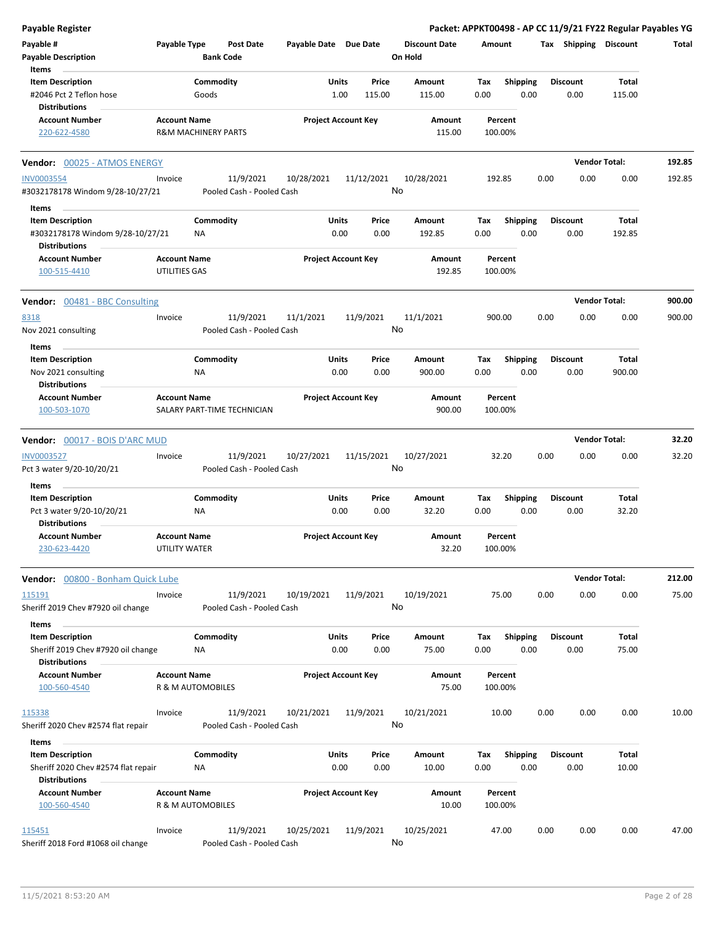| <b>Payable Register</b>                                                                         |                                             |                                        |                       |                                  |                                 |                    |                         |      |                         | Packet: APPKT00498 - AP CC 11/9/21 FY22 Regular Payables YG |        |
|-------------------------------------------------------------------------------------------------|---------------------------------------------|----------------------------------------|-----------------------|----------------------------------|---------------------------------|--------------------|-------------------------|------|-------------------------|-------------------------------------------------------------|--------|
| Payable #<br><b>Payable Description</b><br>Items                                                | Payable Type                                | <b>Post Date</b><br><b>Bank Code</b>   | Payable Date Due Date |                                  | <b>Discount Date</b><br>On Hold | Amount             |                         |      |                         | Tax Shipping Discount                                       | Total  |
| <b>Item Description</b><br>#2046 Pct 2 Teflon hose                                              |                                             | Commodity<br>Goods                     |                       | Units<br>Price<br>1.00<br>115.00 | Amount<br>115.00                | Tax<br>0.00        | <b>Shipping</b><br>0.00 |      | <b>Discount</b><br>0.00 | Total<br>115.00                                             |        |
| <b>Distributions</b>                                                                            |                                             |                                        |                       |                                  |                                 |                    |                         |      |                         |                                                             |        |
| <b>Account Number</b><br>220-622-4580                                                           | <b>Account Name</b>                         | <b>R&amp;M MACHINERY PARTS</b>         |                       | <b>Project Account Key</b>       | Amount<br>115.00                | Percent<br>100.00% |                         |      |                         |                                                             |        |
| Vendor: 00025 - ATMOS ENERGY                                                                    |                                             |                                        |                       |                                  |                                 |                    |                         |      |                         | <b>Vendor Total:</b>                                        | 192.85 |
| <b>INV0003554</b><br>#3032178178 Windom 9/28-10/27/21                                           | Invoice                                     | 11/9/2021<br>Pooled Cash - Pooled Cash | 10/28/2021            | 11/12/2021                       | 10/28/2021<br>No                | 192.85             |                         | 0.00 | 0.00                    | 0.00                                                        | 192.85 |
| Items<br><b>Item Description</b><br>#3032178178 Windom 9/28-10/27/21                            |                                             | Commodity<br><b>NA</b>                 |                       | Units<br>Price<br>0.00<br>0.00   | Amount<br>192.85                | Тах<br>0.00        | <b>Shipping</b><br>0.00 |      | <b>Discount</b><br>0.00 | Total<br>192.85                                             |        |
| <b>Distributions</b><br><b>Account Number</b><br>100-515-4410                                   | <b>Account Name</b><br>UTILITIES GAS        |                                        |                       | <b>Project Account Key</b>       | <b>Amount</b><br>192.85         | Percent<br>100.00% |                         |      |                         |                                                             |        |
| <b>Vendor:</b> 00481 - BBC Consulting                                                           |                                             |                                        |                       |                                  |                                 |                    |                         |      |                         | <b>Vendor Total:</b>                                        | 900.00 |
| 8318<br>Nov 2021 consulting                                                                     | Invoice                                     | 11/9/2021<br>Pooled Cash - Pooled Cash | 11/1/2021             | 11/9/2021                        | 11/1/2021<br>No                 | 900.00             |                         | 0.00 | 0.00                    | 0.00                                                        | 900.00 |
| Items<br><b>Item Description</b><br>Nov 2021 consulting                                         |                                             | Commodity<br>ΝA                        |                       | Units<br>Price<br>0.00<br>0.00   | Amount<br>900.00                | Tax<br>0.00        | Shipping<br>0.00        |      | <b>Discount</b><br>0.00 | <b>Total</b><br>900.00                                      |        |
| <b>Distributions</b><br><b>Account Number</b><br>100-503-1070                                   | <b>Account Name</b>                         | SALARY PART-TIME TECHNICIAN            |                       | <b>Project Account Key</b>       | Amount<br>900.00                | Percent<br>100.00% |                         |      |                         |                                                             |        |
| Vendor: 00017 - BOIS D'ARC MUD                                                                  |                                             |                                        |                       |                                  |                                 |                    |                         |      |                         | <b>Vendor Total:</b>                                        | 32.20  |
| <b>INV0003527</b><br>Pct 3 water 9/20-10/20/21                                                  | Invoice                                     | 11/9/2021<br>Pooled Cash - Pooled Cash | 10/27/2021            | 11/15/2021                       | 10/27/2021<br>No                | 32.20              |                         | 0.00 | 0.00                    | 0.00                                                        | 32.20  |
| Items<br><b>Item Description</b><br>Pct 3 water 9/20-10/20/21<br><b>Distributions</b>           |                                             | Commodity<br>ΝA                        |                       | Units<br>Price<br>0.00<br>0.00   | Amount<br>32.20                 | Tax<br>0.00        | <b>Shipping</b><br>0.00 |      | <b>Discount</b><br>0.00 | Total<br>32.20                                              |        |
| Account Number<br>230-623-4420                                                                  | <b>Account Name</b><br><b>UTILITY WATER</b> |                                        |                       | <b>Project Account Key</b>       | Amount<br>32.20                 | Percent<br>100.00% |                         |      |                         |                                                             |        |
| Vendor: 00800 - Bonham Quick Lube                                                               |                                             |                                        |                       |                                  |                                 |                    |                         |      |                         | <b>Vendor Total:</b>                                        | 212.00 |
| 115191<br>Sheriff 2019 Chev #7920 oil change                                                    | Invoice                                     | 11/9/2021<br>Pooled Cash - Pooled Cash | 10/19/2021            | 11/9/2021                        | 10/19/2021<br>No                | 75.00              |                         | 0.00 | 0.00                    | 0.00                                                        | 75.00  |
| Items<br><b>Item Description</b><br>Sheriff 2019 Chev #7920 oil change                          |                                             | Commodity<br>ΝA                        |                       | Units<br>Price<br>0.00<br>0.00   | Amount<br>75.00                 | Tax<br>0.00        | <b>Shipping</b><br>0.00 |      | <b>Discount</b><br>0.00 | Total<br>75.00                                              |        |
| <b>Distributions</b><br><b>Account Number</b><br>100-560-4540                                   | <b>Account Name</b>                         | R & M AUTOMOBILES                      |                       | <b>Project Account Key</b>       | Amount<br>75.00                 | Percent<br>100.00% |                         |      |                         |                                                             |        |
| 115338<br>Sheriff 2020 Chev #2574 flat repair                                                   | Invoice                                     | 11/9/2021<br>Pooled Cash - Pooled Cash | 10/21/2021            | 11/9/2021                        | 10/21/2021<br>No                | 10.00              |                         | 0.00 | 0.00                    | 0.00                                                        | 10.00  |
| Items<br><b>Item Description</b><br>Sheriff 2020 Chev #2574 flat repair<br><b>Distributions</b> |                                             | Commodity<br>NA                        |                       | Units<br>Price<br>0.00<br>0.00   | Amount<br>10.00                 | Tax<br>0.00        | <b>Shipping</b><br>0.00 |      | <b>Discount</b><br>0.00 | Total<br>10.00                                              |        |
| <b>Account Number</b><br>100-560-4540                                                           | <b>Account Name</b>                         | R & M AUTOMOBILES                      |                       | <b>Project Account Key</b>       | Amount<br>10.00                 | Percent<br>100.00% |                         |      |                         |                                                             |        |
| 115451<br>Sheriff 2018 Ford #1068 oil change                                                    | Invoice                                     | 11/9/2021<br>Pooled Cash - Pooled Cash | 10/25/2021            | 11/9/2021                        | 10/25/2021<br>No                | 47.00              |                         | 0.00 | 0.00                    | 0.00                                                        | 47.00  |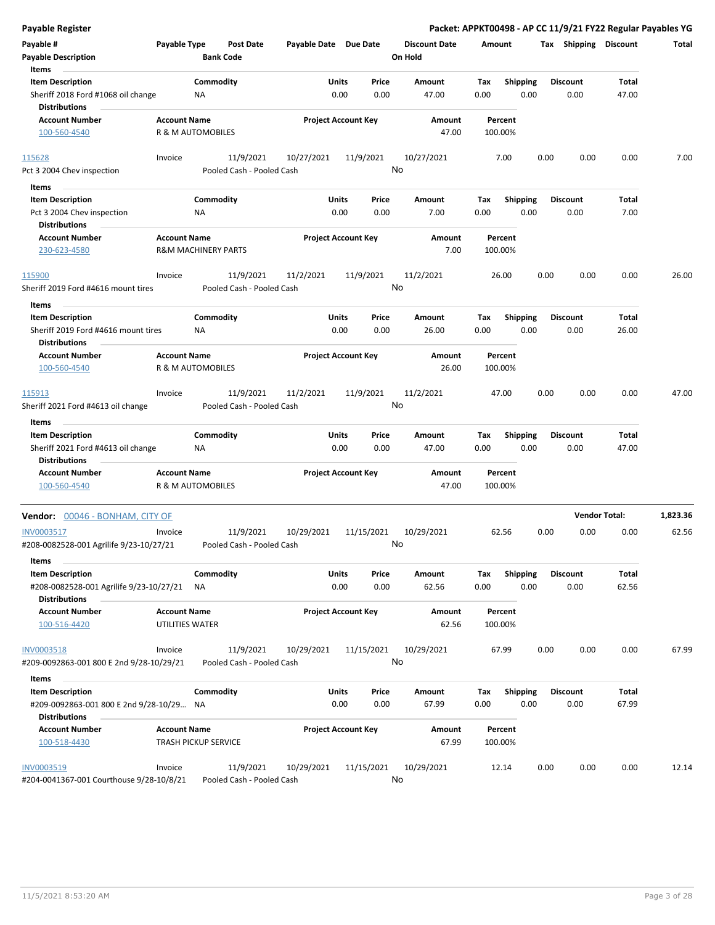| Payable Register                                                                            |                                        |                                |                  |                       |                            |                  |                                 |             |                         |      |                         | Packet: APPKT00498 - AP CC 11/9/21 FY22 Regular Payables YG |          |
|---------------------------------------------------------------------------------------------|----------------------------------------|--------------------------------|------------------|-----------------------|----------------------------|------------------|---------------------------------|-------------|-------------------------|------|-------------------------|-------------------------------------------------------------|----------|
| Payable #<br><b>Payable Description</b>                                                     | Payable Type                           | <b>Bank Code</b>               | <b>Post Date</b> | Payable Date Due Date |                            |                  | <b>Discount Date</b><br>On Hold | Amount      |                         |      | Tax Shipping Discount   |                                                             | Total    |
| Items<br><b>Item Description</b><br>Sheriff 2018 Ford #1068 oil change<br>Distributions     |                                        | Commodity<br>NA                |                  |                       | <b>Units</b><br>0.00       | Price<br>0.00    | Amount<br>47.00                 | Tax<br>0.00 | <b>Shipping</b><br>0.00 |      | <b>Discount</b><br>0.00 | Total<br>47.00                                              |          |
| <b>Account Number</b><br>100-560-4540                                                       | <b>Account Name</b>                    | R & M AUTOMOBILES              |                  |                       | <b>Project Account Key</b> |                  | Amount<br>47.00                 | 100.00%     | Percent                 |      |                         |                                                             |          |
| 115628<br>Pct 3 2004 Chev inspection                                                        | Invoice                                | Pooled Cash - Pooled Cash      | 11/9/2021        | 10/27/2021            |                            | 11/9/2021        | 10/27/2021<br>No                |             | 7.00                    | 0.00 | 0.00                    | 0.00                                                        | 7.00     |
| Items                                                                                       |                                        |                                |                  |                       |                            |                  |                                 |             |                         |      |                         |                                                             |          |
| <b>Item Description</b><br>Pct 3 2004 Chev inspection<br>Distributions                      |                                        | Commodity<br>ΝA                |                  |                       | Units<br>0.00              | Price<br>0.00    | Amount<br>7.00                  | Tax<br>0.00 | <b>Shipping</b><br>0.00 |      | <b>Discount</b><br>0.00 | Total<br>7.00                                               |          |
| <b>Account Number</b><br>230-623-4580                                                       | <b>Account Name</b>                    | <b>R&amp;M MACHINERY PARTS</b> |                  |                       | <b>Project Account Key</b> |                  | Amount<br>7.00                  | 100.00%     | Percent                 |      |                         |                                                             |          |
| 115900                                                                                      | Invoice                                |                                | 11/9/2021        | 11/2/2021             |                            | 11/9/2021        | 11/2/2021                       |             | 26.00                   | 0.00 | 0.00                    | 0.00                                                        | 26.00    |
| Sheriff 2019 Ford #4616 mount tires                                                         |                                        | Pooled Cash - Pooled Cash      |                  |                       |                            |                  | No                              |             |                         |      |                         |                                                             |          |
| Items<br><b>Item Description</b>                                                            |                                        | Commodity                      |                  |                       | Units                      | Price            | <b>Amount</b>                   | Tax         | <b>Shipping</b>         |      | <b>Discount</b>         | Total                                                       |          |
| Sheriff 2019 Ford #4616 mount tires<br>Distributions                                        |                                        | <b>NA</b>                      |                  |                       | 0.00                       | 0.00             | 26.00                           | 0.00        | 0.00                    |      | 0.00                    | 26.00                                                       |          |
| <b>Account Number</b><br>100-560-4540                                                       | <b>Account Name</b>                    | R & M AUTOMOBILES              |                  |                       | <b>Project Account Key</b> |                  | Amount<br>26.00                 | 100.00%     | Percent                 |      |                         |                                                             |          |
| 115913<br>Sheriff 2021 Ford #4613 oil change                                                | Invoice                                | Pooled Cash - Pooled Cash      | 11/9/2021        | 11/2/2021             |                            | 11/9/2021        | 11/2/2021<br>No                 |             | 47.00                   | 0.00 | 0.00                    | 0.00                                                        | 47.00    |
| Items                                                                                       |                                        |                                |                  |                       |                            |                  |                                 |             |                         |      |                         |                                                             |          |
| <b>Item Description</b><br>Sheriff 2021 Ford #4613 oil change<br><b>Distributions</b>       |                                        | Commodity<br><b>NA</b>         |                  |                       | Units<br>0.00              | Price<br>0.00    | Amount<br>47.00                 | Tax<br>0.00 | Shipping<br>0.00        |      | <b>Discount</b><br>0.00 | Total<br>47.00                                              |          |
| <b>Account Number</b><br>100-560-4540                                                       | <b>Account Name</b>                    | R & M AUTOMOBILES              |                  |                       | <b>Project Account Key</b> |                  | Amount<br>47.00                 | 100.00%     | Percent                 |      |                         |                                                             |          |
| Vendor: 00046 - BONHAM, CITY OF                                                             |                                        |                                |                  |                       |                            |                  |                                 |             |                         |      |                         | <b>Vendor Total:</b>                                        | 1,823.36 |
| INV0003517<br>#208-0082528-001 Agrilife 9/23-10/27/21                                       | Invoice                                | Pooled Cash - Pooled Cash      | 11/9/2021        | 10/29/2021            |                            | 11/15/2021<br>No | 10/29/2021                      |             | 62.56                   | 0.00 | 0.00                    | 0.00                                                        | 62.56    |
| Items<br><b>Item Description</b><br>#208-0082528-001 Agrilife 9/23-10/27/21                 |                                        | Commodity<br>ΝA                |                  |                       | Units<br>0.00              | Price<br>0.00    | Amount<br>62.56                 | Tax<br>0.00 | <b>Shipping</b><br>0.00 |      | <b>Discount</b><br>0.00 | Total<br>62.56                                              |          |
| <b>Distributions</b><br><b>Account Number</b><br>100-516-4420                               | <b>Account Name</b><br>UTILITIES WATER |                                |                  |                       | <b>Project Account Key</b> |                  | Amount<br>62.56                 | 100.00%     | Percent                 |      |                         |                                                             |          |
| <b>INV0003518</b><br>#209-0092863-001 800 E 2nd 9/28-10/29/21                               | Invoice                                | Pooled Cash - Pooled Cash      | 11/9/2021        | 10/29/2021            |                            | 11/15/2021       | 10/29/2021<br>No                |             | 67.99                   | 0.00 | 0.00                    | 0.00                                                        | 67.99    |
| Items                                                                                       |                                        |                                |                  |                       |                            |                  |                                 |             |                         |      |                         |                                                             |          |
| <b>Item Description</b><br>#209-0092863-001 800 E 2nd 9/28-10/29 NA<br><b>Distributions</b> |                                        | Commodity                      |                  |                       | Units<br>0.00              | Price<br>0.00    | Amount<br>67.99                 | Tax<br>0.00 | <b>Shipping</b><br>0.00 |      | <b>Discount</b><br>0.00 | Total<br>67.99                                              |          |
| <b>Account Number</b><br>100-518-4430                                                       | <b>Account Name</b>                    | <b>TRASH PICKUP SERVICE</b>    |                  |                       | <b>Project Account Key</b> |                  | Amount<br>67.99                 | 100.00%     | Percent                 |      |                         |                                                             |          |
| INV0003519<br>#204-0041367-001 Courthouse 9/28-10/8/21                                      | Invoice                                | Pooled Cash - Pooled Cash      | 11/9/2021        | 10/29/2021            |                            | 11/15/2021       | 10/29/2021<br>No                |             | 12.14                   | 0.00 | 0.00                    | 0.00                                                        | 12.14    |

#204-0041367-001 Courthouse 9/28-10/8/21 Pooled Cash - Pooled Cash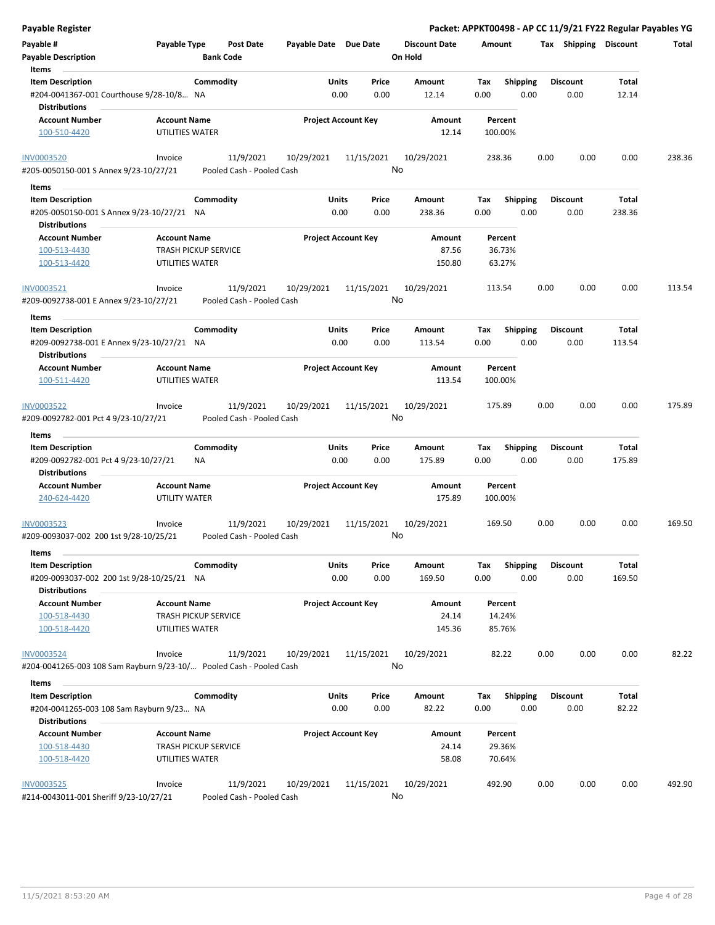| <b>Payable Register</b>                                                                      |                                                |                                        |                            |                            |                                 | Packet: APPKT00498 - AP CC 11/9/21 FY22 Regular Payables YG |                         |                        |        |
|----------------------------------------------------------------------------------------------|------------------------------------------------|----------------------------------------|----------------------------|----------------------------|---------------------------------|-------------------------------------------------------------|-------------------------|------------------------|--------|
| Payable #<br><b>Payable Description</b>                                                      | Payable Type                                   | <b>Post Date</b><br><b>Bank Code</b>   | Payable Date Due Date      |                            | <b>Discount Date</b><br>On Hold | Amount                                                      | Tax Shipping Discount   |                        | Total  |
| Items<br><b>Item Description</b>                                                             |                                                | Commodity                              | Units                      | Price                      | Amount                          | <b>Shipping</b><br>Tax                                      | <b>Discount</b>         | Total                  |        |
| #204-0041367-001 Courthouse 9/28-10/8 NA<br><b>Distributions</b>                             |                                                |                                        | 0.00                       | 0.00                       | 12.14                           | 0.00<br>0.00                                                | 0.00                    | 12.14                  |        |
| <b>Account Number</b>                                                                        | <b>Account Name</b>                            |                                        | <b>Project Account Key</b> |                            | Amount                          | Percent                                                     |                         |                        |        |
| 100-510-4420                                                                                 | UTILITIES WATER                                |                                        |                            |                            | 12.14                           | 100.00%                                                     |                         |                        |        |
| <b>INV0003520</b>                                                                            | Invoice                                        | 11/9/2021                              | 10/29/2021                 | 11/15/2021                 | 10/29/2021                      | 238.36                                                      | 0.00<br>0.00            | 0.00                   | 238.36 |
| #205-0050150-001 S Annex 9/23-10/27/21                                                       |                                                | Pooled Cash - Pooled Cash              |                            |                            | No                              |                                                             |                         |                        |        |
| Items                                                                                        |                                                |                                        |                            |                            |                                 |                                                             |                         |                        |        |
| <b>Item Description</b><br>#205-0050150-001 S Annex 9/23-10/27/21 NA<br><b>Distributions</b> |                                                | Commodity                              | Units<br>0.00              | Price<br>0.00              | Amount<br>238.36                | <b>Shipping</b><br>Tax<br>0.00<br>0.00                      | <b>Discount</b><br>0.00 | Total<br>238.36        |        |
| <b>Account Number</b>                                                                        | <b>Account Name</b>                            |                                        | <b>Project Account Key</b> |                            | Amount                          | Percent                                                     |                         |                        |        |
| 100-513-4430                                                                                 | <b>TRASH PICKUP SERVICE</b>                    |                                        |                            |                            | 87.56                           | 36.73%                                                      |                         |                        |        |
| 100-513-4420                                                                                 | UTILITIES WATER                                |                                        |                            |                            | 150.80                          | 63.27%                                                      |                         |                        |        |
| INV0003521                                                                                   | Invoice                                        | 11/9/2021                              | 10/29/2021                 | 11/15/2021                 | 10/29/2021                      | 113.54                                                      | 0.00<br>0.00            | 0.00                   | 113.54 |
| #209-0092738-001 E Annex 9/23-10/27/21                                                       |                                                | Pooled Cash - Pooled Cash              |                            |                            | No                              |                                                             |                         |                        |        |
| Items                                                                                        |                                                |                                        |                            |                            |                                 |                                                             |                         |                        |        |
| <b>Item Description</b><br>#209-0092738-001 E Annex 9/23-10/27/21 NA<br><b>Distributions</b> |                                                | Commodity                              | Units<br>0.00              | Price<br>0.00              | Amount<br>113.54                | Shipping<br>Tax<br>0.00<br>0.00                             | <b>Discount</b><br>0.00 | <b>Total</b><br>113.54 |        |
| <b>Account Number</b><br>100-511-4420                                                        | <b>Account Name</b><br>UTILITIES WATER         |                                        | <b>Project Account Key</b> |                            | Amount<br>113.54                | Percent<br>100.00%                                          |                         |                        |        |
| INV0003522                                                                                   | Invoice                                        | 11/9/2021                              | 10/29/2021                 | 11/15/2021                 | 10/29/2021                      | 175.89                                                      | 0.00<br>0.00            | 0.00                   | 175.89 |
| #209-0092782-001 Pct 4 9/23-10/27/21                                                         |                                                | Pooled Cash - Pooled Cash              |                            | No                         |                                 |                                                             |                         |                        |        |
| Items                                                                                        |                                                |                                        |                            |                            |                                 |                                                             |                         |                        |        |
| <b>Item Description</b><br>#209-0092782-001 Pct 4 9/23-10/27/21                              | ΝA                                             | Commodity                              | Units<br>0.00              | Price<br>0.00              | Amount<br>175.89                | Tax<br><b>Shipping</b><br>0.00<br>0.00                      | <b>Discount</b><br>0.00 | Total<br>175.89        |        |
| <b>Distributions</b><br><b>Account Number</b>                                                | <b>Account Name</b>                            |                                        |                            | <b>Project Account Key</b> | Amount                          | Percent                                                     |                         |                        |        |
| 240-624-4420                                                                                 | <b>UTILITY WATER</b>                           |                                        |                            |                            | 175.89                          | 100.00%                                                     |                         |                        |        |
| <b>INV0003523</b><br>#209-0093037-002 200 1st 9/28-10/25/21                                  | Invoice                                        | 11/9/2021<br>Pooled Cash - Pooled Cash | 10/29/2021                 | 11/15/2021                 | 10/29/2021<br>No                | 169.50                                                      | 0.00<br>0.00            | 0.00                   | 169.50 |
| Items                                                                                        |                                                |                                        |                            |                            |                                 |                                                             |                         |                        |        |
| <b>Item Description</b><br>#209-0093037-002 200 1st 9/28-10/25/21 NA<br><b>Distributions</b> |                                                | Commodity                              | Units<br>0.00              | Price<br>0.00              | Amount<br>169.50                | <b>Shipping</b><br>Tax<br>0.00<br>0.00                      | <b>Discount</b><br>0.00 | Total<br>169.50        |        |
| <b>Account Number</b>                                                                        | <b>Account Name</b>                            |                                        | <b>Project Account Key</b> |                            | Amount                          | Percent                                                     |                         |                        |        |
| 100-518-4430                                                                                 | <b>TRASH PICKUP SERVICE</b>                    |                                        |                            |                            | 24.14                           | 14.24%                                                      |                         |                        |        |
| 100-518-4420                                                                                 | UTILITIES WATER                                |                                        |                            |                            | 145.36                          | 85.76%                                                      |                         |                        |        |
| <b>INV0003524</b><br>#204-0041265-003 108 Sam Rayburn 9/23-10/ Pooled Cash - Pooled Cash     | Invoice                                        | 11/9/2021                              | 10/29/2021                 | 11/15/2021                 | 10/29/2021<br>No                | 82.22                                                       | 0.00<br>0.00            | 0.00                   | 82.22  |
| Items                                                                                        |                                                |                                        |                            |                            |                                 |                                                             |                         |                        |        |
| <b>Item Description</b><br>#204-0041265-003 108 Sam Rayburn 9/23 NA                          |                                                | Commodity                              | Units<br>0.00              | Price<br>0.00              | Amount<br>82.22                 | <b>Shipping</b><br>Tax<br>0.00<br>0.00                      | <b>Discount</b><br>0.00 | Total<br>82.22         |        |
| <b>Distributions</b>                                                                         |                                                |                                        |                            |                            |                                 |                                                             |                         |                        |        |
| <b>Account Number</b>                                                                        | <b>Account Name</b>                            |                                        | <b>Project Account Key</b> |                            | Amount                          | Percent                                                     |                         |                        |        |
| 100-518-4430<br>100-518-4420                                                                 | <b>TRASH PICKUP SERVICE</b><br>UTILITIES WATER |                                        |                            |                            | 24.14<br>58.08                  | 29.36%<br>70.64%                                            |                         |                        |        |
| <b>INV0003525</b><br>#214-0043011-001 Sheriff 9/23-10/27/21                                  | Invoice                                        | 11/9/2021<br>Pooled Cash - Pooled Cash | 10/29/2021                 | 11/15/2021                 | 10/29/2021<br>No                | 492.90                                                      | 0.00<br>0.00            | 0.00                   | 492.90 |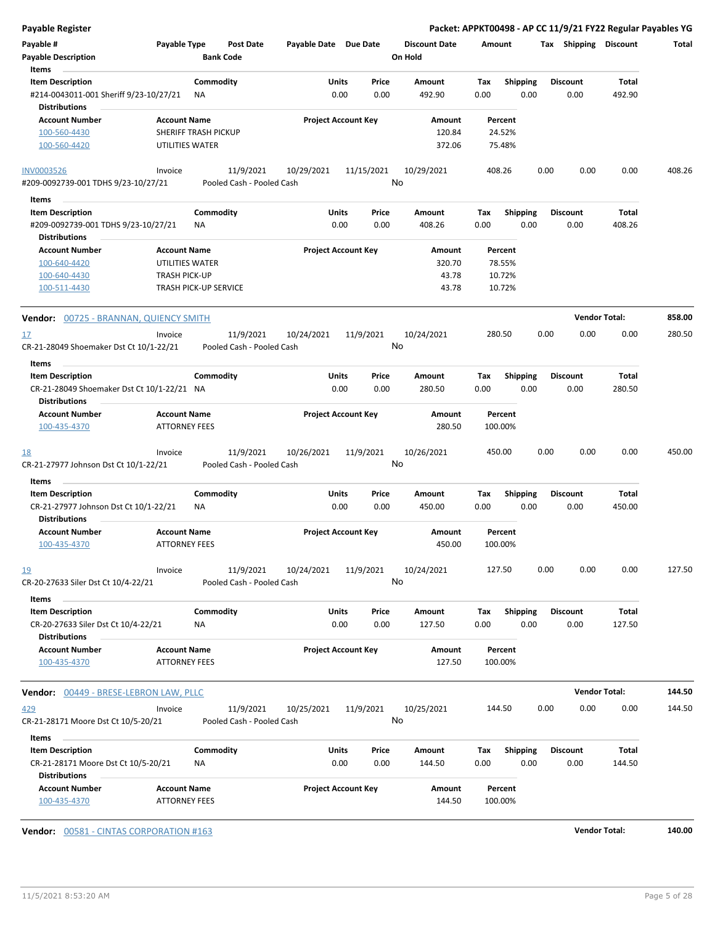| Payable Register                                                                          |                                             |                                        |                            |                 |                                 |                    |                         | Packet: APPKT00498 - AP CC 11/9/21 FY22 Regular Payables YG |                      |        |
|-------------------------------------------------------------------------------------------|---------------------------------------------|----------------------------------------|----------------------------|-----------------|---------------------------------|--------------------|-------------------------|-------------------------------------------------------------|----------------------|--------|
| Payable #<br><b>Payable Description</b>                                                   | Payable Type                                | <b>Post Date</b><br><b>Bank Code</b>   | Payable Date Due Date      |                 | <b>Discount Date</b><br>On Hold | Amount             |                         | Tax Shipping Discount                                       |                      | Total  |
| Items                                                                                     |                                             |                                        |                            |                 |                                 |                    |                         |                                                             |                      |        |
| <b>Item Description</b><br>#214-0043011-001 Sheriff 9/23-10/27/21<br><b>Distributions</b> | Commodity<br>ΝA                             |                                        | Units<br>0.00              | Price<br>0.00   | Amount<br>492.90                | Tax<br>0.00        | <b>Shipping</b><br>0.00 | <b>Discount</b><br>0.00                                     | Total<br>492.90      |        |
| <b>Account Number</b>                                                                     | <b>Account Name</b>                         |                                        | <b>Project Account Key</b> |                 | Amount                          | Percent            |                         |                                                             |                      |        |
| 100-560-4430<br>100-560-4420                                                              | SHERIFF TRASH PICKUP<br>UTILITIES WATER     |                                        |                            |                 | 120.84<br>372.06                | 24.52%<br>75.48%   |                         |                                                             |                      |        |
| <b>INV0003526</b>                                                                         | Invoice                                     | 11/9/2021                              | 10/29/2021                 | 11/15/2021      | 10/29/2021                      | 408.26             |                         | 0.00<br>0.00                                                | 0.00                 | 408.26 |
| #209-0092739-001 TDHS 9/23-10/27/21                                                       |                                             | Pooled Cash - Pooled Cash              |                            | No              |                                 |                    |                         |                                                             |                      |        |
| Items                                                                                     |                                             |                                        |                            |                 |                                 |                    |                         |                                                             |                      |        |
| <b>Item Description</b>                                                                   | Commodity                                   |                                        | Units                      | Price           | Amount                          | Tax                | <b>Shipping</b>         | <b>Discount</b>                                             | Total                |        |
| #209-0092739-001 TDHS 9/23-10/27/21<br><b>Distributions</b>                               | ΝA                                          |                                        | 0.00                       | 0.00            | 408.26                          | 0.00               | 0.00                    | 0.00                                                        | 408.26               |        |
| <b>Account Number</b>                                                                     | <b>Account Name</b>                         |                                        | <b>Project Account Key</b> |                 | Amount                          | Percent            |                         |                                                             |                      |        |
| 100-640-4420                                                                              | UTILITIES WATER                             |                                        |                            |                 | 320.70                          | 78.55%             |                         |                                                             |                      |        |
| 100-640-4430                                                                              | <b>TRASH PICK-UP</b>                        |                                        |                            |                 | 43.78                           | 10.72%             |                         |                                                             |                      |        |
| 100-511-4430                                                                              | <b>TRASH PICK-UP SERVICE</b>                |                                        |                            |                 | 43.78                           | 10.72%             |                         |                                                             |                      |        |
| Vendor: 00725 - BRANNAN, QUIENCY SMITH                                                    |                                             |                                        |                            |                 |                                 |                    |                         |                                                             | <b>Vendor Total:</b> | 858.00 |
| <u>17</u><br>CR-21-28049 Shoemaker Dst Ct 10/1-22/21                                      | Invoice                                     | 11/9/2021<br>Pooled Cash - Pooled Cash | 10/24/2021                 | 11/9/2021<br>No | 10/24/2021                      | 280.50             |                         | 0.00<br>0.00                                                | 0.00                 | 280.50 |
| Items                                                                                     |                                             |                                        |                            |                 |                                 |                    |                         |                                                             |                      |        |
| <b>Item Description</b>                                                                   | Commodity                                   |                                        | Units                      | Price           | Amount                          | Tax                | <b>Shipping</b>         | <b>Discount</b>                                             | Total                |        |
| CR-21-28049 Shoemaker Dst Ct 10/1-22/21 NA<br><b>Distributions</b>                        |                                             |                                        | 0.00                       | 0.00            | 280.50                          | 0.00               | 0.00                    | 0.00                                                        | 280.50               |        |
| <b>Account Number</b><br>100-435-4370                                                     | <b>Account Name</b><br><b>ATTORNEY FEES</b> |                                        | <b>Project Account Key</b> |                 | Amount<br>280.50                | Percent<br>100.00% |                         |                                                             |                      |        |
| <u>18</u><br>CR-21-27977 Johnson Dst Ct 10/1-22/21                                        | Invoice                                     | 11/9/2021<br>Pooled Cash - Pooled Cash | 10/26/2021                 | 11/9/2021<br>No | 10/26/2021                      | 450.00             |                         | 0.00<br>0.00                                                | 0.00                 | 450.00 |
| Items                                                                                     |                                             |                                        |                            |                 |                                 |                    |                         |                                                             |                      |        |
| <b>Item Description</b>                                                                   | Commodity                                   |                                        | Units                      | Price           | Amount                          | Tax                | <b>Shipping</b>         | Discount                                                    | Total                |        |
| CR-21-27977 Johnson Dst Ct 10/1-22/21<br><b>Distributions</b>                             | ΝA                                          |                                        | 0.00                       | 0.00            | 450.00                          | 0.00               | 0.00                    | 0.00                                                        | 450.00               |        |
| <b>Account Number</b><br>100-435-4370                                                     | <b>Account Name</b><br>ATTORNEY FEES        |                                        | <b>Project Account Key</b> |                 | Amount<br>450.00                | Percent<br>100.00% |                         |                                                             |                      |        |
| 19<br>CR-20-27633 Siler Dst Ct 10/4-22/21                                                 | Invoice                                     | 11/9/2021<br>Pooled Cash - Pooled Cash | 10/24/2021                 | 11/9/2021<br>No | 10/24/2021                      | 127.50             |                         | 0.00<br>0.00                                                | 0.00                 | 127.50 |
| Items<br><b>Item Description</b>                                                          | Commodity                                   |                                        | Units                      | Price           | Amount                          | Tax                | Shipping                | <b>Discount</b>                                             | Total                |        |
| CR-20-27633 Siler Dst Ct 10/4-22/21<br><b>Distributions</b>                               | NA                                          |                                        | 0.00                       | 0.00            | 127.50                          | 0.00               | 0.00                    | 0.00                                                        | 127.50               |        |
| <b>Account Number</b>                                                                     | <b>Account Name</b>                         |                                        | <b>Project Account Key</b> |                 | Amount                          | Percent            |                         |                                                             |                      |        |
| 100-435-4370                                                                              | <b>ATTORNEY FEES</b>                        |                                        |                            |                 | 127.50                          | 100.00%            |                         |                                                             |                      |        |
| Vendor: 00449 - BRESE-LEBRON LAW, PLLC                                                    |                                             |                                        |                            |                 |                                 |                    |                         |                                                             | <b>Vendor Total:</b> | 144.50 |
| <u>429</u>                                                                                | Invoice                                     | 11/9/2021                              | 10/25/2021                 | 11/9/2021       | 10/25/2021                      | 144.50             |                         | 0.00<br>0.00                                                | 0.00                 | 144.50 |
| CR-21-28171 Moore Dst Ct 10/5-20/21                                                       |                                             | Pooled Cash - Pooled Cash              |                            | No              |                                 |                    |                         |                                                             |                      |        |
| Items                                                                                     |                                             |                                        |                            |                 |                                 |                    |                         |                                                             |                      |        |
| <b>Item Description</b><br>CR-21-28171 Moore Dst Ct 10/5-20/21                            | Commodity<br>ΝA                             |                                        | Units<br>0.00              | Price<br>0.00   | Amount<br>144.50                | Tax<br>0.00        | <b>Shipping</b><br>0.00 | <b>Discount</b><br>0.00                                     | Total<br>144.50      |        |
| <b>Distributions</b><br><b>Account Number</b><br>100-435-4370                             | <b>Account Name</b><br><b>ATTORNEY FEES</b> |                                        | <b>Project Account Key</b> |                 | Amount<br>144.50                | Percent<br>100.00% |                         |                                                             |                      |        |

**Vendor:** 00581 - CINTAS CORPORATION #163 **Vendor Total: 140.00**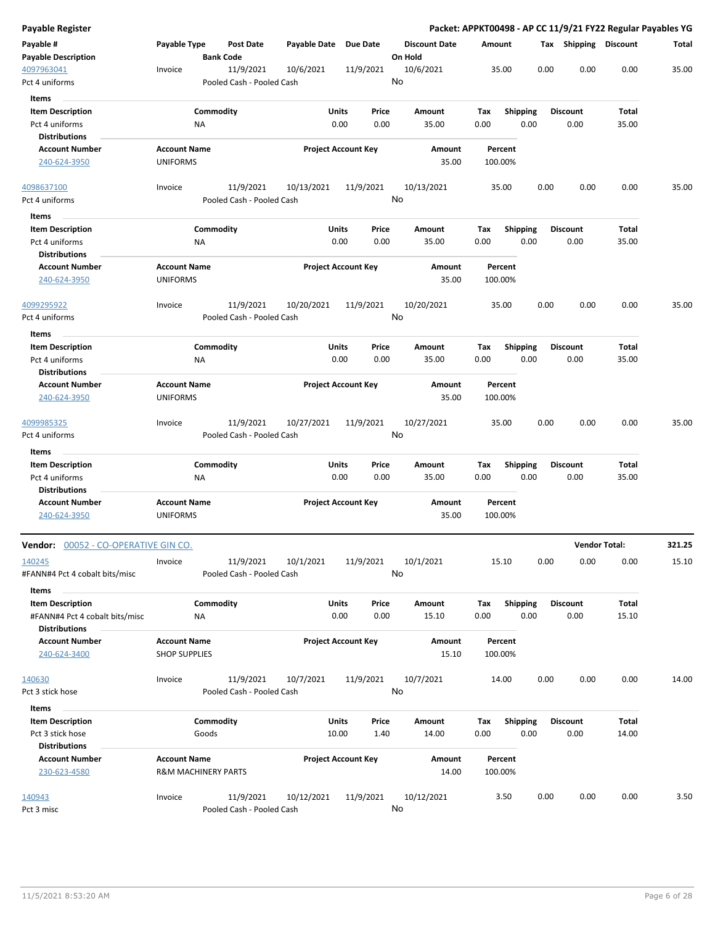| <b>Payable Register</b>                 |                                |                  |                                        |                       |                            |           |                                 |      |                 |      |      |                       | Packet: APPKT00498 - AP CC 11/9/21 FY22 Regular Payables YG |        |
|-----------------------------------------|--------------------------------|------------------|----------------------------------------|-----------------------|----------------------------|-----------|---------------------------------|------|-----------------|------|------|-----------------------|-------------------------------------------------------------|--------|
| Payable #<br><b>Payable Description</b> | Payable Type                   | <b>Bank Code</b> | <b>Post Date</b>                       | Payable Date Due Date |                            |           | <b>Discount Date</b><br>On Hold |      | Amount          |      |      | Tax Shipping Discount |                                                             | Total  |
| 4097963041<br>Pct 4 uniforms            | Invoice                        |                  | 11/9/2021<br>Pooled Cash - Pooled Cash | 10/6/2021             |                            | 11/9/2021 | 10/6/2021<br>No                 |      | 35.00           |      | 0.00 | 0.00                  | 0.00                                                        | 35.00  |
| Items                                   |                                |                  |                                        |                       |                            |           |                                 |      |                 |      |      |                       |                                                             |        |
| <b>Item Description</b>                 |                                | Commodity        |                                        |                       | Units                      | Price     | Amount                          | Tax  | <b>Shipping</b> |      |      | <b>Discount</b>       | Total                                                       |        |
| Pct 4 uniforms                          |                                | <b>NA</b>        |                                        |                       | 0.00                       | 0.00      | 35.00                           | 0.00 |                 | 0.00 |      | 0.00                  | 35.00                                                       |        |
| <b>Distributions</b>                    |                                |                  |                                        |                       |                            |           |                                 |      |                 |      |      |                       |                                                             |        |
| <b>Account Number</b>                   | <b>Account Name</b>            |                  |                                        |                       | <b>Project Account Key</b> |           | Amount                          |      | Percent         |      |      |                       |                                                             |        |
| 240-624-3950                            | <b>UNIFORMS</b>                |                  |                                        |                       |                            |           | 35.00                           |      | 100.00%         |      |      |                       |                                                             |        |
| 4098637100                              | Invoice                        |                  | 11/9/2021                              | 10/13/2021            |                            | 11/9/2021 | 10/13/2021                      |      | 35.00           |      | 0.00 | 0.00                  | 0.00                                                        | 35.00  |
| Pct 4 uniforms                          |                                |                  | Pooled Cash - Pooled Cash              |                       |                            |           | No                              |      |                 |      |      |                       |                                                             |        |
| Items                                   |                                |                  |                                        |                       |                            |           |                                 |      |                 |      |      |                       |                                                             |        |
| <b>Item Description</b>                 |                                | Commodity        |                                        |                       | Units                      | Price     | Amount                          | Tax  | <b>Shipping</b> |      |      | <b>Discount</b>       | Total                                                       |        |
| Pct 4 uniforms                          |                                | NA               |                                        |                       | 0.00                       | 0.00      | 35.00                           | 0.00 |                 | 0.00 |      | 0.00                  | 35.00                                                       |        |
| <b>Distributions</b>                    |                                |                  |                                        |                       |                            |           |                                 |      |                 |      |      |                       |                                                             |        |
| <b>Account Number</b>                   | <b>Account Name</b>            |                  |                                        |                       | <b>Project Account Key</b> |           | Amount                          |      | Percent         |      |      |                       |                                                             |        |
| 240-624-3950                            | <b>UNIFORMS</b>                |                  |                                        |                       |                            |           | 35.00                           |      | 100.00%         |      |      |                       |                                                             |        |
| 4099295922                              | Invoice                        |                  | 11/9/2021                              | 10/20/2021            |                            | 11/9/2021 | 10/20/2021                      |      | 35.00           |      | 0.00 | 0.00                  | 0.00                                                        | 35.00  |
| Pct 4 uniforms                          |                                |                  | Pooled Cash - Pooled Cash              |                       |                            |           | No                              |      |                 |      |      |                       |                                                             |        |
| Items                                   |                                |                  |                                        |                       |                            |           |                                 |      |                 |      |      |                       |                                                             |        |
| <b>Item Description</b>                 |                                | Commodity        |                                        |                       | Units                      | Price     | Amount                          | Tax  | <b>Shipping</b> |      |      | <b>Discount</b>       | Total                                                       |        |
| Pct 4 uniforms                          |                                | NA               |                                        |                       | 0.00                       | 0.00      | 35.00                           | 0.00 |                 | 0.00 |      | 0.00                  | 35.00                                                       |        |
| <b>Distributions</b>                    |                                |                  |                                        |                       |                            |           |                                 |      |                 |      |      |                       |                                                             |        |
| <b>Account Number</b>                   | <b>Account Name</b>            |                  |                                        |                       | <b>Project Account Key</b> |           | Amount                          |      | Percent         |      |      |                       |                                                             |        |
| 240-624-3950                            | <b>UNIFORMS</b>                |                  |                                        |                       |                            |           | 35.00                           |      | 100.00%         |      |      |                       |                                                             |        |
| 4099985325                              | Invoice                        |                  | 11/9/2021                              | 10/27/2021            |                            | 11/9/2021 | 10/27/2021                      |      | 35.00           |      | 0.00 | 0.00                  | 0.00                                                        | 35.00  |
| Pct 4 uniforms                          |                                |                  | Pooled Cash - Pooled Cash              |                       |                            |           | No                              |      |                 |      |      |                       |                                                             |        |
| Items                                   |                                |                  |                                        |                       |                            |           |                                 |      |                 |      |      |                       |                                                             |        |
| <b>Item Description</b>                 |                                | Commodity        |                                        |                       | <b>Units</b>               | Price     | Amount                          | Tax  | <b>Shipping</b> |      |      | <b>Discount</b>       | Total                                                       |        |
| Pct 4 uniforms                          |                                | NA               |                                        |                       | 0.00                       | 0.00      | 35.00                           | 0.00 |                 | 0.00 |      | 0.00                  | 35.00                                                       |        |
| <b>Distributions</b>                    |                                |                  |                                        |                       |                            |           |                                 |      |                 |      |      |                       |                                                             |        |
| <b>Account Number</b>                   | <b>Account Name</b>            |                  |                                        |                       | <b>Project Account Key</b> |           | Amount                          |      | Percent         |      |      |                       |                                                             |        |
| 240-624-3950                            | <b>UNIFORMS</b>                |                  |                                        |                       |                            |           | 35.00                           |      | 100.00%         |      |      |                       |                                                             |        |
| Vendor: 00052 - CO-OPERATIVE GIN CO.    |                                |                  |                                        |                       |                            |           |                                 |      |                 |      |      | <b>Vendor Total:</b>  |                                                             | 321.25 |
| 140245                                  | Invoice                        |                  | 11/9/2021                              | 10/1/2021             |                            | 11/9/2021 | 10/1/2021                       |      | 15.10           |      | 0.00 | 0.00                  | 0.00                                                        | 15.10  |
| #FANN#4 Pct 4 cobalt bits/misc          |                                |                  | Pooled Cash - Pooled Cash              |                       |                            |           | No                              |      |                 |      |      |                       |                                                             |        |
| Items                                   |                                |                  |                                        |                       |                            |           |                                 |      |                 |      |      |                       |                                                             |        |
| <b>Item Description</b>                 |                                | Commodity        |                                        |                       | Units                      | Price     | Amount                          | Tax  | <b>Shipping</b> |      |      | <b>Discount</b>       | Total                                                       |        |
| #FANN#4 Pct 4 cobalt bits/misc          |                                | NA               |                                        |                       | 0.00                       | 0.00      | 15.10                           | 0.00 |                 | 0.00 |      | 0.00                  | 15.10                                                       |        |
| <b>Distributions</b>                    |                                |                  |                                        |                       |                            |           |                                 |      |                 |      |      |                       |                                                             |        |
| <b>Account Number</b>                   | <b>Account Name</b>            |                  |                                        |                       | <b>Project Account Key</b> |           | Amount                          |      | Percent         |      |      |                       |                                                             |        |
| 240-624-3400                            | <b>SHOP SUPPLIES</b>           |                  |                                        |                       |                            |           | 15.10                           |      | 100.00%         |      |      |                       |                                                             |        |
| 140630                                  | Invoice                        |                  | 11/9/2021                              | 10/7/2021             |                            | 11/9/2021 | 10/7/2021                       |      | 14.00           |      | 0.00 | 0.00                  | 0.00                                                        | 14.00  |
| Pct 3 stick hose                        |                                |                  | Pooled Cash - Pooled Cash              |                       |                            |           | No                              |      |                 |      |      |                       |                                                             |        |
| Items                                   |                                |                  |                                        |                       |                            |           |                                 |      |                 |      |      |                       |                                                             |        |
| <b>Item Description</b>                 |                                | Commodity        |                                        |                       | <b>Units</b>               | Price     | Amount                          | Tax  | <b>Shipping</b> |      |      | <b>Discount</b>       | Total                                                       |        |
| Pct 3 stick hose                        |                                | Goods            |                                        |                       | 10.00                      | 1.40      | 14.00                           | 0.00 |                 | 0.00 |      | 0.00                  | 14.00                                                       |        |
| <b>Distributions</b>                    |                                |                  |                                        |                       |                            |           |                                 |      |                 |      |      |                       |                                                             |        |
| <b>Account Number</b>                   | <b>Account Name</b>            |                  |                                        |                       | <b>Project Account Key</b> |           | Amount                          |      | Percent         |      |      |                       |                                                             |        |
| 230-623-4580                            | <b>R&amp;M MACHINERY PARTS</b> |                  |                                        |                       |                            |           | 14.00                           |      | 100.00%         |      |      |                       |                                                             |        |
|                                         |                                |                  |                                        |                       |                            |           |                                 |      |                 |      |      |                       |                                                             |        |
| 140943                                  | Invoice                        |                  | 11/9/2021                              | 10/12/2021            |                            | 11/9/2021 | 10/12/2021                      |      | 3.50            |      | 0.00 | 0.00                  | 0.00                                                        | 3.50   |
| Pct 3 misc                              |                                |                  | Pooled Cash - Pooled Cash              |                       |                            |           | No                              |      |                 |      |      |                       |                                                             |        |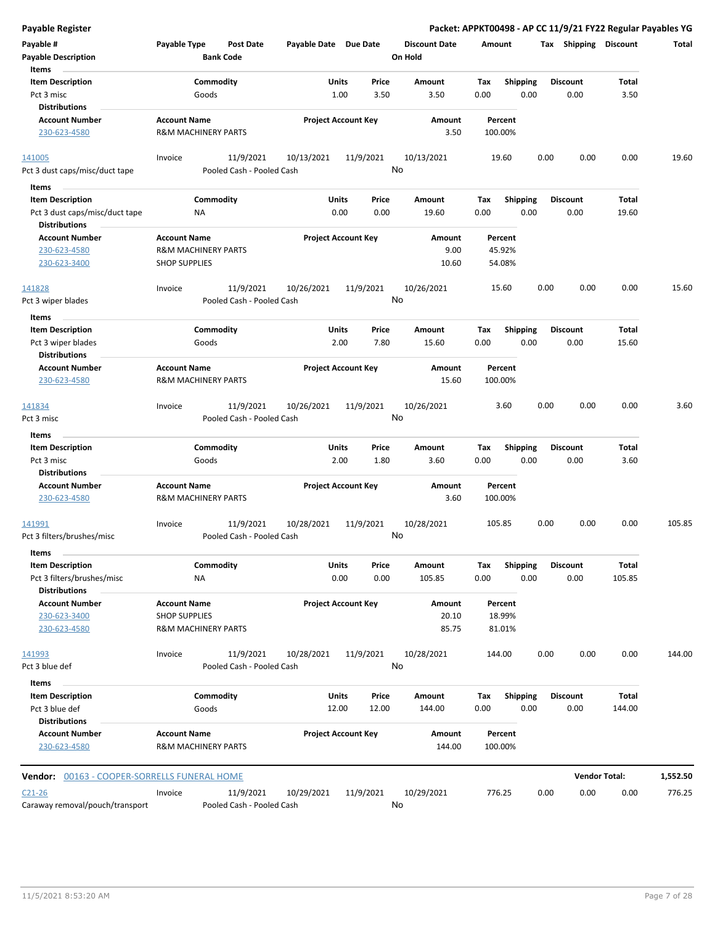| Payable Register                                |                                |                                        |                       |                            |                                 |         |                 |                 |      | Packet: APPKT00498 - AP CC 11/9/21 FY22 Regular Payables YG |          |
|-------------------------------------------------|--------------------------------|----------------------------------------|-----------------------|----------------------------|---------------------------------|---------|-----------------|-----------------|------|-------------------------------------------------------------|----------|
| Payable #<br><b>Payable Description</b>         | Payable Type                   | <b>Post Date</b><br><b>Bank Code</b>   | Payable Date Due Date |                            | <b>Discount Date</b><br>On Hold | Amount  |                 |                 |      | Tax Shipping Discount                                       | Total    |
| Items                                           |                                |                                        |                       |                            |                                 |         |                 |                 |      |                                                             |          |
| <b>Item Description</b>                         |                                | Commodity                              | Units                 | Price                      | Amount                          | Tax     | <b>Shipping</b> | <b>Discount</b> |      | Total                                                       |          |
| Pct 3 misc                                      | Goods                          |                                        |                       | 1.00<br>3.50               | 3.50                            | 0.00    | 0.00            |                 | 0.00 | 3.50                                                        |          |
| <b>Distributions</b>                            |                                |                                        |                       |                            |                                 |         |                 |                 |      |                                                             |          |
| <b>Account Number</b>                           | <b>Account Name</b>            |                                        |                       | <b>Project Account Key</b> | Amount                          | Percent |                 |                 |      |                                                             |          |
| 230-623-4580                                    | <b>R&amp;M MACHINERY PARTS</b> |                                        |                       |                            | 3.50                            | 100.00% |                 |                 |      |                                                             |          |
| 141005                                          | Invoice                        | 11/9/2021                              | 10/13/2021            | 11/9/2021                  | 10/13/2021                      | 19.60   |                 | 0.00            | 0.00 | 0.00                                                        | 19.60    |
| Pct 3 dust caps/misc/duct tape                  |                                | Pooled Cash - Pooled Cash              |                       |                            | No                              |         |                 |                 |      |                                                             |          |
| Items                                           |                                |                                        |                       |                            |                                 |         |                 |                 |      |                                                             |          |
| <b>Item Description</b>                         |                                | Commodity                              | Units                 | Price                      | Amount                          | Tax     | <b>Shipping</b> | <b>Discount</b> |      | Total                                                       |          |
| Pct 3 dust caps/misc/duct tape                  | <b>NA</b>                      |                                        |                       | 0.00<br>0.00               | 19.60                           | 0.00    | 0.00            |                 | 0.00 | 19.60                                                       |          |
| <b>Distributions</b>                            |                                |                                        |                       |                            |                                 |         |                 |                 |      |                                                             |          |
| <b>Account Number</b>                           | <b>Account Name</b>            |                                        |                       | <b>Project Account Key</b> | Amount                          | Percent |                 |                 |      |                                                             |          |
| 230-623-4580                                    | R&M MACHINERY PARTS            |                                        |                       |                            | 9.00                            | 45.92%  |                 |                 |      |                                                             |          |
| 230-623-3400                                    | <b>SHOP SUPPLIES</b>           |                                        |                       |                            | 10.60                           | 54.08%  |                 |                 |      |                                                             |          |
| 141828                                          | Invoice                        | 11/9/2021                              | 10/26/2021            | 11/9/2021                  | 10/26/2021                      | 15.60   |                 | 0.00            | 0.00 | 0.00                                                        | 15.60    |
| Pct 3 wiper blades                              |                                | Pooled Cash - Pooled Cash              |                       |                            | No                              |         |                 |                 |      |                                                             |          |
| Items                                           |                                |                                        |                       |                            |                                 |         |                 |                 |      |                                                             |          |
| <b>Item Description</b>                         |                                | Commodity                              | Units                 | Price                      | Amount                          | Tax     | <b>Shipping</b> | <b>Discount</b> |      | Total                                                       |          |
| Pct 3 wiper blades                              | Goods                          |                                        |                       | 2.00<br>7.80               | 15.60                           | 0.00    | 0.00            |                 | 0.00 | 15.60                                                       |          |
| <b>Distributions</b>                            |                                |                                        |                       |                            |                                 |         |                 |                 |      |                                                             |          |
| <b>Account Number</b>                           | <b>Account Name</b>            |                                        |                       | <b>Project Account Key</b> | Amount                          | Percent |                 |                 |      |                                                             |          |
| 230-623-4580                                    | <b>R&amp;M MACHINERY PARTS</b> |                                        |                       |                            | 15.60                           | 100.00% |                 |                 |      |                                                             |          |
| 141834                                          | Invoice                        | 11/9/2021                              | 10/26/2021            | 11/9/2021                  | 10/26/2021                      |         | 3.60            | 0.00            | 0.00 | 0.00                                                        | 3.60     |
| Pct 3 misc                                      |                                | Pooled Cash - Pooled Cash              |                       |                            | No                              |         |                 |                 |      |                                                             |          |
| Items                                           |                                |                                        |                       |                            |                                 |         |                 |                 |      |                                                             |          |
| <b>Item Description</b>                         |                                | Commodity                              | Units                 | Price                      | Amount                          | Tax     | <b>Shipping</b> | <b>Discount</b> |      | Total                                                       |          |
| Pct 3 misc                                      | Goods                          |                                        |                       | 2.00<br>1.80               | 3.60                            | 0.00    | 0.00            |                 | 0.00 | 3.60                                                        |          |
| <b>Distributions</b>                            |                                |                                        |                       |                            |                                 |         |                 |                 |      |                                                             |          |
| <b>Account Number</b>                           | <b>Account Name</b>            |                                        |                       | <b>Project Account Key</b> | Amount                          | Percent |                 |                 |      |                                                             |          |
| 230-623-4580                                    | R&M MACHINERY PARTS            |                                        |                       |                            | 3.60                            | 100.00% |                 |                 |      |                                                             |          |
| 141991                                          | Invoice                        | 11/9/2021                              | 10/28/2021            | 11/9/2021                  | 10/28/2021                      | 105.85  |                 | 0.00            | 0.00 | 0.00                                                        | 105.85   |
| Pct 3 filters/brushes/misc                      |                                | Pooled Cash - Pooled Cash              |                       |                            | No                              |         |                 |                 |      |                                                             |          |
| Items                                           |                                |                                        |                       |                            |                                 |         |                 |                 |      |                                                             |          |
| <b>Item Description</b>                         |                                | Commodity                              | Units                 | Price                      | Amount                          | Tax     | <b>Shipping</b> | <b>Discount</b> |      | Total                                                       |          |
| Pct 3 filters/brushes/misc                      | <b>NA</b>                      |                                        |                       | 0.00<br>0.00               | 105.85                          | 0.00    | 0.00            |                 | 0.00 | 105.85                                                      |          |
| <b>Distributions</b>                            |                                |                                        |                       |                            |                                 |         |                 |                 |      |                                                             |          |
| <b>Account Number</b>                           | <b>Account Name</b>            |                                        |                       | <b>Project Account Key</b> | Amount                          | Percent |                 |                 |      |                                                             |          |
| 230-623-3400                                    | <b>SHOP SUPPLIES</b>           |                                        |                       |                            | 20.10                           | 18.99%  |                 |                 |      |                                                             |          |
| 230-623-4580                                    | R&M MACHINERY PARTS            |                                        |                       |                            | 85.75                           | 81.01%  |                 |                 |      |                                                             |          |
| 141993                                          | Invoice                        | 11/9/2021                              | 10/28/2021            | 11/9/2021                  | 10/28/2021                      | 144.00  |                 | 0.00            | 0.00 | 0.00                                                        | 144.00   |
| Pct 3 blue def                                  |                                | Pooled Cash - Pooled Cash              |                       |                            | No                              |         |                 |                 |      |                                                             |          |
| Items                                           |                                |                                        |                       |                            |                                 |         |                 |                 |      |                                                             |          |
| <b>Item Description</b>                         |                                | Commodity                              | Units                 | Price                      | Amount                          | Tax     | <b>Shipping</b> | <b>Discount</b> |      | Total                                                       |          |
| Pct 3 blue def                                  | Goods                          |                                        | 12.00                 | 12.00                      | 144.00                          | 0.00    | 0.00            |                 | 0.00 | 144.00                                                      |          |
| <b>Distributions</b>                            |                                |                                        |                       |                            |                                 |         |                 |                 |      |                                                             |          |
| <b>Account Number</b>                           | <b>Account Name</b>            |                                        |                       | <b>Project Account Key</b> | Amount                          | Percent |                 |                 |      |                                                             |          |
| 230-623-4580                                    | R&M MACHINERY PARTS            |                                        |                       |                            | 144.00                          | 100.00% |                 |                 |      |                                                             |          |
| 00163 - COOPER-SORRELLS FUNERAL HOME<br>Vendor: |                                |                                        |                       |                            |                                 |         |                 |                 |      | <b>Vendor Total:</b>                                        | 1,552.50 |
|                                                 |                                |                                        |                       |                            |                                 |         |                 |                 |      |                                                             |          |
| $C21 - 26$<br>Caraway removal/pouch/transport   | Invoice                        | 11/9/2021<br>Pooled Cash - Pooled Cash | 10/29/2021            | 11/9/2021                  | 10/29/2021<br>No                | 776.25  |                 | 0.00            | 0.00 | 0.00                                                        | 776.25   |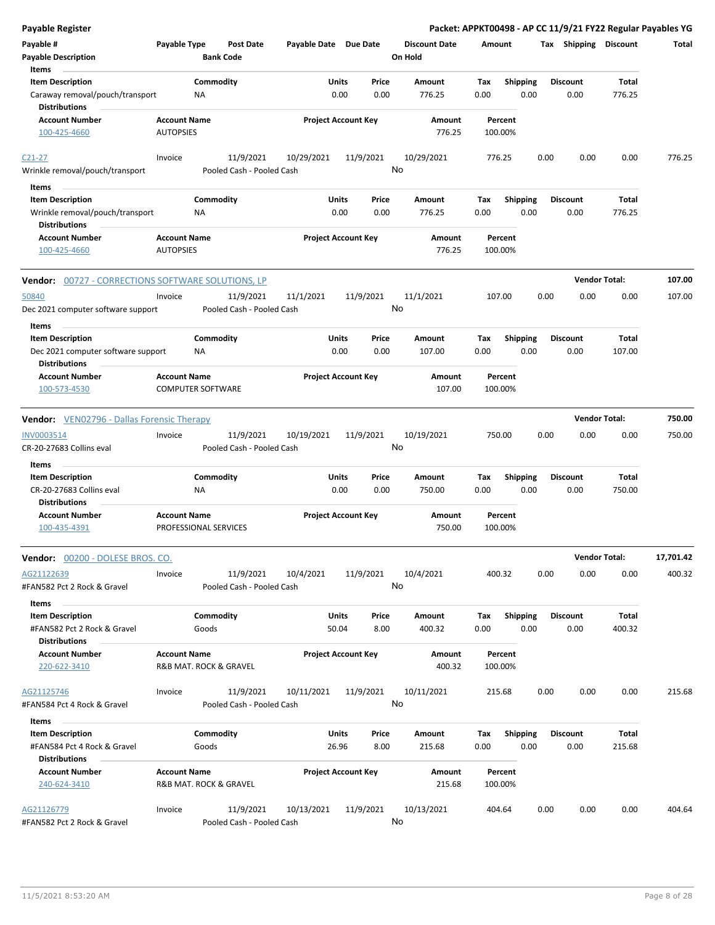| Payable Register                                           |                                         |                           |           |                            |                |               |                                 |             |                         |      |                         |                      | Packet: APPKT00498 - AP CC 11/9/21 FY22 Regular Payables YG |
|------------------------------------------------------------|-----------------------------------------|---------------------------|-----------|----------------------------|----------------|---------------|---------------------------------|-------------|-------------------------|------|-------------------------|----------------------|-------------------------------------------------------------|
| Payable #<br><b>Payable Description</b>                    | Payable Type                            | <b>Bank Code</b>          | Post Date | Payable Date Due Date      |                |               | <b>Discount Date</b><br>On Hold | Amount      |                         |      | Tax Shipping Discount   |                      | Total                                                       |
| Items                                                      |                                         |                           |           |                            |                |               |                                 |             |                         |      |                         |                      |                                                             |
| <b>Item Description</b>                                    |                                         | Commodity                 |           |                            | Units          | Price         | Amount                          | Tax         | <b>Shipping</b>         |      | <b>Discount</b>         | Total                |                                                             |
| Caraway removal/pouch/transport<br><b>Distributions</b>    |                                         | NA                        |           |                            | 0.00           | 0.00          | 776.25                          | 0.00        | 0.00                    |      | 0.00                    | 776.25               |                                                             |
| <b>Account Number</b><br>100-425-4660                      | <b>Account Name</b><br><b>AUTOPSIES</b> |                           |           | <b>Project Account Key</b> |                |               | Amount<br>776.25                |             | Percent<br>100.00%      |      |                         |                      |                                                             |
|                                                            |                                         |                           |           |                            |                |               |                                 |             |                         |      |                         |                      |                                                             |
| $C21-27$<br>Wrinkle removal/pouch/transport                | Invoice                                 | Pooled Cash - Pooled Cash | 11/9/2021 | 10/29/2021                 |                | 11/9/2021     | 10/29/2021<br>No                |             | 776.25                  | 0.00 | 0.00                    | 0.00                 | 776.25                                                      |
| Items                                                      |                                         |                           |           |                            |                |               |                                 |             |                         |      |                         |                      |                                                             |
| <b>Item Description</b>                                    |                                         | Commodity                 |           |                            | Units          | Price         | Amount                          | Tax         | <b>Shipping</b>         |      | <b>Discount</b>         | Total                |                                                             |
| Wrinkle removal/pouch/transport<br><b>Distributions</b>    |                                         | ΝA                        |           |                            | 0.00           | 0.00          | 776.25                          | 0.00        | 0.00                    |      | 0.00                    | 776.25               |                                                             |
| <b>Account Number</b>                                      | <b>Account Name</b>                     |                           |           | <b>Project Account Key</b> |                |               | Amount                          |             | Percent                 |      |                         |                      |                                                             |
| 100-425-4660                                               | <b>AUTOPSIES</b>                        |                           |           |                            |                |               | 776.25                          |             | 100.00%                 |      |                         |                      |                                                             |
| <b>Vendor:</b> 00727 - CORRECTIONS SOFTWARE SOLUTIONS, LP  |                                         |                           |           |                            |                |               |                                 |             |                         |      |                         | <b>Vendor Total:</b> | 107.00                                                      |
| 50840                                                      | Invoice                                 |                           | 11/9/2021 | 11/1/2021                  |                | 11/9/2021     | 11/1/2021                       |             | 107.00                  | 0.00 | 0.00                    | 0.00                 | 107.00                                                      |
| Dec 2021 computer software support                         |                                         | Pooled Cash - Pooled Cash |           |                            |                |               | No                              |             |                         |      |                         |                      |                                                             |
| Items                                                      |                                         |                           |           |                            |                |               |                                 |             |                         |      |                         |                      |                                                             |
| <b>Item Description</b>                                    |                                         | Commodity                 |           |                            | Units<br>0.00  | Price<br>0.00 | Amount<br>107.00                | Tax<br>0.00 | <b>Shipping</b><br>0.00 |      | <b>Discount</b><br>0.00 | Total                |                                                             |
| Dec 2021 computer software support<br><b>Distributions</b> |                                         | ΝA                        |           |                            |                |               |                                 |             |                         |      |                         | 107.00               |                                                             |
| <b>Account Number</b><br>100-573-4530                      | <b>Account Name</b>                     | <b>COMPUTER SOFTWARE</b>  |           | <b>Project Account Key</b> |                |               | Amount<br>107.00                |             | Percent<br>100.00%      |      |                         |                      |                                                             |
| <b>Vendor:</b> VEN02796 - Dallas Forensic Therapy          |                                         |                           |           |                            |                |               |                                 |             |                         |      |                         | <b>Vendor Total:</b> | 750.00                                                      |
| <b>INV0003514</b>                                          | Invoice                                 |                           | 11/9/2021 | 10/19/2021                 |                | 11/9/2021     | 10/19/2021                      |             | 750.00                  | 0.00 | 0.00                    | 0.00                 | 750.00                                                      |
| CR-20-27683 Collins eval                                   |                                         | Pooled Cash - Pooled Cash |           |                            |                |               | No                              |             |                         |      |                         |                      |                                                             |
| Items                                                      |                                         |                           |           |                            |                |               |                                 |             |                         |      |                         |                      |                                                             |
| <b>Item Description</b><br>CR-20-27683 Collins eval        |                                         | Commodity<br>ΝA           |           |                            | Units<br>0.00  | Price<br>0.00 | Amount<br>750.00                | Tax<br>0.00 | Shipping<br>0.00        |      | <b>Discount</b><br>0.00 | Total<br>750.00      |                                                             |
| <b>Distributions</b><br><b>Account Number</b>              | <b>Account Name</b>                     |                           |           | <b>Project Account Key</b> |                |               | Amount                          |             | Percent                 |      |                         |                      |                                                             |
| 100-435-4391                                               |                                         | PROFESSIONAL SERVICES     |           |                            |                |               | 750.00                          |             | 100.00%                 |      |                         |                      |                                                             |
| <b>Vendor:</b> 00200 - DOLESE BROS. CO.                    |                                         |                           |           |                            |                |               |                                 |             |                         |      |                         | <b>Vendor Total:</b> | 17,701.42                                                   |
| AG21122639<br>#FAN582 Pct 2 Rock & Gravel                  | Invoice                                 | Pooled Cash - Pooled Cash | 11/9/2021 | 10/4/2021                  |                | 11/9/2021     | 10/4/2021<br>No                 |             | 400.32                  | 0.00 | 0.00                    | 0.00                 | 400.32                                                      |
| Items                                                      |                                         |                           |           |                            |                |               |                                 |             |                         |      |                         |                      |                                                             |
| <b>Item Description</b><br>#FAN582 Pct 2 Rock & Gravel     |                                         | Commodity<br>Goods        |           |                            | Units<br>50.04 | Price<br>8.00 | Amount<br>400.32                | Tax<br>0.00 | <b>Shipping</b><br>0.00 |      | <b>Discount</b><br>0.00 | Total<br>400.32      |                                                             |
| <b>Distributions</b>                                       |                                         |                           |           |                            |                |               |                                 |             |                         |      |                         |                      |                                                             |
| <b>Account Number</b><br>220-622-3410                      | <b>Account Name</b>                     | R&B MAT. ROCK & GRAVEL    |           | <b>Project Account Key</b> |                |               | Amount<br>400.32                |             | Percent<br>100.00%      |      |                         |                      |                                                             |
| AG21125746                                                 | Invoice                                 |                           | 11/9/2021 | 10/11/2021                 |                | 11/9/2021     | 10/11/2021                      |             | 215.68                  | 0.00 | 0.00                    | 0.00                 | 215.68                                                      |
| #FAN584 Pct 4 Rock & Gravel                                |                                         | Pooled Cash - Pooled Cash |           |                            |                |               | No                              |             |                         |      |                         |                      |                                                             |
| Items                                                      |                                         |                           |           |                            |                |               |                                 |             |                         |      |                         |                      |                                                             |
| <b>Item Description</b><br>#FAN584 Pct 4 Rock & Gravel     |                                         | Commodity<br>Goods        |           |                            | Units<br>26.96 | Price<br>8.00 | Amount<br>215.68                | Tax<br>0.00 | <b>Shipping</b><br>0.00 |      | <b>Discount</b><br>0.00 | Total<br>215.68      |                                                             |
| Distributions                                              |                                         |                           |           |                            |                |               |                                 |             |                         |      |                         |                      |                                                             |
| <b>Account Number</b><br>240-624-3410                      | <b>Account Name</b>                     | R&B MAT. ROCK & GRAVEL    |           | <b>Project Account Key</b> |                |               | Amount<br>215.68                |             | Percent<br>100.00%      |      |                         |                      |                                                             |
| AG21126779                                                 | Invoice                                 |                           | 11/9/2021 | 10/13/2021                 |                | 11/9/2021     | 10/13/2021                      |             | 404.64                  | 0.00 | 0.00                    | 0.00                 | 404.64                                                      |
| #FAN582 Pct 2 Rock & Gravel                                |                                         | Pooled Cash - Pooled Cash |           |                            |                |               | No                              |             |                         |      |                         |                      |                                                             |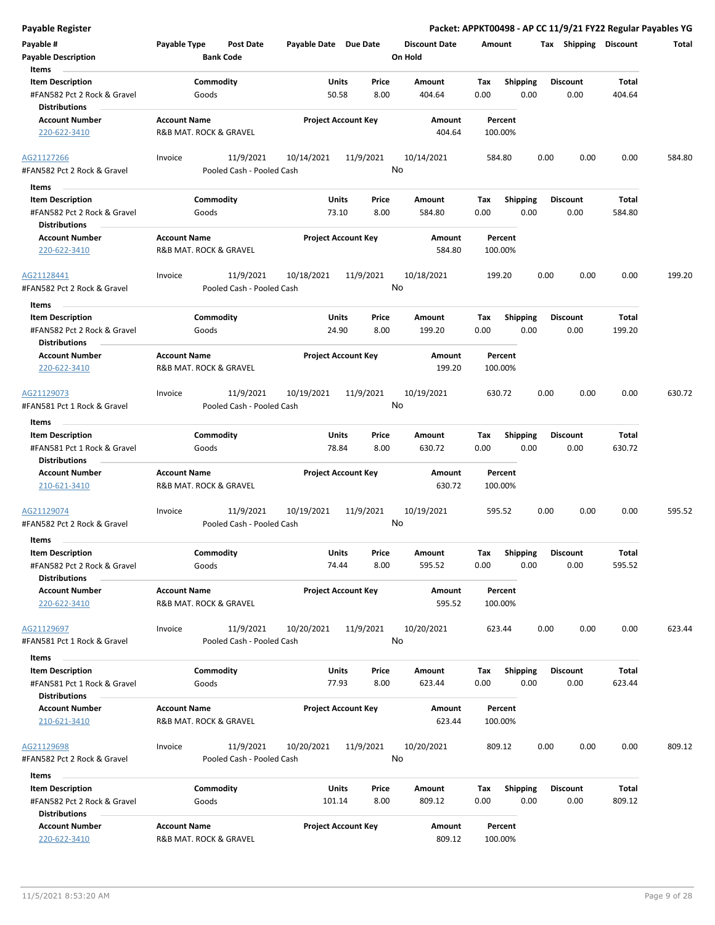| Payable Register                                                               |                                                   |                                  |                      | Packet: APPKT00498 - AP CC 11/9/21 FY22 Regular Payables YG |                         |                 |        |
|--------------------------------------------------------------------------------|---------------------------------------------------|----------------------------------|----------------------|-------------------------------------------------------------|-------------------------|-----------------|--------|
| Payable #                                                                      | Payable Type<br><b>Post Date</b>                  | Payable Date Due Date            | <b>Discount Date</b> | Amount                                                      | Tax Shipping Discount   |                 | Total  |
| <b>Payable Description</b>                                                     | <b>Bank Code</b>                                  |                                  | On Hold              |                                                             |                         |                 |        |
| Items                                                                          |                                                   |                                  |                      |                                                             |                         |                 |        |
| <b>Item Description</b>                                                        | Commodity                                         | Units<br>Price                   | Amount               | Shipping<br>Tax                                             | <b>Discount</b>         | <b>Total</b>    |        |
| #FAN582 Pct 2 Rock & Gravel<br><b>Distributions</b>                            | Goods                                             | 50.58<br>8.00                    | 404.64               | 0.00<br>0.00                                                | 0.00                    | 404.64          |        |
| <b>Account Number</b>                                                          | <b>Account Name</b>                               | <b>Project Account Key</b>       | Amount               | Percent                                                     |                         |                 |        |
| 220-622-3410                                                                   | R&B MAT. ROCK & GRAVEL                            |                                  | 404.64               | 100.00%                                                     |                         |                 |        |
| AG21127266                                                                     | 11/9/2021<br>Invoice                              | 11/9/2021<br>10/14/2021          | 10/14/2021           | 584.80                                                      | 0.00<br>0.00            | 0.00            | 584.80 |
| #FAN582 Pct 2 Rock & Gravel                                                    | Pooled Cash - Pooled Cash                         |                                  | No                   |                                                             |                         |                 |        |
|                                                                                |                                                   |                                  |                      |                                                             |                         |                 |        |
| Items<br>$\sim$                                                                |                                                   |                                  |                      |                                                             |                         |                 |        |
| <b>Item Description</b><br>#FAN582 Pct 2 Rock & Gravel                         | Commodity<br>Goods                                | Units<br>Price<br>73.10<br>8.00  | Amount<br>584.80     | Tax<br><b>Shipping</b><br>0.00<br>0.00                      | <b>Discount</b><br>0.00 | Total<br>584.80 |        |
| <b>Distributions</b>                                                           |                                                   |                                  |                      |                                                             |                         |                 |        |
| <b>Account Number</b>                                                          | <b>Account Name</b>                               | <b>Project Account Key</b>       | Amount               | Percent                                                     |                         |                 |        |
| 220-622-3410                                                                   | R&B MAT. ROCK & GRAVEL                            |                                  | 584.80               | 100.00%                                                     |                         |                 |        |
| AG21128441<br>#FAN582 Pct 2 Rock & Gravel                                      | 11/9/2021<br>Invoice<br>Pooled Cash - Pooled Cash | 10/18/2021<br>11/9/2021          | 10/18/2021<br>No     | 199.20                                                      | 0.00<br>0.00            | 0.00            | 199.20 |
| Items                                                                          |                                                   |                                  |                      |                                                             |                         |                 |        |
| <b>Item Description</b><br>#FAN582 Pct 2 Rock & Gravel<br><b>Distributions</b> | Commodity<br>Goods                                | Units<br>Price<br>24.90<br>8.00  | Amount<br>199.20     | Tax<br><b>Shipping</b><br>0.00<br>0.00                      | <b>Discount</b><br>0.00 | Total<br>199.20 |        |
| <b>Account Number</b>                                                          | <b>Account Name</b>                               | <b>Project Account Key</b>       | Amount               | Percent                                                     |                         |                 |        |
| 220-622-3410                                                                   | R&B MAT. ROCK & GRAVEL                            |                                  | 199.20               | 100.00%                                                     |                         |                 |        |
| AG21129073                                                                     | 11/9/2021<br>Invoice                              | 10/19/2021<br>11/9/2021          | 10/19/2021           | 630.72                                                      | 0.00<br>0.00            | 0.00            | 630.72 |
| #FAN581 Pct 1 Rock & Gravel                                                    | Pooled Cash - Pooled Cash                         |                                  | No                   |                                                             |                         |                 |        |
| Items                                                                          |                                                   |                                  |                      |                                                             |                         |                 |        |
| <b>Item Description</b>                                                        | Commodity                                         | Units<br>Price                   | Amount               | <b>Shipping</b><br>Tax                                      | <b>Discount</b>         | <b>Total</b>    |        |
| #FAN581 Pct 1 Rock & Gravel<br><b>Distributions</b>                            | Goods                                             | 78.84<br>8.00                    | 630.72               | 0.00<br>0.00                                                | 0.00                    | 630.72          |        |
| <b>Account Number</b>                                                          | <b>Account Name</b>                               | <b>Project Account Key</b>       | Amount               | Percent                                                     |                         |                 |        |
| 210-621-3410                                                                   | R&B MAT. ROCK & GRAVEL                            |                                  | 630.72               | 100.00%                                                     |                         |                 |        |
| AG21129074                                                                     | 11/9/2021<br>Invoice                              | 11/9/2021<br>10/19/2021          | 10/19/2021           | 595.52                                                      | 0.00<br>0.00            | 0.00            | 595.52 |
| #FAN582 Pct 2 Rock & Gravel                                                    | Pooled Cash - Pooled Cash                         |                                  | No                   |                                                             |                         |                 |        |
| Items                                                                          |                                                   |                                  |                      |                                                             |                         |                 |        |
| <b>Item Description</b>                                                        | Commodity                                         | Units<br>Price                   | Amount               | Shipping<br>Tax                                             | <b>Discount</b>         | Total           |        |
| #FAN582 Pct 2 Rock & Gravel<br><b>Distributions</b>                            | Goods                                             | 8.00<br>74.44                    | 595.52               | 0.00<br>0.00                                                | 0.00                    | 595.52          |        |
| <b>Account Number</b>                                                          | <b>Account Name</b>                               | <b>Project Account Key</b>       | <b>Amount</b>        | Percent                                                     |                         |                 |        |
| 220-622-3410                                                                   | R&B MAT. ROCK & GRAVEL                            |                                  | 595.52               | 100.00%                                                     |                         |                 |        |
| AG21129697                                                                     | 11/9/2021<br>Invoice                              | 10/20/2021<br>11/9/2021          | 10/20/2021           | 623.44                                                      | 0.00<br>0.00            | 0.00            | 623.44 |
| #FAN581 Pct 1 Rock & Gravel                                                    | Pooled Cash - Pooled Cash                         |                                  | No                   |                                                             |                         |                 |        |
| Items                                                                          |                                                   |                                  |                      |                                                             |                         |                 |        |
| <b>Item Description</b>                                                        | Commodity                                         | Units<br>Price                   | Amount               | <b>Shipping</b><br>Tax                                      | <b>Discount</b>         | <b>Total</b>    |        |
| #FAN581 Pct 1 Rock & Gravel                                                    | Goods                                             | 77.93<br>8.00                    | 623.44               | 0.00<br>0.00                                                | 0.00                    | 623.44          |        |
| <b>Distributions</b><br><b>Account Number</b>                                  | <b>Account Name</b>                               | <b>Project Account Key</b>       | Amount               | Percent                                                     |                         |                 |        |
| 210-621-3410                                                                   | R&B MAT. ROCK & GRAVEL                            |                                  | 623.44               | 100.00%                                                     |                         |                 |        |
| AG21129698                                                                     | 11/9/2021<br>Invoice                              | 11/9/2021<br>10/20/2021          | 10/20/2021<br>No     | 809.12                                                      | 0.00<br>0.00            | 0.00            | 809.12 |
| #FAN582 Pct 2 Rock & Gravel                                                    | Pooled Cash - Pooled Cash                         |                                  |                      |                                                             |                         |                 |        |
| Items                                                                          |                                                   |                                  |                      |                                                             |                         |                 |        |
| <b>Item Description</b><br>#FAN582 Pct 2 Rock & Gravel                         | Commodity<br>Goods                                | Units<br>Price<br>101.14<br>8.00 | Amount<br>809.12     | Tax<br><b>Shipping</b><br>0.00<br>0.00                      | <b>Discount</b><br>0.00 | Total<br>809.12 |        |
| <b>Distributions</b>                                                           |                                                   |                                  |                      |                                                             |                         |                 |        |
| <b>Account Number</b><br>220-622-3410                                          | <b>Account Name</b><br>R&B MAT. ROCK & GRAVEL     | <b>Project Account Key</b>       | Amount<br>809.12     | Percent<br>100.00%                                          |                         |                 |        |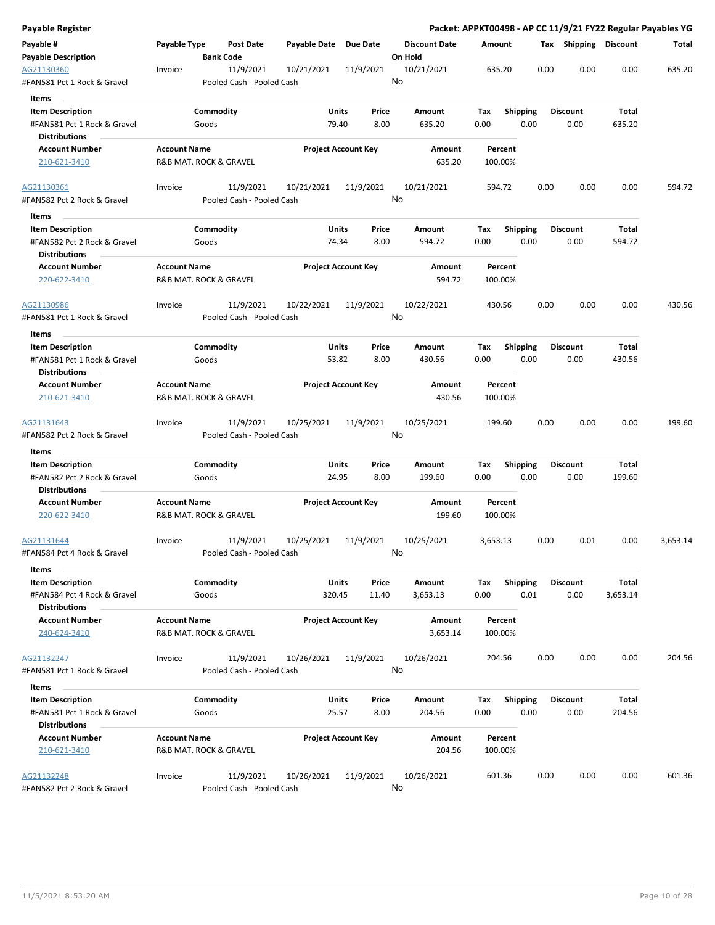| Payable Register                                    |                     |                                      |           |                       |                            |    |                                 |             |                    |                         |      |                       |              | Packet: APPKT00498 - AP CC 11/9/21 FY22 Regular Payables YG |
|-----------------------------------------------------|---------------------|--------------------------------------|-----------|-----------------------|----------------------------|----|---------------------------------|-------------|--------------------|-------------------------|------|-----------------------|--------------|-------------------------------------------------------------|
| Payable #<br><b>Payable Description</b>             | Payable Type        | <b>Post Date</b><br><b>Bank Code</b> |           | Payable Date Due Date |                            |    | <b>Discount Date</b><br>On Hold | Amount      |                    |                         |      | Tax Shipping Discount |              | Total                                                       |
| AG21130360                                          | Invoice             |                                      | 11/9/2021 | 10/21/2021            | 11/9/2021                  |    | 10/21/2021                      |             | 635.20             |                         | 0.00 | 0.00                  | 0.00         | 635.20                                                      |
| #FAN581 Pct 1 Rock & Gravel                         |                     | Pooled Cash - Pooled Cash            |           |                       |                            | No |                                 |             |                    |                         |      |                       |              |                                                             |
| Items                                               |                     |                                      |           |                       |                            |    |                                 |             |                    |                         |      |                       |              |                                                             |
| <b>Item Description</b>                             |                     | Commodity                            |           | Units                 | Price                      |    | Amount                          | Tax         |                    | <b>Shipping</b>         |      | <b>Discount</b>       | Total        |                                                             |
| #FAN581 Pct 1 Rock & Gravel                         |                     | Goods                                |           | 79.40                 | 8.00                       |    | 635.20                          | 0.00        |                    | 0.00                    |      | 0.00                  | 635.20       |                                                             |
| <b>Distributions</b>                                |                     |                                      |           |                       |                            |    |                                 |             |                    |                         |      |                       |              |                                                             |
| <b>Account Number</b>                               | <b>Account Name</b> |                                      |           |                       | <b>Project Account Key</b> |    | Amount                          |             | Percent            |                         |      |                       |              |                                                             |
| 210-621-3410                                        |                     | R&B MAT. ROCK & GRAVEL               |           |                       |                            |    | 635.20                          |             | 100.00%            |                         |      |                       |              |                                                             |
| AG21130361                                          | Invoice             |                                      | 11/9/2021 | 10/21/2021            | 11/9/2021                  |    | 10/21/2021                      |             | 594.72             |                         | 0.00 | 0.00                  | 0.00         | 594.72                                                      |
| #FAN582 Pct 2 Rock & Gravel                         |                     | Pooled Cash - Pooled Cash            |           |                       |                            | No |                                 |             |                    |                         |      |                       |              |                                                             |
| Items                                               |                     |                                      |           |                       |                            |    |                                 |             |                    |                         |      |                       |              |                                                             |
| <b>Item Description</b>                             |                     | Commodity                            |           | <b>Units</b>          | Price                      |    | Amount                          | Tax         |                    | <b>Shipping</b>         |      | <b>Discount</b>       | <b>Total</b> |                                                             |
| #FAN582 Pct 2 Rock & Gravel<br><b>Distributions</b> |                     | Goods                                |           | 74.34                 | 8.00                       |    | 594.72                          | 0.00        |                    | 0.00                    |      | 0.00                  | 594.72       |                                                             |
| <b>Account Number</b><br>220-622-3410               | <b>Account Name</b> | R&B MAT. ROCK & GRAVEL               |           |                       | <b>Project Account Key</b> |    | Amount<br>594.72                |             | Percent<br>100.00% |                         |      |                       |              |                                                             |
|                                                     |                     |                                      |           |                       |                            |    |                                 |             |                    |                         |      |                       |              |                                                             |
| AG21130986<br>#FAN581 Pct 1 Rock & Gravel           | Invoice             | Pooled Cash - Pooled Cash            | 11/9/2021 | 10/22/2021            | 11/9/2021                  | No | 10/22/2021                      |             | 430.56             |                         | 0.00 | 0.00                  | 0.00         | 430.56                                                      |
|                                                     |                     |                                      |           |                       |                            |    |                                 |             |                    |                         |      |                       |              |                                                             |
| Items<br><b>Item Description</b>                    |                     | Commodity                            |           | <b>Units</b>          | Price                      |    | Amount                          | Tax         |                    |                         |      | <b>Discount</b>       | Total        |                                                             |
| #FAN581 Pct 1 Rock & Gravel                         |                     | Goods                                |           | 53.82                 | 8.00                       |    | 430.56                          | 0.00        |                    | <b>Shipping</b><br>0.00 |      | 0.00                  | 430.56       |                                                             |
| <b>Distributions</b>                                |                     |                                      |           |                       |                            |    |                                 |             |                    |                         |      |                       |              |                                                             |
| <b>Account Number</b>                               | <b>Account Name</b> |                                      |           |                       | <b>Project Account Key</b> |    | Amount                          |             | Percent            |                         |      |                       |              |                                                             |
| 210-621-3410                                        |                     | R&B MAT. ROCK & GRAVEL               |           |                       |                            |    | 430.56                          |             | 100.00%            |                         |      |                       |              |                                                             |
| AG21131643                                          | Invoice             |                                      | 11/9/2021 | 10/25/2021            | 11/9/2021                  |    | 10/25/2021                      |             | 199.60             |                         | 0.00 | 0.00                  | 0.00         | 199.60                                                      |
| #FAN582 Pct 2 Rock & Gravel                         |                     | Pooled Cash - Pooled Cash            |           |                       |                            | No |                                 |             |                    |                         |      |                       |              |                                                             |
| Items                                               |                     |                                      |           |                       |                            |    |                                 |             |                    |                         |      |                       |              |                                                             |
| <b>Item Description</b>                             |                     | Commodity                            |           | <b>Units</b>          | Price                      |    | Amount                          | Тах         |                    | <b>Shipping</b>         |      | <b>Discount</b>       | Total        |                                                             |
| #FAN582 Pct 2 Rock & Gravel<br><b>Distributions</b> |                     | Goods                                |           | 24.95                 | 8.00                       |    | 199.60                          | 0.00        |                    | 0.00                    |      | 0.00                  | 199.60       |                                                             |
| <b>Account Number</b>                               | <b>Account Name</b> |                                      |           |                       | <b>Project Account Key</b> |    | Amount                          |             | Percent            |                         |      |                       |              |                                                             |
| 220-622-3410                                        |                     | R&B MAT. ROCK & GRAVEL               |           |                       |                            |    | 199.60                          |             | 100.00%            |                         |      |                       |              |                                                             |
| AG21131644                                          | Invoice             |                                      | 11/9/2021 | 10/25/2021            | 11/9/2021                  |    | 10/25/2021                      | 3,653.13    |                    |                         | 0.00 | 0.01                  | 0.00         | 3,653.14                                                    |
| #FAN584 Pct 4 Rock & Gravel                         |                     | Pooled Cash - Pooled Cash            |           |                       |                            | No |                                 |             |                    |                         |      |                       |              |                                                             |
| Items<br><b>Item Description</b>                    |                     | Commodity                            |           | <b>Units</b>          | Price                      |    |                                 |             |                    |                         |      | Discount              | <b>Total</b> |                                                             |
| #FAN584 Pct 4 Rock & Gravel                         |                     | Goods                                |           | 320.45                | 11.40                      |    | Amount<br>3,653.13              | Tax<br>0.00 |                    | <b>Shipping</b><br>0.01 |      | 0.00                  | 3,653.14     |                                                             |
| <b>Distributions</b>                                |                     |                                      |           |                       |                            |    |                                 |             |                    |                         |      |                       |              |                                                             |
| <b>Account Number</b>                               | <b>Account Name</b> |                                      |           |                       | <b>Project Account Key</b> |    | Amount                          |             | Percent            |                         |      |                       |              |                                                             |
| 240-624-3410                                        |                     | R&B MAT. ROCK & GRAVEL               |           |                       |                            |    | 3,653.14                        |             | 100.00%            |                         |      |                       |              |                                                             |
| AG21132247                                          | Invoice             |                                      | 11/9/2021 | 10/26/2021            | 11/9/2021                  |    | 10/26/2021                      |             | 204.56             |                         | 0.00 | 0.00                  | 0.00         | 204.56                                                      |
| #FAN581 Pct 1 Rock & Gravel                         |                     | Pooled Cash - Pooled Cash            |           |                       |                            | No |                                 |             |                    |                         |      |                       |              |                                                             |
| Items                                               |                     |                                      |           |                       |                            |    |                                 |             |                    |                         |      |                       |              |                                                             |
| <b>Item Description</b>                             |                     | Commodity                            |           | Units                 | Price                      |    | Amount                          | Тах         |                    | <b>Shipping</b>         |      | <b>Discount</b>       | Total        |                                                             |
| #FAN581 Pct 1 Rock & Gravel                         |                     | Goods                                |           | 25.57                 | 8.00                       |    | 204.56                          | 0.00        |                    | 0.00                    |      | 0.00                  | 204.56       |                                                             |
| <b>Distributions</b>                                |                     |                                      |           |                       |                            |    |                                 |             |                    |                         |      |                       |              |                                                             |
| <b>Account Number</b>                               | <b>Account Name</b> |                                      |           |                       | <b>Project Account Key</b> |    | Amount                          |             | Percent            |                         |      |                       |              |                                                             |
| 210-621-3410                                        |                     | R&B MAT. ROCK & GRAVEL               |           |                       |                            |    | 204.56                          |             | 100.00%            |                         |      |                       |              |                                                             |
| AG21132248                                          | Invoice             |                                      | 11/9/2021 | 10/26/2021            | 11/9/2021                  |    | 10/26/2021                      |             | 601.36             |                         | 0.00 | 0.00                  | 0.00         | 601.36                                                      |
| #FAN582 Pct 2 Rock & Gravel                         |                     | Pooled Cash - Pooled Cash            |           |                       |                            | No |                                 |             |                    |                         |      |                       |              |                                                             |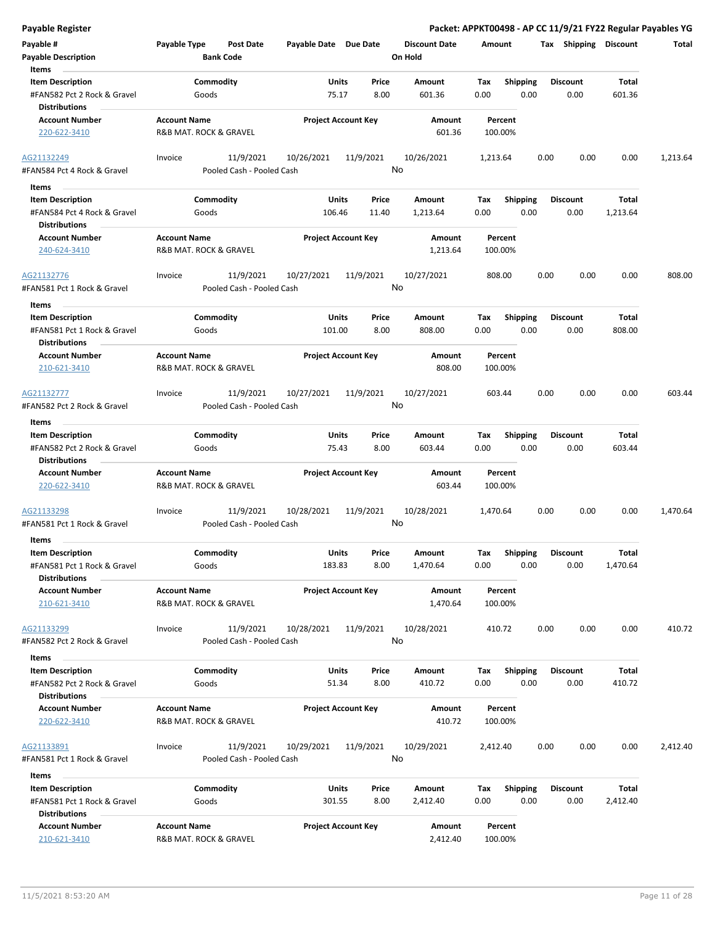| Payable Register                                                               |                                                              |                                               |                        |                                        |                                 |             |                         | Packet: APPKT00498 - AP CC 11/9/21 FY22 Regular Payables YG |                          |          |
|--------------------------------------------------------------------------------|--------------------------------------------------------------|-----------------------------------------------|------------------------|----------------------------------------|---------------------------------|-------------|-------------------------|-------------------------------------------------------------|--------------------------|----------|
| Payable #<br><b>Payable Description</b>                                        | Payable Type                                                 | <b>Post Date</b><br><b>Bank Code</b>          | Payable Date Due Date  |                                        | <b>Discount Date</b><br>On Hold | Amount      |                         | Tax Shipping Discount                                       |                          | Total    |
| Items                                                                          |                                                              |                                               |                        |                                        |                                 |             |                         |                                                             |                          |          |
| <b>Item Description</b>                                                        |                                                              | Commodity                                     | Units                  | Price                                  | Amount                          | Tax         | <b>Shipping</b>         | <b>Discount</b>                                             | Total                    |          |
| #FAN582 Pct 2 Rock & Gravel<br><b>Distributions</b>                            | Goods                                                        |                                               | 75.17                  | 8.00                                   | 601.36                          | 0.00        | 0.00                    | 0.00                                                        | 601.36                   |          |
| <b>Account Number</b><br>220-622-3410                                          | <b>Account Name</b><br>R&B MAT. ROCK & GRAVEL                |                                               |                        | <b>Project Account Key</b>             | Amount<br>601.36                |             | Percent<br>100.00%      |                                                             |                          |          |
| AG21132249<br>#FAN584 Pct 4 Rock & Gravel                                      | Invoice                                                      | 11/9/2021<br>Pooled Cash - Pooled Cash        | 10/26/2021             | 11/9/2021                              | 10/26/2021<br>No                | 1,213.64    |                         | 0.00<br>0.00                                                | 0.00                     | 1,213.64 |
| Items<br>$\sim$                                                                |                                                              |                                               |                        |                                        |                                 |             |                         |                                                             |                          |          |
| <b>Item Description</b>                                                        |                                                              | Commodity                                     | Units                  | Price                                  | Amount                          | Tax         | <b>Shipping</b>         | <b>Discount</b>                                             | Total                    |          |
| #FAN584 Pct 4 Rock & Gravel<br><b>Distributions</b>                            | Goods                                                        |                                               | 106.46                 | 11.40                                  | 1,213.64                        | 0.00        | 0.00                    | 0.00                                                        | 1,213.64                 |          |
| <b>Account Number</b><br>240-624-3410                                          | <b>Account Name</b><br><b>R&amp;B MAT. ROCK &amp; GRAVEL</b> |                                               |                        | <b>Project Account Key</b>             | Amount<br>1,213.64              |             | Percent<br>100.00%      |                                                             |                          |          |
| AG21132776<br>#FAN581 Pct 1 Rock & Gravel                                      | Invoice                                                      | 11/9/2021<br>Pooled Cash - Pooled Cash        | 10/27/2021             | 11/9/2021                              | 10/27/2021<br>No                | 808.00      |                         | 0.00<br>0.00                                                | 0.00                     | 808.00   |
| Items<br><b>Item Description</b><br>#FAN581 Pct 1 Rock & Gravel                |                                                              | Commodity<br>Goods                            |                        | Units<br>Price<br>8.00<br>101.00       | Amount<br>808.00                | Tax<br>0.00 | <b>Shipping</b><br>0.00 | <b>Discount</b><br>0.00                                     | Total<br>808.00          |          |
| <b>Distributions</b>                                                           |                                                              |                                               |                        |                                        |                                 |             |                         |                                                             |                          |          |
| <b>Account Number</b><br>210-621-3410                                          |                                                              | <b>Account Name</b><br>R&B MAT. ROCK & GRAVEL |                        | <b>Project Account Key</b>             | Amount<br>808.00                |             | Percent<br>100.00%      |                                                             |                          |          |
| AG21132777<br>#FAN582 Pct 2 Rock & Gravel                                      | Invoice                                                      | 11/9/2021<br>Pooled Cash - Pooled Cash        | 10/27/2021             | 11/9/2021                              | 10/27/2021<br>No                | 603.44      |                         | 0.00<br>0.00                                                | 0.00                     | 603.44   |
| Items                                                                          |                                                              |                                               |                        |                                        |                                 |             |                         |                                                             |                          |          |
| <b>Item Description</b><br>#FAN582 Pct 2 Rock & Gravel                         |                                                              | Commodity<br>Goods                            |                        | <b>Units</b><br>Price<br>75.43<br>8.00 | Amount<br>603.44                | Tax<br>0.00 | <b>Shipping</b><br>0.00 | <b>Discount</b><br>0.00                                     | Total<br>603.44          |          |
| <b>Distributions</b><br><b>Account Number</b>                                  | <b>Account Name</b>                                          |                                               |                        | <b>Project Account Key</b>             | Amount                          |             | Percent                 |                                                             |                          |          |
| 220-622-3410                                                                   | R&B MAT. ROCK & GRAVEL                                       |                                               |                        |                                        | 603.44                          |             | 100.00%                 |                                                             |                          |          |
| AG21133298<br>#FAN581 Pct 1 Rock & Gravel                                      | Invoice                                                      | 11/9/2021<br>Pooled Cash - Pooled Cash        | 10/28/2021             | 11/9/2021                              | 10/28/2021<br>No                | 1,470.64    |                         | 0.00<br>0.00                                                | 0.00                     | 1,470.64 |
| Items                                                                          |                                                              |                                               |                        |                                        |                                 |             |                         |                                                             |                          |          |
| <b>Item Description</b><br>#FAN581 Pct 1 Rock & Gravel<br><b>Distributions</b> | Goods                                                        | Commodity                                     | <b>Units</b><br>183.83 | Price<br>8.00                          | Amount<br>1,470.64              | Tax<br>0.00 | Shipping<br>0.00        | <b>Discount</b><br>0.00                                     | Total<br>1,470.64        |          |
| <b>Account Number</b><br>210-621-3410                                          | <b>Account Name</b><br>R&B MAT. ROCK & GRAVEL                |                                               |                        | <b>Project Account Key</b>             | Amount<br>1,470.64              |             | Percent<br>100.00%      |                                                             |                          |          |
| AG21133299<br>#FAN582 Pct 2 Rock & Gravel                                      | Invoice                                                      | 11/9/2021<br>Pooled Cash - Pooled Cash        | 10/28/2021             | 11/9/2021                              | 10/28/2021<br>No                | 410.72      |                         | 0.00<br>0.00                                                | 0.00                     | 410.72   |
| Items                                                                          |                                                              |                                               |                        |                                        |                                 |             |                         |                                                             |                          |          |
| <b>Item Description</b>                                                        |                                                              | Commodity                                     | <b>Units</b>           | Price                                  | Amount                          | Тах         | <b>Shipping</b>         | <b>Discount</b>                                             | Total                    |          |
| #FAN582 Pct 2 Rock & Gravel<br><b>Distributions</b><br><b>Account Number</b>   | Goods<br><b>Account Name</b>                                 |                                               | 51.34                  | 8.00<br><b>Project Account Key</b>     | 410.72<br>Amount                | 0.00        | 0.00<br>Percent         | 0.00                                                        | 410.72                   |          |
| 220-622-3410                                                                   | R&B MAT. ROCK & GRAVEL                                       |                                               |                        |                                        | 410.72                          |             | 100.00%                 |                                                             |                          |          |
| AG21133891<br>#FAN581 Pct 1 Rock & Gravel                                      | Invoice                                                      | 11/9/2021<br>Pooled Cash - Pooled Cash        | 10/29/2021             | 11/9/2021                              | 10/29/2021<br>No                | 2,412.40    |                         | 0.00<br>0.00                                                | 0.00                     | 2,412.40 |
| Items                                                                          |                                                              |                                               |                        |                                        |                                 |             |                         |                                                             |                          |          |
| <b>Item Description</b><br>#FAN581 Pct 1 Rock & Gravel<br><b>Distributions</b> | Goods                                                        | Commodity                                     | <b>Units</b><br>301.55 | Price<br>8.00                          | Amount<br>2,412.40              | Tax<br>0.00 | <b>Shipping</b><br>0.00 | <b>Discount</b><br>0.00                                     | <b>Total</b><br>2,412.40 |          |
| <b>Account Number</b><br>210-621-3410                                          | <b>Account Name</b><br>R&B MAT. ROCK & GRAVEL                |                                               |                        | <b>Project Account Key</b>             | Amount<br>2,412.40              |             | Percent<br>100.00%      |                                                             |                          |          |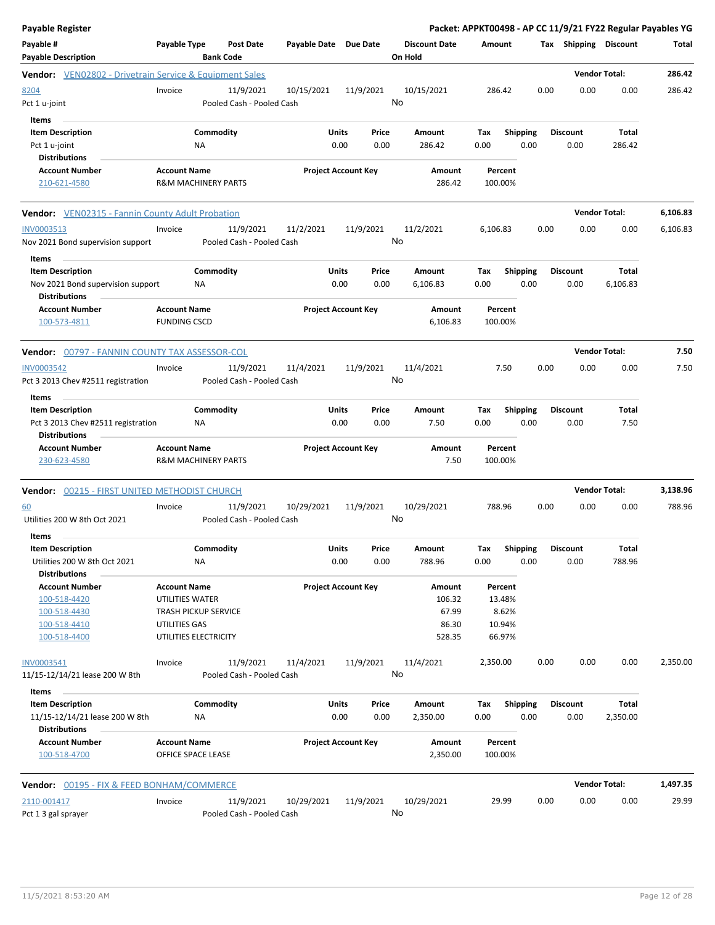| <b>Payable Register</b>                                        |                                |                 |                                        |                       |                            |               |                      |             |                         |      |                         | Packet: APPKT00498 - AP CC 11/9/21 FY22 Regular Payables YG |          |
|----------------------------------------------------------------|--------------------------------|-----------------|----------------------------------------|-----------------------|----------------------------|---------------|----------------------|-------------|-------------------------|------|-------------------------|-------------------------------------------------------------|----------|
| Payable #                                                      | <b>Payable Type</b>            |                 | <b>Post Date</b>                       | Payable Date Due Date |                            |               | <b>Discount Date</b> | Amount      |                         |      | Tax Shipping Discount   |                                                             | Total    |
| <b>Payable Description</b>                                     |                                |                 | <b>Bank Code</b>                       |                       |                            |               | On Hold              |             |                         |      |                         |                                                             |          |
| <b>Vendor:</b> VEN02802 - Drivetrain Service & Equipment Sales |                                |                 |                                        |                       |                            |               |                      |             |                         |      |                         | <b>Vendor Total:</b>                                        | 286.42   |
| 8204                                                           | Invoice                        |                 | 11/9/2021                              | 10/15/2021            |                            | 11/9/2021     | 10/15/2021           | 286.42      |                         | 0.00 | 0.00                    | 0.00                                                        | 286.42   |
| Pct 1 u-joint                                                  |                                |                 | Pooled Cash - Pooled Cash              |                       |                            |               | No                   |             |                         |      |                         |                                                             |          |
|                                                                |                                |                 |                                        |                       |                            |               |                      |             |                         |      |                         |                                                             |          |
| Items                                                          |                                |                 |                                        |                       |                            |               |                      |             |                         |      |                         |                                                             |          |
| <b>Item Description</b>                                        |                                | Commodity       |                                        |                       | Units<br>0.00              | Price<br>0.00 | Amount<br>286.42     | Tax<br>0.00 | <b>Shipping</b><br>0.00 |      | <b>Discount</b><br>0.00 | Total<br>286.42                                             |          |
| Pct 1 u-joint<br><b>Distributions</b>                          |                                | ΝA              |                                        |                       |                            |               |                      |             |                         |      |                         |                                                             |          |
| <b>Account Number</b>                                          | <b>Account Name</b>            |                 |                                        |                       | <b>Project Account Key</b> |               | Amount               | Percent     |                         |      |                         |                                                             |          |
| 210-621-4580                                                   | <b>R&amp;M MACHINERY PARTS</b> |                 |                                        |                       |                            |               | 286.42               | 100.00%     |                         |      |                         |                                                             |          |
|                                                                |                                |                 |                                        |                       |                            |               |                      |             |                         |      |                         |                                                             |          |
| <b>Vendor:</b> VEN02315 - Fannin County Adult Probation        |                                |                 |                                        |                       |                            |               |                      |             |                         |      |                         | <b>Vendor Total:</b>                                        | 6,106.83 |
| INV0003513                                                     | Invoice                        |                 | 11/9/2021                              | 11/2/2021             |                            | 11/9/2021     | 11/2/2021            | 6,106.83    |                         | 0.00 | 0.00                    | 0.00                                                        | 6,106.83 |
| Nov 2021 Bond supervision support                              |                                |                 | Pooled Cash - Pooled Cash              |                       |                            |               | No                   |             |                         |      |                         |                                                             |          |
| Items                                                          |                                |                 |                                        |                       |                            |               |                      |             |                         |      |                         |                                                             |          |
| <b>Item Description</b>                                        |                                | Commodity       |                                        |                       | Units                      | Price         | Amount               | Tax         | <b>Shipping</b>         |      | <b>Discount</b>         | Total                                                       |          |
| Nov 2021 Bond supervision support                              |                                | ΝA              |                                        |                       | 0.00                       | 0.00          | 6,106.83             | 0.00        | 0.00                    |      | 0.00                    | 6,106.83                                                    |          |
| <b>Distributions</b>                                           |                                |                 |                                        |                       |                            |               |                      |             |                         |      |                         |                                                             |          |
| <b>Account Number</b>                                          | <b>Account Name</b>            |                 |                                        |                       | <b>Project Account Key</b> |               | Amount               | Percent     |                         |      |                         |                                                             |          |
| 100-573-4811                                                   | <b>FUNDING CSCD</b>            |                 |                                        |                       |                            |               | 6,106.83             | 100.00%     |                         |      |                         |                                                             |          |
| Vendor: 00797 - FANNIN COUNTY TAX ASSESSOR-COL                 |                                |                 |                                        |                       |                            |               |                      |             |                         |      |                         | <b>Vendor Total:</b>                                        | 7.50     |
| <b>INV0003542</b>                                              | Invoice                        |                 | 11/9/2021                              | 11/4/2021             |                            | 11/9/2021     | 11/4/2021            |             | 7.50                    | 0.00 | 0.00                    | 0.00                                                        | 7.50     |
| Pct 3 2013 Chev #2511 registration                             |                                |                 | Pooled Cash - Pooled Cash              |                       |                            |               | No                   |             |                         |      |                         |                                                             |          |
|                                                                |                                |                 |                                        |                       |                            |               |                      |             |                         |      |                         |                                                             |          |
| Items                                                          |                                |                 |                                        |                       |                            |               |                      |             |                         |      |                         |                                                             |          |
| <b>Item Description</b>                                        |                                | Commodity       |                                        |                       | Units                      | Price         | Amount               | Tax         | <b>Shipping</b>         |      | <b>Discount</b>         | Total                                                       |          |
| Pct 3 2013 Chev #2511 registration<br><b>Distributions</b>     |                                | NA              |                                        |                       | 0.00                       | 0.00          | 7.50                 | 0.00        | 0.00                    |      | 0.00                    | 7.50                                                        |          |
| <b>Account Number</b>                                          | <b>Account Name</b>            |                 |                                        |                       | <b>Project Account Key</b> |               | Amount               | Percent     |                         |      |                         |                                                             |          |
| 230-623-4580                                                   | <b>R&amp;M MACHINERY PARTS</b> |                 |                                        |                       |                            |               | 7.50                 | 100.00%     |                         |      |                         |                                                             |          |
|                                                                |                                |                 |                                        |                       |                            |               |                      |             |                         |      |                         |                                                             |          |
| Vendor: 00215 - FIRST UNITED METHODIST CHURCH                  |                                |                 |                                        |                       |                            |               |                      |             |                         |      |                         | <b>Vendor Total:</b>                                        | 3,138.96 |
| <u>60</u>                                                      | Invoice                        |                 | 11/9/2021                              | 10/29/2021            |                            | 11/9/2021     | 10/29/2021           | 788.96      |                         | 0.00 | 0.00                    | 0.00                                                        | 788.96   |
| Utilities 200 W 8th Oct 2021                                   |                                |                 | Pooled Cash - Pooled Cash              |                       |                            |               | No                   |             |                         |      |                         |                                                             |          |
|                                                                |                                |                 |                                        |                       |                            |               |                      |             |                         |      |                         |                                                             |          |
| Items<br>Item Description                                      |                                | Commodity       |                                        |                       | Units                      | Price         | Amount               | Tax         | Shipping                |      | <b>Discount</b>         | <b>Total</b>                                                |          |
| Utilities 200 W 8th Oct 2021                                   |                                | ΝA              |                                        |                       | 0.00                       | 0.00          | 788.96               | 0.00        | 0.00                    |      | 0.00                    | 788.96                                                      |          |
| <b>Distributions</b>                                           |                                |                 |                                        |                       |                            |               |                      |             |                         |      |                         |                                                             |          |
| <b>Account Number</b>                                          | <b>Account Name</b>            |                 |                                        |                       | <b>Project Account Key</b> |               | Amount               | Percent     |                         |      |                         |                                                             |          |
| 100-518-4420                                                   | UTILITIES WATER                |                 |                                        |                       |                            |               | 106.32               | 13.48%      |                         |      |                         |                                                             |          |
| 100-518-4430                                                   | <b>TRASH PICKUP SERVICE</b>    |                 |                                        |                       |                            |               | 67.99                |             | 8.62%                   |      |                         |                                                             |          |
| 100-518-4410                                                   | UTILITIES GAS                  |                 |                                        |                       |                            |               | 86.30                | 10.94%      |                         |      |                         |                                                             |          |
| 100-518-4400                                                   | UTILITIES ELECTRICITY          |                 |                                        |                       |                            |               | 528.35               | 66.97%      |                         |      |                         |                                                             |          |
|                                                                | Invoice                        |                 |                                        |                       |                            |               | 11/4/2021            |             |                         | 0.00 | 0.00                    | 0.00                                                        |          |
| INV0003541<br>11/15-12/14/21 lease 200 W 8th                   |                                |                 | 11/9/2021<br>Pooled Cash - Pooled Cash | 11/4/2021             |                            | 11/9/2021     | No                   | 2,350.00    |                         |      |                         |                                                             | 2,350.00 |
|                                                                |                                |                 |                                        |                       |                            |               |                      |             |                         |      |                         |                                                             |          |
| Items                                                          |                                |                 |                                        |                       |                            |               |                      |             |                         |      |                         |                                                             |          |
| <b>Item Description</b>                                        |                                | Commodity<br>NA |                                        |                       | Units<br>0.00              | Price         | Amount               | Tax         | <b>Shipping</b>         |      | <b>Discount</b>         | Total                                                       |          |
| 11/15-12/14/21 lease 200 W 8th<br><b>Distributions</b>         |                                |                 |                                        |                       |                            | 0.00          | 2,350.00             | 0.00        | 0.00                    |      | 0.00                    | 2,350.00                                                    |          |
| <b>Account Number</b>                                          | <b>Account Name</b>            |                 |                                        |                       | <b>Project Account Key</b> |               | Amount               | Percent     |                         |      |                         |                                                             |          |
| 100-518-4700                                                   | OFFICE SPACE LEASE             |                 |                                        |                       |                            |               | 2,350.00             | 100.00%     |                         |      |                         |                                                             |          |
| <b>Vendor: 00195 - FIX &amp; FEED BONHAM/COMMERCE</b>          |                                |                 |                                        |                       |                            |               |                      |             |                         |      |                         | <b>Vendor Total:</b>                                        | 1,497.35 |
|                                                                |                                |                 |                                        |                       |                            |               |                      |             |                         |      |                         |                                                             |          |
| 2110-001417<br>Pct 1 3 gal sprayer                             | Invoice                        |                 | 11/9/2021<br>Pooled Cash - Pooled Cash | 10/29/2021            |                            | 11/9/2021     | 10/29/2021<br>No     | 29.99       |                         | 0.00 | 0.00                    | 0.00                                                        | 29.99    |
|                                                                |                                |                 |                                        |                       |                            |               |                      |             |                         |      |                         |                                                             |          |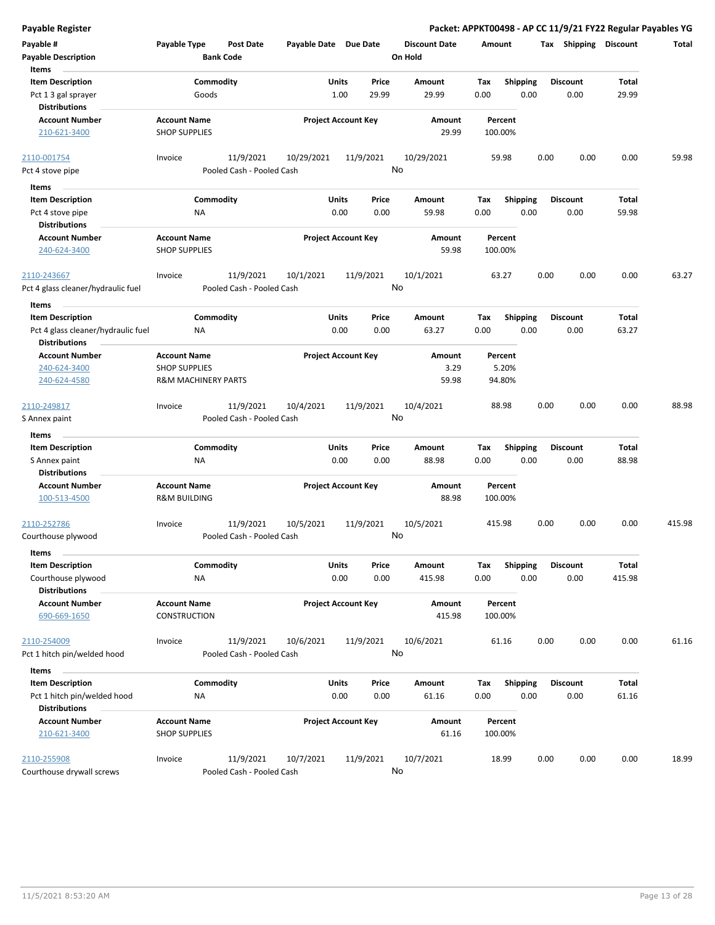| Payable #<br>Payable Type<br><b>Post Date</b><br>Payable Date Due Date<br><b>Discount Date</b><br>Tax Shipping Discount<br>Amount<br>Total<br><b>Bank Code</b><br><b>Payable Description</b><br>On Hold<br><b>Items</b><br><b>Item Description</b><br>Commodity<br>Units<br>Price<br>Shipping<br>Total<br>Amount<br>Tax<br><b>Discount</b><br>1.00<br>29.99<br>29.99<br>0.00<br>0.00<br>0.00<br>29.99<br>Pct 1 3 gal sprayer<br>Goods<br><b>Distributions</b><br><b>Account Name</b><br><b>Project Account Key</b><br><b>Account Number</b><br>Amount<br>Percent<br>210-621-3400<br><b>SHOP SUPPLIES</b><br>29.99<br>100.00%<br>11/9/2021<br>11/9/2021<br>10/29/2021<br>10/29/2021<br>0.00<br>0.00<br>59.98<br>2110-001754<br>Invoice<br>59.98<br>0.00<br>No<br>Pooled Cash - Pooled Cash<br>Pct 4 stove pipe<br>Items<br>Commodity<br><b>Item Description</b><br>Units<br>Price<br>Amount<br>Tax<br><b>Shipping</b><br>Discount<br>Total<br>0.00<br>0.00<br>Pct 4 stove pipe<br>NA<br>0.00<br>59.98<br>0.00<br>0.00<br>59.98<br><b>Distributions</b><br><b>Account Name</b><br><b>Project Account Key</b><br><b>Account Number</b><br>Amount<br>Percent<br>59.98<br><b>SHOP SUPPLIES</b><br>100.00%<br>240-624-3400<br>11/9/2021<br>63.27<br>2110-243667<br>11/9/2021<br>10/1/2021<br>10/1/2021<br>63.27<br>0.00<br>0.00<br>0.00<br>Invoice<br>No<br>Pct 4 glass cleaner/hydraulic fuel<br>Pooled Cash - Pooled Cash<br>Items<br><b>Item Description</b><br>Commodity<br>Units<br>Price<br><b>Shipping</b><br>Amount<br>Tax<br><b>Discount</b><br>Total<br>0.00<br>Pct 4 glass cleaner/hydraulic fuel<br>0.00<br>0.00<br>63.27<br>0.00<br>0.00<br>63.27<br>ΝA<br><b>Distributions</b><br><b>Project Account Key</b><br><b>Account Number</b><br><b>Account Name</b><br>Amount<br>Percent<br><b>SHOP SUPPLIES</b><br>3.29<br>5.20%<br>240-624-3400<br>59.98<br>94.80%<br>240-624-4580<br><b>R&amp;M MACHINERY PARTS</b><br>10/4/2021<br>11/9/2021<br>10/4/2021<br>88.98<br>0.00<br>0.00<br>0.00<br>88.98<br>11/9/2021<br>2110-249817<br>Invoice<br>No<br>Pooled Cash - Pooled Cash<br>S Annex paint<br>Items<br><b>Item Description</b><br>Commodity<br>Units<br><b>Shipping</b><br><b>Discount</b><br>Price<br>Amount<br>Tax<br>Total<br>0.00<br>0.00<br>0.00<br>0.00<br>0.00<br>88.98<br>NA<br>88.98<br>S Annex paint<br><b>Distributions</b><br><b>Account Number</b><br><b>Account Name</b><br><b>Project Account Key</b><br>Amount<br>Percent<br><b>R&amp;M BUILDING</b><br>88.98<br>100.00%<br>100-513-4500<br>11/9/2021<br>10/5/2021<br>10/5/2021<br>11/9/2021<br>415.98<br>0.00<br>0.00<br>0.00<br>415.98<br>2110-252786<br>Invoice<br>No<br>Pooled Cash - Pooled Cash<br>Courthouse plywood<br><b>Items</b><br><b>Item Description</b><br>Commodity<br>Units<br>Shipping<br><b>Total</b><br>Price<br>Amount<br>Tax<br><b>Discount</b><br>0.00<br>0.00<br>0.00<br>0.00<br>0.00<br>415.98<br>Courthouse plywood<br>ΝA<br>415.98<br><b>Distributions</b><br><b>Account Number</b><br><b>Account Name</b><br><b>Project Account Key</b><br>Amount<br>Percent<br>415.98<br>690-669-1650<br>CONSTRUCTION<br>100.00%<br>11/9/2021<br>11/9/2021<br>10/6/2021<br>0.00<br>2110-254009<br>10/6/2021<br>61.16<br>0.00<br>0.00<br>61.16<br>Invoice<br>No<br>Pooled Cash - Pooled Cash<br>Pct 1 hitch pin/welded hood<br>Items<br><b>Item Description</b><br>Commodity<br>Units<br><b>Shipping</b><br><b>Discount</b><br>Total<br>Price<br>Amount<br>Tax<br>0.00<br>0.00<br>0.00<br>Pct 1 hitch pin/welded hood<br>ΝA<br>0.00<br>61.16<br>0.00<br>61.16<br><b>Distributions</b><br><b>Account Number</b><br><b>Account Name</b><br><b>Project Account Key</b><br>Amount<br>Percent<br><b>SHOP SUPPLIES</b><br>61.16<br>100.00%<br>210-621-3400<br>11/9/2021<br>2110-255908<br>Invoice<br>11/9/2021<br>10/7/2021<br>10/7/2021<br>18.99<br>0.00<br>0.00<br>0.00<br>18.99<br>No<br>Courthouse drywall screws<br>Pooled Cash - Pooled Cash | Payable Register |  |  |  |  | Packet: APPKT00498 - AP CC 11/9/21 FY22 Regular Payables YG |
|-----------------------------------------------------------------------------------------------------------------------------------------------------------------------------------------------------------------------------------------------------------------------------------------------------------------------------------------------------------------------------------------------------------------------------------------------------------------------------------------------------------------------------------------------------------------------------------------------------------------------------------------------------------------------------------------------------------------------------------------------------------------------------------------------------------------------------------------------------------------------------------------------------------------------------------------------------------------------------------------------------------------------------------------------------------------------------------------------------------------------------------------------------------------------------------------------------------------------------------------------------------------------------------------------------------------------------------------------------------------------------------------------------------------------------------------------------------------------------------------------------------------------------------------------------------------------------------------------------------------------------------------------------------------------------------------------------------------------------------------------------------------------------------------------------------------------------------------------------------------------------------------------------------------------------------------------------------------------------------------------------------------------------------------------------------------------------------------------------------------------------------------------------------------------------------------------------------------------------------------------------------------------------------------------------------------------------------------------------------------------------------------------------------------------------------------------------------------------------------------------------------------------------------------------------------------------------------------------------------------------------------------------------------------------------------------------------------------------------------------------------------------------------------------------------------------------------------------------------------------------------------------------------------------------------------------------------------------------------------------------------------------------------------------------------------------------------------------------------------------------------------------------------------------------------------------------------------------------------------------------------------------------------------------------------------------------------------------------------------------------------------------------------------------------------------------------------------------------------------------------------------------------------------------------------------------------------------------------------------------------------------------------------------------------------------------------------------------------------------------------------------------------------------------------------------------------------------------------------------------------------------------------------------------------------------|------------------|--|--|--|--|-------------------------------------------------------------|
|                                                                                                                                                                                                                                                                                                                                                                                                                                                                                                                                                                                                                                                                                                                                                                                                                                                                                                                                                                                                                                                                                                                                                                                                                                                                                                                                                                                                                                                                                                                                                                                                                                                                                                                                                                                                                                                                                                                                                                                                                                                                                                                                                                                                                                                                                                                                                                                                                                                                                                                                                                                                                                                                                                                                                                                                                                                                                                                                                                                                                                                                                                                                                                                                                                                                                                                                                                                                                                                                                                                                                                                                                                                                                                                                                                                                                                                                                                                                   |                  |  |  |  |  |                                                             |
|                                                                                                                                                                                                                                                                                                                                                                                                                                                                                                                                                                                                                                                                                                                                                                                                                                                                                                                                                                                                                                                                                                                                                                                                                                                                                                                                                                                                                                                                                                                                                                                                                                                                                                                                                                                                                                                                                                                                                                                                                                                                                                                                                                                                                                                                                                                                                                                                                                                                                                                                                                                                                                                                                                                                                                                                                                                                                                                                                                                                                                                                                                                                                                                                                                                                                                                                                                                                                                                                                                                                                                                                                                                                                                                                                                                                                                                                                                                                   |                  |  |  |  |  |                                                             |
|                                                                                                                                                                                                                                                                                                                                                                                                                                                                                                                                                                                                                                                                                                                                                                                                                                                                                                                                                                                                                                                                                                                                                                                                                                                                                                                                                                                                                                                                                                                                                                                                                                                                                                                                                                                                                                                                                                                                                                                                                                                                                                                                                                                                                                                                                                                                                                                                                                                                                                                                                                                                                                                                                                                                                                                                                                                                                                                                                                                                                                                                                                                                                                                                                                                                                                                                                                                                                                                                                                                                                                                                                                                                                                                                                                                                                                                                                                                                   |                  |  |  |  |  |                                                             |
|                                                                                                                                                                                                                                                                                                                                                                                                                                                                                                                                                                                                                                                                                                                                                                                                                                                                                                                                                                                                                                                                                                                                                                                                                                                                                                                                                                                                                                                                                                                                                                                                                                                                                                                                                                                                                                                                                                                                                                                                                                                                                                                                                                                                                                                                                                                                                                                                                                                                                                                                                                                                                                                                                                                                                                                                                                                                                                                                                                                                                                                                                                                                                                                                                                                                                                                                                                                                                                                                                                                                                                                                                                                                                                                                                                                                                                                                                                                                   |                  |  |  |  |  |                                                             |
|                                                                                                                                                                                                                                                                                                                                                                                                                                                                                                                                                                                                                                                                                                                                                                                                                                                                                                                                                                                                                                                                                                                                                                                                                                                                                                                                                                                                                                                                                                                                                                                                                                                                                                                                                                                                                                                                                                                                                                                                                                                                                                                                                                                                                                                                                                                                                                                                                                                                                                                                                                                                                                                                                                                                                                                                                                                                                                                                                                                                                                                                                                                                                                                                                                                                                                                                                                                                                                                                                                                                                                                                                                                                                                                                                                                                                                                                                                                                   |                  |  |  |  |  |                                                             |
|                                                                                                                                                                                                                                                                                                                                                                                                                                                                                                                                                                                                                                                                                                                                                                                                                                                                                                                                                                                                                                                                                                                                                                                                                                                                                                                                                                                                                                                                                                                                                                                                                                                                                                                                                                                                                                                                                                                                                                                                                                                                                                                                                                                                                                                                                                                                                                                                                                                                                                                                                                                                                                                                                                                                                                                                                                                                                                                                                                                                                                                                                                                                                                                                                                                                                                                                                                                                                                                                                                                                                                                                                                                                                                                                                                                                                                                                                                                                   |                  |  |  |  |  |                                                             |
|                                                                                                                                                                                                                                                                                                                                                                                                                                                                                                                                                                                                                                                                                                                                                                                                                                                                                                                                                                                                                                                                                                                                                                                                                                                                                                                                                                                                                                                                                                                                                                                                                                                                                                                                                                                                                                                                                                                                                                                                                                                                                                                                                                                                                                                                                                                                                                                                                                                                                                                                                                                                                                                                                                                                                                                                                                                                                                                                                                                                                                                                                                                                                                                                                                                                                                                                                                                                                                                                                                                                                                                                                                                                                                                                                                                                                                                                                                                                   |                  |  |  |  |  |                                                             |
|                                                                                                                                                                                                                                                                                                                                                                                                                                                                                                                                                                                                                                                                                                                                                                                                                                                                                                                                                                                                                                                                                                                                                                                                                                                                                                                                                                                                                                                                                                                                                                                                                                                                                                                                                                                                                                                                                                                                                                                                                                                                                                                                                                                                                                                                                                                                                                                                                                                                                                                                                                                                                                                                                                                                                                                                                                                                                                                                                                                                                                                                                                                                                                                                                                                                                                                                                                                                                                                                                                                                                                                                                                                                                                                                                                                                                                                                                                                                   |                  |  |  |  |  |                                                             |
|                                                                                                                                                                                                                                                                                                                                                                                                                                                                                                                                                                                                                                                                                                                                                                                                                                                                                                                                                                                                                                                                                                                                                                                                                                                                                                                                                                                                                                                                                                                                                                                                                                                                                                                                                                                                                                                                                                                                                                                                                                                                                                                                                                                                                                                                                                                                                                                                                                                                                                                                                                                                                                                                                                                                                                                                                                                                                                                                                                                                                                                                                                                                                                                                                                                                                                                                                                                                                                                                                                                                                                                                                                                                                                                                                                                                                                                                                                                                   |                  |  |  |  |  |                                                             |
|                                                                                                                                                                                                                                                                                                                                                                                                                                                                                                                                                                                                                                                                                                                                                                                                                                                                                                                                                                                                                                                                                                                                                                                                                                                                                                                                                                                                                                                                                                                                                                                                                                                                                                                                                                                                                                                                                                                                                                                                                                                                                                                                                                                                                                                                                                                                                                                                                                                                                                                                                                                                                                                                                                                                                                                                                                                                                                                                                                                                                                                                                                                                                                                                                                                                                                                                                                                                                                                                                                                                                                                                                                                                                                                                                                                                                                                                                                                                   |                  |  |  |  |  |                                                             |
|                                                                                                                                                                                                                                                                                                                                                                                                                                                                                                                                                                                                                                                                                                                                                                                                                                                                                                                                                                                                                                                                                                                                                                                                                                                                                                                                                                                                                                                                                                                                                                                                                                                                                                                                                                                                                                                                                                                                                                                                                                                                                                                                                                                                                                                                                                                                                                                                                                                                                                                                                                                                                                                                                                                                                                                                                                                                                                                                                                                                                                                                                                                                                                                                                                                                                                                                                                                                                                                                                                                                                                                                                                                                                                                                                                                                                                                                                                                                   |                  |  |  |  |  |                                                             |
|                                                                                                                                                                                                                                                                                                                                                                                                                                                                                                                                                                                                                                                                                                                                                                                                                                                                                                                                                                                                                                                                                                                                                                                                                                                                                                                                                                                                                                                                                                                                                                                                                                                                                                                                                                                                                                                                                                                                                                                                                                                                                                                                                                                                                                                                                                                                                                                                                                                                                                                                                                                                                                                                                                                                                                                                                                                                                                                                                                                                                                                                                                                                                                                                                                                                                                                                                                                                                                                                                                                                                                                                                                                                                                                                                                                                                                                                                                                                   |                  |  |  |  |  |                                                             |
|                                                                                                                                                                                                                                                                                                                                                                                                                                                                                                                                                                                                                                                                                                                                                                                                                                                                                                                                                                                                                                                                                                                                                                                                                                                                                                                                                                                                                                                                                                                                                                                                                                                                                                                                                                                                                                                                                                                                                                                                                                                                                                                                                                                                                                                                                                                                                                                                                                                                                                                                                                                                                                                                                                                                                                                                                                                                                                                                                                                                                                                                                                                                                                                                                                                                                                                                                                                                                                                                                                                                                                                                                                                                                                                                                                                                                                                                                                                                   |                  |  |  |  |  |                                                             |
|                                                                                                                                                                                                                                                                                                                                                                                                                                                                                                                                                                                                                                                                                                                                                                                                                                                                                                                                                                                                                                                                                                                                                                                                                                                                                                                                                                                                                                                                                                                                                                                                                                                                                                                                                                                                                                                                                                                                                                                                                                                                                                                                                                                                                                                                                                                                                                                                                                                                                                                                                                                                                                                                                                                                                                                                                                                                                                                                                                                                                                                                                                                                                                                                                                                                                                                                                                                                                                                                                                                                                                                                                                                                                                                                                                                                                                                                                                                                   |                  |  |  |  |  |                                                             |
|                                                                                                                                                                                                                                                                                                                                                                                                                                                                                                                                                                                                                                                                                                                                                                                                                                                                                                                                                                                                                                                                                                                                                                                                                                                                                                                                                                                                                                                                                                                                                                                                                                                                                                                                                                                                                                                                                                                                                                                                                                                                                                                                                                                                                                                                                                                                                                                                                                                                                                                                                                                                                                                                                                                                                                                                                                                                                                                                                                                                                                                                                                                                                                                                                                                                                                                                                                                                                                                                                                                                                                                                                                                                                                                                                                                                                                                                                                                                   |                  |  |  |  |  |                                                             |
|                                                                                                                                                                                                                                                                                                                                                                                                                                                                                                                                                                                                                                                                                                                                                                                                                                                                                                                                                                                                                                                                                                                                                                                                                                                                                                                                                                                                                                                                                                                                                                                                                                                                                                                                                                                                                                                                                                                                                                                                                                                                                                                                                                                                                                                                                                                                                                                                                                                                                                                                                                                                                                                                                                                                                                                                                                                                                                                                                                                                                                                                                                                                                                                                                                                                                                                                                                                                                                                                                                                                                                                                                                                                                                                                                                                                                                                                                                                                   |                  |  |  |  |  |                                                             |
|                                                                                                                                                                                                                                                                                                                                                                                                                                                                                                                                                                                                                                                                                                                                                                                                                                                                                                                                                                                                                                                                                                                                                                                                                                                                                                                                                                                                                                                                                                                                                                                                                                                                                                                                                                                                                                                                                                                                                                                                                                                                                                                                                                                                                                                                                                                                                                                                                                                                                                                                                                                                                                                                                                                                                                                                                                                                                                                                                                                                                                                                                                                                                                                                                                                                                                                                                                                                                                                                                                                                                                                                                                                                                                                                                                                                                                                                                                                                   |                  |  |  |  |  |                                                             |
|                                                                                                                                                                                                                                                                                                                                                                                                                                                                                                                                                                                                                                                                                                                                                                                                                                                                                                                                                                                                                                                                                                                                                                                                                                                                                                                                                                                                                                                                                                                                                                                                                                                                                                                                                                                                                                                                                                                                                                                                                                                                                                                                                                                                                                                                                                                                                                                                                                                                                                                                                                                                                                                                                                                                                                                                                                                                                                                                                                                                                                                                                                                                                                                                                                                                                                                                                                                                                                                                                                                                                                                                                                                                                                                                                                                                                                                                                                                                   |                  |  |  |  |  |                                                             |
|                                                                                                                                                                                                                                                                                                                                                                                                                                                                                                                                                                                                                                                                                                                                                                                                                                                                                                                                                                                                                                                                                                                                                                                                                                                                                                                                                                                                                                                                                                                                                                                                                                                                                                                                                                                                                                                                                                                                                                                                                                                                                                                                                                                                                                                                                                                                                                                                                                                                                                                                                                                                                                                                                                                                                                                                                                                                                                                                                                                                                                                                                                                                                                                                                                                                                                                                                                                                                                                                                                                                                                                                                                                                                                                                                                                                                                                                                                                                   |                  |  |  |  |  |                                                             |
|                                                                                                                                                                                                                                                                                                                                                                                                                                                                                                                                                                                                                                                                                                                                                                                                                                                                                                                                                                                                                                                                                                                                                                                                                                                                                                                                                                                                                                                                                                                                                                                                                                                                                                                                                                                                                                                                                                                                                                                                                                                                                                                                                                                                                                                                                                                                                                                                                                                                                                                                                                                                                                                                                                                                                                                                                                                                                                                                                                                                                                                                                                                                                                                                                                                                                                                                                                                                                                                                                                                                                                                                                                                                                                                                                                                                                                                                                                                                   |                  |  |  |  |  |                                                             |
|                                                                                                                                                                                                                                                                                                                                                                                                                                                                                                                                                                                                                                                                                                                                                                                                                                                                                                                                                                                                                                                                                                                                                                                                                                                                                                                                                                                                                                                                                                                                                                                                                                                                                                                                                                                                                                                                                                                                                                                                                                                                                                                                                                                                                                                                                                                                                                                                                                                                                                                                                                                                                                                                                                                                                                                                                                                                                                                                                                                                                                                                                                                                                                                                                                                                                                                                                                                                                                                                                                                                                                                                                                                                                                                                                                                                                                                                                                                                   |                  |  |  |  |  |                                                             |
|                                                                                                                                                                                                                                                                                                                                                                                                                                                                                                                                                                                                                                                                                                                                                                                                                                                                                                                                                                                                                                                                                                                                                                                                                                                                                                                                                                                                                                                                                                                                                                                                                                                                                                                                                                                                                                                                                                                                                                                                                                                                                                                                                                                                                                                                                                                                                                                                                                                                                                                                                                                                                                                                                                                                                                                                                                                                                                                                                                                                                                                                                                                                                                                                                                                                                                                                                                                                                                                                                                                                                                                                                                                                                                                                                                                                                                                                                                                                   |                  |  |  |  |  |                                                             |
|                                                                                                                                                                                                                                                                                                                                                                                                                                                                                                                                                                                                                                                                                                                                                                                                                                                                                                                                                                                                                                                                                                                                                                                                                                                                                                                                                                                                                                                                                                                                                                                                                                                                                                                                                                                                                                                                                                                                                                                                                                                                                                                                                                                                                                                                                                                                                                                                                                                                                                                                                                                                                                                                                                                                                                                                                                                                                                                                                                                                                                                                                                                                                                                                                                                                                                                                                                                                                                                                                                                                                                                                                                                                                                                                                                                                                                                                                                                                   |                  |  |  |  |  |                                                             |
|                                                                                                                                                                                                                                                                                                                                                                                                                                                                                                                                                                                                                                                                                                                                                                                                                                                                                                                                                                                                                                                                                                                                                                                                                                                                                                                                                                                                                                                                                                                                                                                                                                                                                                                                                                                                                                                                                                                                                                                                                                                                                                                                                                                                                                                                                                                                                                                                                                                                                                                                                                                                                                                                                                                                                                                                                                                                                                                                                                                                                                                                                                                                                                                                                                                                                                                                                                                                                                                                                                                                                                                                                                                                                                                                                                                                                                                                                                                                   |                  |  |  |  |  |                                                             |
|                                                                                                                                                                                                                                                                                                                                                                                                                                                                                                                                                                                                                                                                                                                                                                                                                                                                                                                                                                                                                                                                                                                                                                                                                                                                                                                                                                                                                                                                                                                                                                                                                                                                                                                                                                                                                                                                                                                                                                                                                                                                                                                                                                                                                                                                                                                                                                                                                                                                                                                                                                                                                                                                                                                                                                                                                                                                                                                                                                                                                                                                                                                                                                                                                                                                                                                                                                                                                                                                                                                                                                                                                                                                                                                                                                                                                                                                                                                                   |                  |  |  |  |  |                                                             |
|                                                                                                                                                                                                                                                                                                                                                                                                                                                                                                                                                                                                                                                                                                                                                                                                                                                                                                                                                                                                                                                                                                                                                                                                                                                                                                                                                                                                                                                                                                                                                                                                                                                                                                                                                                                                                                                                                                                                                                                                                                                                                                                                                                                                                                                                                                                                                                                                                                                                                                                                                                                                                                                                                                                                                                                                                                                                                                                                                                                                                                                                                                                                                                                                                                                                                                                                                                                                                                                                                                                                                                                                                                                                                                                                                                                                                                                                                                                                   |                  |  |  |  |  |                                                             |
|                                                                                                                                                                                                                                                                                                                                                                                                                                                                                                                                                                                                                                                                                                                                                                                                                                                                                                                                                                                                                                                                                                                                                                                                                                                                                                                                                                                                                                                                                                                                                                                                                                                                                                                                                                                                                                                                                                                                                                                                                                                                                                                                                                                                                                                                                                                                                                                                                                                                                                                                                                                                                                                                                                                                                                                                                                                                                                                                                                                                                                                                                                                                                                                                                                                                                                                                                                                                                                                                                                                                                                                                                                                                                                                                                                                                                                                                                                                                   |                  |  |  |  |  |                                                             |
|                                                                                                                                                                                                                                                                                                                                                                                                                                                                                                                                                                                                                                                                                                                                                                                                                                                                                                                                                                                                                                                                                                                                                                                                                                                                                                                                                                                                                                                                                                                                                                                                                                                                                                                                                                                                                                                                                                                                                                                                                                                                                                                                                                                                                                                                                                                                                                                                                                                                                                                                                                                                                                                                                                                                                                                                                                                                                                                                                                                                                                                                                                                                                                                                                                                                                                                                                                                                                                                                                                                                                                                                                                                                                                                                                                                                                                                                                                                                   |                  |  |  |  |  |                                                             |
|                                                                                                                                                                                                                                                                                                                                                                                                                                                                                                                                                                                                                                                                                                                                                                                                                                                                                                                                                                                                                                                                                                                                                                                                                                                                                                                                                                                                                                                                                                                                                                                                                                                                                                                                                                                                                                                                                                                                                                                                                                                                                                                                                                                                                                                                                                                                                                                                                                                                                                                                                                                                                                                                                                                                                                                                                                                                                                                                                                                                                                                                                                                                                                                                                                                                                                                                                                                                                                                                                                                                                                                                                                                                                                                                                                                                                                                                                                                                   |                  |  |  |  |  |                                                             |
|                                                                                                                                                                                                                                                                                                                                                                                                                                                                                                                                                                                                                                                                                                                                                                                                                                                                                                                                                                                                                                                                                                                                                                                                                                                                                                                                                                                                                                                                                                                                                                                                                                                                                                                                                                                                                                                                                                                                                                                                                                                                                                                                                                                                                                                                                                                                                                                                                                                                                                                                                                                                                                                                                                                                                                                                                                                                                                                                                                                                                                                                                                                                                                                                                                                                                                                                                                                                                                                                                                                                                                                                                                                                                                                                                                                                                                                                                                                                   |                  |  |  |  |  |                                                             |
|                                                                                                                                                                                                                                                                                                                                                                                                                                                                                                                                                                                                                                                                                                                                                                                                                                                                                                                                                                                                                                                                                                                                                                                                                                                                                                                                                                                                                                                                                                                                                                                                                                                                                                                                                                                                                                                                                                                                                                                                                                                                                                                                                                                                                                                                                                                                                                                                                                                                                                                                                                                                                                                                                                                                                                                                                                                                                                                                                                                                                                                                                                                                                                                                                                                                                                                                                                                                                                                                                                                                                                                                                                                                                                                                                                                                                                                                                                                                   |                  |  |  |  |  |                                                             |
|                                                                                                                                                                                                                                                                                                                                                                                                                                                                                                                                                                                                                                                                                                                                                                                                                                                                                                                                                                                                                                                                                                                                                                                                                                                                                                                                                                                                                                                                                                                                                                                                                                                                                                                                                                                                                                                                                                                                                                                                                                                                                                                                                                                                                                                                                                                                                                                                                                                                                                                                                                                                                                                                                                                                                                                                                                                                                                                                                                                                                                                                                                                                                                                                                                                                                                                                                                                                                                                                                                                                                                                                                                                                                                                                                                                                                                                                                                                                   |                  |  |  |  |  |                                                             |
|                                                                                                                                                                                                                                                                                                                                                                                                                                                                                                                                                                                                                                                                                                                                                                                                                                                                                                                                                                                                                                                                                                                                                                                                                                                                                                                                                                                                                                                                                                                                                                                                                                                                                                                                                                                                                                                                                                                                                                                                                                                                                                                                                                                                                                                                                                                                                                                                                                                                                                                                                                                                                                                                                                                                                                                                                                                                                                                                                                                                                                                                                                                                                                                                                                                                                                                                                                                                                                                                                                                                                                                                                                                                                                                                                                                                                                                                                                                                   |                  |  |  |  |  |                                                             |
|                                                                                                                                                                                                                                                                                                                                                                                                                                                                                                                                                                                                                                                                                                                                                                                                                                                                                                                                                                                                                                                                                                                                                                                                                                                                                                                                                                                                                                                                                                                                                                                                                                                                                                                                                                                                                                                                                                                                                                                                                                                                                                                                                                                                                                                                                                                                                                                                                                                                                                                                                                                                                                                                                                                                                                                                                                                                                                                                                                                                                                                                                                                                                                                                                                                                                                                                                                                                                                                                                                                                                                                                                                                                                                                                                                                                                                                                                                                                   |                  |  |  |  |  |                                                             |
|                                                                                                                                                                                                                                                                                                                                                                                                                                                                                                                                                                                                                                                                                                                                                                                                                                                                                                                                                                                                                                                                                                                                                                                                                                                                                                                                                                                                                                                                                                                                                                                                                                                                                                                                                                                                                                                                                                                                                                                                                                                                                                                                                                                                                                                                                                                                                                                                                                                                                                                                                                                                                                                                                                                                                                                                                                                                                                                                                                                                                                                                                                                                                                                                                                                                                                                                                                                                                                                                                                                                                                                                                                                                                                                                                                                                                                                                                                                                   |                  |  |  |  |  |                                                             |
|                                                                                                                                                                                                                                                                                                                                                                                                                                                                                                                                                                                                                                                                                                                                                                                                                                                                                                                                                                                                                                                                                                                                                                                                                                                                                                                                                                                                                                                                                                                                                                                                                                                                                                                                                                                                                                                                                                                                                                                                                                                                                                                                                                                                                                                                                                                                                                                                                                                                                                                                                                                                                                                                                                                                                                                                                                                                                                                                                                                                                                                                                                                                                                                                                                                                                                                                                                                                                                                                                                                                                                                                                                                                                                                                                                                                                                                                                                                                   |                  |  |  |  |  |                                                             |
|                                                                                                                                                                                                                                                                                                                                                                                                                                                                                                                                                                                                                                                                                                                                                                                                                                                                                                                                                                                                                                                                                                                                                                                                                                                                                                                                                                                                                                                                                                                                                                                                                                                                                                                                                                                                                                                                                                                                                                                                                                                                                                                                                                                                                                                                                                                                                                                                                                                                                                                                                                                                                                                                                                                                                                                                                                                                                                                                                                                                                                                                                                                                                                                                                                                                                                                                                                                                                                                                                                                                                                                                                                                                                                                                                                                                                                                                                                                                   |                  |  |  |  |  |                                                             |
|                                                                                                                                                                                                                                                                                                                                                                                                                                                                                                                                                                                                                                                                                                                                                                                                                                                                                                                                                                                                                                                                                                                                                                                                                                                                                                                                                                                                                                                                                                                                                                                                                                                                                                                                                                                                                                                                                                                                                                                                                                                                                                                                                                                                                                                                                                                                                                                                                                                                                                                                                                                                                                                                                                                                                                                                                                                                                                                                                                                                                                                                                                                                                                                                                                                                                                                                                                                                                                                                                                                                                                                                                                                                                                                                                                                                                                                                                                                                   |                  |  |  |  |  |                                                             |
|                                                                                                                                                                                                                                                                                                                                                                                                                                                                                                                                                                                                                                                                                                                                                                                                                                                                                                                                                                                                                                                                                                                                                                                                                                                                                                                                                                                                                                                                                                                                                                                                                                                                                                                                                                                                                                                                                                                                                                                                                                                                                                                                                                                                                                                                                                                                                                                                                                                                                                                                                                                                                                                                                                                                                                                                                                                                                                                                                                                                                                                                                                                                                                                                                                                                                                                                                                                                                                                                                                                                                                                                                                                                                                                                                                                                                                                                                                                                   |                  |  |  |  |  |                                                             |
|                                                                                                                                                                                                                                                                                                                                                                                                                                                                                                                                                                                                                                                                                                                                                                                                                                                                                                                                                                                                                                                                                                                                                                                                                                                                                                                                                                                                                                                                                                                                                                                                                                                                                                                                                                                                                                                                                                                                                                                                                                                                                                                                                                                                                                                                                                                                                                                                                                                                                                                                                                                                                                                                                                                                                                                                                                                                                                                                                                                                                                                                                                                                                                                                                                                                                                                                                                                                                                                                                                                                                                                                                                                                                                                                                                                                                                                                                                                                   |                  |  |  |  |  |                                                             |
|                                                                                                                                                                                                                                                                                                                                                                                                                                                                                                                                                                                                                                                                                                                                                                                                                                                                                                                                                                                                                                                                                                                                                                                                                                                                                                                                                                                                                                                                                                                                                                                                                                                                                                                                                                                                                                                                                                                                                                                                                                                                                                                                                                                                                                                                                                                                                                                                                                                                                                                                                                                                                                                                                                                                                                                                                                                                                                                                                                                                                                                                                                                                                                                                                                                                                                                                                                                                                                                                                                                                                                                                                                                                                                                                                                                                                                                                                                                                   |                  |  |  |  |  |                                                             |
|                                                                                                                                                                                                                                                                                                                                                                                                                                                                                                                                                                                                                                                                                                                                                                                                                                                                                                                                                                                                                                                                                                                                                                                                                                                                                                                                                                                                                                                                                                                                                                                                                                                                                                                                                                                                                                                                                                                                                                                                                                                                                                                                                                                                                                                                                                                                                                                                                                                                                                                                                                                                                                                                                                                                                                                                                                                                                                                                                                                                                                                                                                                                                                                                                                                                                                                                                                                                                                                                                                                                                                                                                                                                                                                                                                                                                                                                                                                                   |                  |  |  |  |  |                                                             |
|                                                                                                                                                                                                                                                                                                                                                                                                                                                                                                                                                                                                                                                                                                                                                                                                                                                                                                                                                                                                                                                                                                                                                                                                                                                                                                                                                                                                                                                                                                                                                                                                                                                                                                                                                                                                                                                                                                                                                                                                                                                                                                                                                                                                                                                                                                                                                                                                                                                                                                                                                                                                                                                                                                                                                                                                                                                                                                                                                                                                                                                                                                                                                                                                                                                                                                                                                                                                                                                                                                                                                                                                                                                                                                                                                                                                                                                                                                                                   |                  |  |  |  |  |                                                             |
|                                                                                                                                                                                                                                                                                                                                                                                                                                                                                                                                                                                                                                                                                                                                                                                                                                                                                                                                                                                                                                                                                                                                                                                                                                                                                                                                                                                                                                                                                                                                                                                                                                                                                                                                                                                                                                                                                                                                                                                                                                                                                                                                                                                                                                                                                                                                                                                                                                                                                                                                                                                                                                                                                                                                                                                                                                                                                                                                                                                                                                                                                                                                                                                                                                                                                                                                                                                                                                                                                                                                                                                                                                                                                                                                                                                                                                                                                                                                   |                  |  |  |  |  |                                                             |
|                                                                                                                                                                                                                                                                                                                                                                                                                                                                                                                                                                                                                                                                                                                                                                                                                                                                                                                                                                                                                                                                                                                                                                                                                                                                                                                                                                                                                                                                                                                                                                                                                                                                                                                                                                                                                                                                                                                                                                                                                                                                                                                                                                                                                                                                                                                                                                                                                                                                                                                                                                                                                                                                                                                                                                                                                                                                                                                                                                                                                                                                                                                                                                                                                                                                                                                                                                                                                                                                                                                                                                                                                                                                                                                                                                                                                                                                                                                                   |                  |  |  |  |  |                                                             |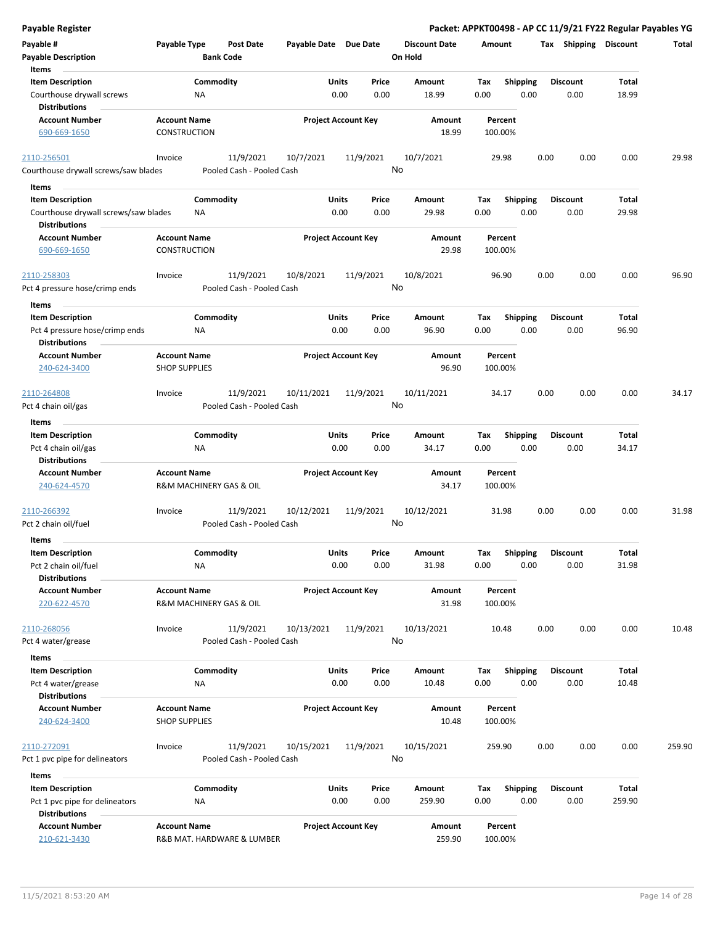| Payable Register                                                                  |                                        |                               |                       |                            |         |                        |             |                         |      |                         |                 | Packet: APPKT00498 - AP CC 11/9/21 FY22 Regular Payables YG |
|-----------------------------------------------------------------------------------|----------------------------------------|-------------------------------|-----------------------|----------------------------|---------|------------------------|-------------|-------------------------|------|-------------------------|-----------------|-------------------------------------------------------------|
| Payable #<br><b>Payable Description</b>                                           | Payable Type                           | Post Date<br><b>Bank Code</b> | Payable Date Due Date |                            | On Hold | <b>Discount Date</b>   | Amount      |                         |      | Tax Shipping Discount   |                 | Total                                                       |
| Items                                                                             |                                        |                               |                       |                            |         |                        |             |                         |      |                         |                 |                                                             |
| <b>Item Description</b>                                                           | Commodity                              |                               | Units                 | Price                      |         | Amount                 | Tax         | <b>Shipping</b>         |      | <b>Discount</b>         | Total           |                                                             |
| Courthouse drywall screws                                                         | ΝA                                     |                               |                       | 0.00<br>0.00               |         | 18.99                  | 0.00        | 0.00                    |      | 0.00                    | 18.99           |                                                             |
| <b>Distributions</b>                                                              |                                        |                               |                       |                            |         |                        |             |                         |      |                         |                 |                                                             |
| <b>Account Number</b>                                                             | <b>Account Name</b>                    |                               |                       | <b>Project Account Key</b> |         | Amount                 | Percent     |                         |      |                         |                 |                                                             |
| 690-669-1650                                                                      | CONSTRUCTION                           |                               |                       |                            |         | 18.99                  | 100.00%     |                         |      |                         |                 |                                                             |
| 2110-256501                                                                       | Invoice                                | 11/9/2021                     | 10/7/2021             | 11/9/2021                  |         | 10/7/2021              |             | 29.98                   | 0.00 | 0.00                    | 0.00            | 29.98                                                       |
| Courthouse drywall screws/saw blades                                              |                                        | Pooled Cash - Pooled Cash     |                       |                            | No      |                        |             |                         |      |                         |                 |                                                             |
| Items                                                                             |                                        |                               |                       |                            |         |                        |             |                         |      |                         |                 |                                                             |
| <b>Item Description</b>                                                           | Commodity                              |                               | Units                 | Price                      |         | Amount                 | Tax         | <b>Shipping</b>         |      | <b>Discount</b>         | Total           |                                                             |
| Courthouse drywall screws/saw blades<br><b>Distributions</b>                      | ΝA                                     |                               |                       | 0.00<br>0.00               |         | 29.98                  | 0.00        | 0.00                    |      | 0.00                    | 29.98           |                                                             |
| <b>Account Number</b>                                                             | <b>Account Name</b>                    |                               |                       | <b>Project Account Key</b> |         | Amount                 | Percent     |                         |      |                         |                 |                                                             |
| 690-669-1650                                                                      | <b>CONSTRUCTION</b>                    |                               |                       |                            |         | 29.98                  | 100.00%     |                         |      |                         |                 |                                                             |
| 2110-258303                                                                       | Invoice                                | 11/9/2021                     | 10/8/2021             | 11/9/2021                  |         | 10/8/2021              |             | 96.90                   | 0.00 | 0.00                    | 0.00            | 96.90                                                       |
| Pct 4 pressure hose/crimp ends                                                    |                                        | Pooled Cash - Pooled Cash     |                       |                            | No      |                        |             |                         |      |                         |                 |                                                             |
| Items                                                                             |                                        |                               |                       |                            |         |                        |             |                         |      |                         |                 |                                                             |
| <b>Item Description</b><br>Pct 4 pressure hose/crimp ends<br><b>Distributions</b> | Commodity<br>ΝA                        |                               | Units                 | Price<br>0.00<br>0.00      |         | <b>Amount</b><br>96.90 | Tax<br>0.00 | <b>Shipping</b><br>0.00 |      | <b>Discount</b><br>0.00 | Total<br>96.90  |                                                             |
| <b>Account Number</b>                                                             | <b>Account Name</b>                    |                               |                       | <b>Project Account Key</b> |         | Amount                 | Percent     |                         |      |                         |                 |                                                             |
| 240-624-3400                                                                      | <b>SHOP SUPPLIES</b>                   |                               |                       |                            |         | 96.90                  | 100.00%     |                         |      |                         |                 |                                                             |
| 2110-264808                                                                       | Invoice                                | 11/9/2021                     | 10/11/2021            | 11/9/2021                  |         | 10/11/2021             |             | 34.17                   | 0.00 | 0.00                    | 0.00            | 34.17                                                       |
| Pct 4 chain oil/gas                                                               |                                        | Pooled Cash - Pooled Cash     |                       |                            | No      |                        |             |                         |      |                         |                 |                                                             |
| Items                                                                             |                                        |                               |                       |                            |         |                        |             |                         |      |                         |                 |                                                             |
| <b>Item Description</b>                                                           | Commodity                              |                               | Units                 | Price                      |         | Amount                 | Tax         | <b>Shipping</b>         |      | <b>Discount</b>         | Total           |                                                             |
| Pct 4 chain oil/gas                                                               | <b>NA</b>                              |                               |                       | 0.00<br>0.00               |         | 34.17                  | 0.00        | 0.00                    |      | 0.00                    | 34.17           |                                                             |
| <b>Distributions</b>                                                              |                                        |                               |                       |                            |         |                        |             |                         |      |                         |                 |                                                             |
| <b>Account Number</b>                                                             | <b>Account Name</b>                    |                               |                       | <b>Project Account Key</b> |         | Amount                 | Percent     |                         |      |                         |                 |                                                             |
| 240-624-4570                                                                      | <b>R&amp;M MACHINERY GAS &amp; OIL</b> |                               |                       |                            |         | 34.17                  | 100.00%     |                         |      |                         |                 |                                                             |
| 2110-266392                                                                       | Invoice                                | 11/9/2021                     | 10/12/2021            | 11/9/2021                  |         | 10/12/2021             |             | 31.98                   | 0.00 | 0.00                    | 0.00            | 31.98                                                       |
| Pct 2 chain oil/fuel                                                              |                                        | Pooled Cash - Pooled Cash     |                       |                            | No      |                        |             |                         |      |                         |                 |                                                             |
| Items                                                                             |                                        |                               |                       |                            |         |                        |             |                         |      |                         |                 |                                                             |
| <b>Item Description</b>                                                           | Commodity                              |                               | Units                 | Price                      |         | Amount                 | Tax         | Shipping                |      | <b>Discount</b>         | Total           |                                                             |
| Pct 2 chain oil/fuel                                                              | <b>NA</b>                              |                               |                       | 0.00<br>0.00               |         | 31.98                  | 0.00        | 0.00                    |      | 0.00                    | 31.98           |                                                             |
| <b>Distributions</b>                                                              |                                        |                               |                       |                            |         |                        |             |                         |      |                         |                 |                                                             |
| <b>Account Number</b>                                                             | <b>Account Name</b>                    |                               |                       | <b>Project Account Key</b> |         | Amount                 | Percent     |                         |      |                         |                 |                                                             |
| 220-622-4570                                                                      | R&M MACHINERY GAS & OIL                |                               |                       |                            |         | 31.98                  | 100.00%     |                         |      |                         |                 |                                                             |
| 2110-268056                                                                       | Invoice                                | 11/9/2021                     | 10/13/2021            | 11/9/2021                  |         | 10/13/2021             |             | 10.48                   | 0.00 | 0.00                    | 0.00            | 10.48                                                       |
| Pct 4 water/grease                                                                |                                        | Pooled Cash - Pooled Cash     |                       |                            | No      |                        |             |                         |      |                         |                 |                                                             |
| Items                                                                             |                                        |                               |                       |                            |         |                        |             |                         |      |                         |                 |                                                             |
| <b>Item Description</b>                                                           | Commodity                              |                               | Units                 | Price                      |         | Amount                 | Tax         | <b>Shipping</b>         |      | <b>Discount</b>         | Total           |                                                             |
| Pct 4 water/grease                                                                | ΝA                                     |                               |                       | 0.00<br>0.00               |         | 10.48                  | 0.00        | 0.00                    |      | 0.00                    | 10.48           |                                                             |
| <b>Distributions</b>                                                              |                                        |                               |                       |                            |         |                        |             |                         |      |                         |                 |                                                             |
| <b>Account Number</b>                                                             | <b>Account Name</b>                    |                               |                       | <b>Project Account Key</b> |         | Amount                 | Percent     |                         |      |                         |                 |                                                             |
| 240-624-3400                                                                      | <b>SHOP SUPPLIES</b>                   |                               |                       |                            |         | 10.48                  | 100.00%     |                         |      |                         |                 |                                                             |
| 2110-272091                                                                       | Invoice                                | 11/9/2021                     | 10/15/2021            | 11/9/2021                  |         | 10/15/2021             | 259.90      |                         | 0.00 | 0.00                    | 0.00            | 259.90                                                      |
| Pct 1 pvc pipe for delineators                                                    |                                        | Pooled Cash - Pooled Cash     |                       |                            | No      |                        |             |                         |      |                         |                 |                                                             |
|                                                                                   |                                        |                               |                       |                            |         |                        |             |                         |      |                         |                 |                                                             |
| Items                                                                             |                                        |                               |                       |                            |         |                        |             |                         |      |                         |                 |                                                             |
| <b>Item Description</b><br>Pct 1 pvc pipe for delineators<br><b>Distributions</b> | Commodity<br><b>NA</b>                 |                               | Units                 | Price<br>0.00<br>0.00      |         | Amount<br>259.90       | Tax<br>0.00 | Shipping<br>0.00        |      | <b>Discount</b><br>0.00 | Total<br>259.90 |                                                             |
| <b>Account Number</b>                                                             | <b>Account Name</b>                    |                               |                       | <b>Project Account Key</b> |         | Amount                 | Percent     |                         |      |                         |                 |                                                             |
| 210-621-3430                                                                      | R&B MAT. HARDWARE & LUMBER             |                               |                       |                            |         | 259.90                 | 100.00%     |                         |      |                         |                 |                                                             |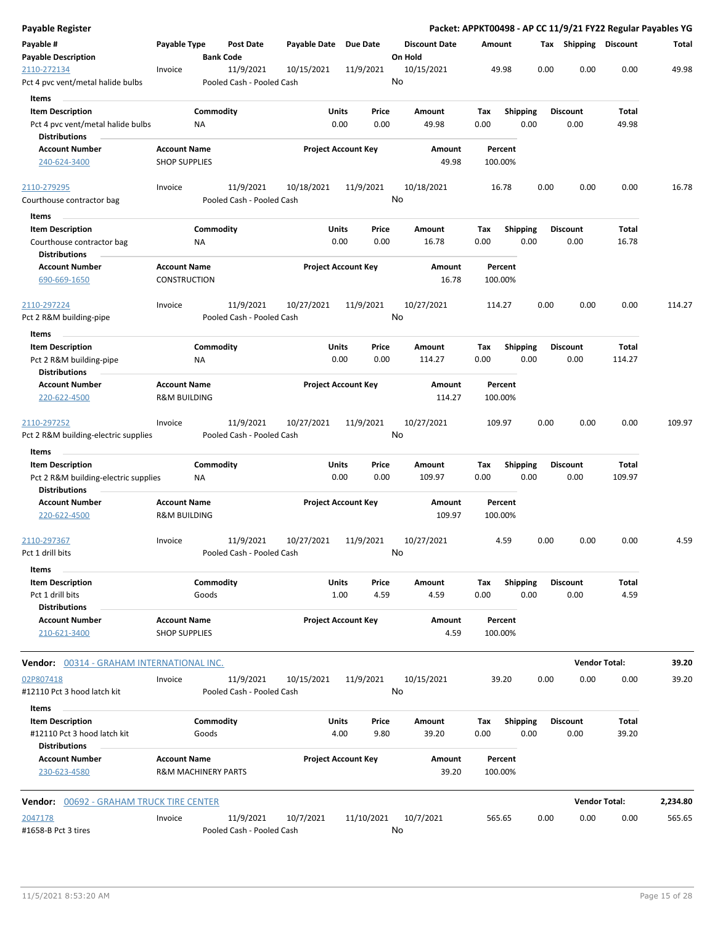| Payable Register                                                                     |                                            |                                        |              |                            |                                 | Packet: APPKT00498 - AP CC 11/9/21 FY22 Regular Payables YG |      |                         |                      |          |
|--------------------------------------------------------------------------------------|--------------------------------------------|----------------------------------------|--------------|----------------------------|---------------------------------|-------------------------------------------------------------|------|-------------------------|----------------------|----------|
| Payable #<br><b>Payable Description</b>                                              | Payable Type                               | Post Date<br><b>Bank Code</b>          | Payable Date | <b>Due Date</b>            | <b>Discount Date</b><br>On Hold | Amount                                                      |      | Tax Shipping Discount   |                      | Total    |
| 2110-272134<br>Pct 4 pvc vent/metal halide bulbs                                     | Invoice                                    | 11/9/2021<br>Pooled Cash - Pooled Cash | 10/15/2021   | 11/9/2021                  | 10/15/2021<br>No                | 49.98                                                       | 0.00 | 0.00                    | 0.00                 | 49.98    |
| Items                                                                                |                                            |                                        |              |                            |                                 |                                                             |      |                         |                      |          |
| <b>Item Description</b><br>Pct 4 pvc vent/metal halide bulbs<br><b>Distributions</b> |                                            | Commodity<br>ΝA                        | Units        | Price<br>0.00<br>0.00      | Amount<br>49.98                 | Tax<br><b>Shipping</b><br>0.00<br>0.00                      |      | <b>Discount</b><br>0.00 | Total<br>49.98       |          |
| <b>Account Number</b>                                                                | <b>Account Name</b>                        |                                        |              | <b>Project Account Key</b> | Amount                          | Percent                                                     |      |                         |                      |          |
| 240-624-3400                                                                         | <b>SHOP SUPPLIES</b>                       |                                        |              |                            | 49.98                           | 100.00%                                                     |      |                         |                      |          |
| 2110-279295                                                                          | Invoice                                    | 11/9/2021                              | 10/18/2021   | 11/9/2021                  | 10/18/2021                      | 16.78                                                       | 0.00 | 0.00                    | 0.00                 | 16.78    |
| Courthouse contractor bag                                                            |                                            | Pooled Cash - Pooled Cash              |              |                            | No                              |                                                             |      |                         |                      |          |
| Items                                                                                |                                            |                                        |              |                            |                                 |                                                             |      |                         |                      |          |
| <b>Item Description</b><br>Courthouse contractor bag<br><b>Distributions</b>         |                                            | Commodity<br>ΝA                        | Units        | Price<br>0.00<br>0.00      | Amount<br>16.78                 | Tax<br><b>Shipping</b><br>0.00<br>0.00                      |      | <b>Discount</b><br>0.00 | Total<br>16.78       |          |
| <b>Account Number</b><br>690-669-1650                                                | <b>Account Name</b><br><b>CONSTRUCTION</b> |                                        |              | <b>Project Account Key</b> | Amount<br>16.78                 | Percent<br>100.00%                                          |      |                         |                      |          |
| 2110-297224                                                                          | Invoice                                    | 11/9/2021                              | 10/27/2021   | 11/9/2021                  | 10/27/2021                      | 114.27                                                      | 0.00 | 0.00                    | 0.00                 | 114.27   |
| Pct 2 R&M building-pipe                                                              |                                            | Pooled Cash - Pooled Cash              |              |                            | No                              |                                                             |      |                         |                      |          |
| Items                                                                                |                                            |                                        |              |                            |                                 |                                                             |      |                         |                      |          |
| <b>Item Description</b><br>Pct 2 R&M building-pipe<br><b>Distributions</b>           |                                            | Commodity<br>ΝA                        | Units        | Price<br>0.00<br>0.00      | Amount<br>114.27                | Tax<br><b>Shipping</b><br>0.00<br>0.00                      |      | Discount<br>0.00        | Total<br>114.27      |          |
| <b>Account Number</b>                                                                | <b>Account Name</b>                        |                                        |              | <b>Project Account Key</b> | Amount                          | Percent                                                     |      |                         |                      |          |
| 220-622-4500                                                                         | <b>R&amp;M BUILDING</b>                    |                                        |              |                            | 114.27                          | 100.00%                                                     |      |                         |                      |          |
| 2110-297252                                                                          | Invoice                                    | 11/9/2021                              | 10/27/2021   | 11/9/2021                  | 10/27/2021                      | 109.97                                                      | 0.00 | 0.00                    | 0.00                 | 109.97   |
| Pct 2 R&M building-electric supplies                                                 |                                            | Pooled Cash - Pooled Cash              |              |                            | No                              |                                                             |      |                         |                      |          |
| Items                                                                                |                                            |                                        |              |                            |                                 |                                                             |      |                         |                      |          |
| <b>Item Description</b>                                                              |                                            | Commodity                              | Units        | Price                      | Amount                          | Tax<br><b>Shipping</b>                                      |      | <b>Discount</b>         | <b>Total</b>         |          |
| Pct 2 R&M building-electric supplies<br><b>Distributions</b>                         |                                            | ΝA                                     |              | 0.00<br>0.00               | 109.97                          | 0.00<br>0.00                                                |      | 0.00                    | 109.97               |          |
| <b>Account Number</b>                                                                | <b>Account Name</b>                        |                                        |              | <b>Project Account Key</b> | Amount                          | Percent                                                     |      |                         |                      |          |
| 220-622-4500                                                                         | <b>R&amp;M BUILDING</b>                    |                                        |              |                            | 109.97                          | 100.00%                                                     |      |                         |                      |          |
| 2110-297367                                                                          | Invoice                                    | 11/9/2021                              | 10/27/2021   | 11/9/2021                  | 10/27/2021                      | 4.59                                                        | 0.00 | 0.00                    | 0.00                 | 4.59     |
| Pct 1 drill bits                                                                     |                                            | Pooled Cash - Pooled Cash              |              |                            | No                              |                                                             |      |                         |                      |          |
| Items                                                                                |                                            |                                        |              |                            |                                 |                                                             |      |                         |                      |          |
| <b>Item Description</b><br>Pct 1 drill bits                                          |                                            | Commodity<br>Goods                     | Units        | Price<br>1.00<br>4.59      | Amount<br>4.59                  | Shipping<br>Tax<br>0.00<br>0.00                             |      | <b>Discount</b><br>0.00 | Total<br>4.59        |          |
| <b>Distributions</b><br><b>Account Number</b>                                        | <b>Account Name</b>                        |                                        |              | <b>Project Account Key</b> | Amount                          | Percent                                                     |      |                         |                      |          |
| 210-621-3400                                                                         | <b>SHOP SUPPLIES</b>                       |                                        |              |                            | 4.59                            | 100.00%                                                     |      |                         |                      |          |
| Vendor: 00314 - GRAHAM INTERNATIONAL INC.                                            |                                            |                                        |              |                            |                                 |                                                             |      |                         | <b>Vendor Total:</b> | 39.20    |
| 02P807418                                                                            | Invoice                                    | 11/9/2021                              | 10/15/2021   | 11/9/2021                  | 10/15/2021                      | 39.20                                                       | 0.00 | 0.00                    | 0.00                 | 39.20    |
| #12110 Pct 3 hood latch kit                                                          |                                            | Pooled Cash - Pooled Cash              |              |                            | No                              |                                                             |      |                         |                      |          |
| Items                                                                                |                                            |                                        |              |                            |                                 |                                                             |      |                         |                      |          |
| <b>Item Description</b><br>#12110 Pct 3 hood latch kit                               |                                            | Commodity<br>Goods                     | Units        | Price<br>4.00<br>9.80      | Amount<br>39.20                 | Tax<br><b>Shipping</b><br>0.00<br>0.00                      |      | Discount<br>0.00        | Total<br>39.20       |          |
| <b>Distributions</b>                                                                 |                                            |                                        |              |                            |                                 |                                                             |      |                         |                      |          |
| <b>Account Number</b><br>230-623-4580                                                | <b>Account Name</b>                        | <b>R&amp;M MACHINERY PARTS</b>         |              | <b>Project Account Key</b> | Amount<br>39.20                 | Percent<br>100.00%                                          |      |                         |                      |          |
|                                                                                      |                                            |                                        |              |                            |                                 |                                                             |      |                         |                      |          |
| <b>Vendor:</b> 00692 - GRAHAM TRUCK TIRE CENTER                                      |                                            |                                        |              |                            |                                 |                                                             |      |                         | <b>Vendor Total:</b> | 2,234.80 |
| 2047178                                                                              | Invoice                                    | 11/9/2021                              | 10/7/2021    | 11/10/2021                 | 10/7/2021                       | 565.65                                                      | 0.00 | 0.00                    | 0.00                 | 565.65   |
| #1658-B Pct 3 tires                                                                  |                                            | Pooled Cash - Pooled Cash              |              |                            | No                              |                                                             |      |                         |                      |          |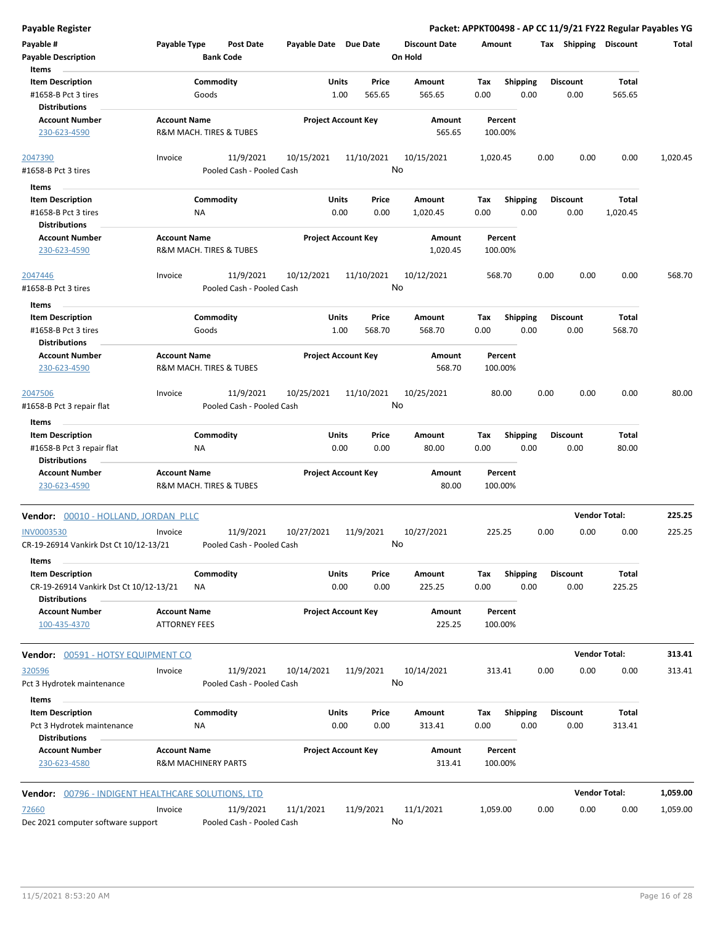| <b>Payable Register</b>                                                |                                                       |                                        |                       |                            |                                 |                    |                         |                 |                         | Packet: APPKT00498 - AP CC 11/9/21 FY22 Regular Payables YG |          |
|------------------------------------------------------------------------|-------------------------------------------------------|----------------------------------------|-----------------------|----------------------------|---------------------------------|--------------------|-------------------------|-----------------|-------------------------|-------------------------------------------------------------|----------|
| Payable #<br><b>Payable Description</b>                                | Payable Type                                          | Post Date<br><b>Bank Code</b>          | Payable Date Due Date |                            | <b>Discount Date</b><br>On Hold | Amount             |                         |                 |                         | Tax Shipping Discount                                       | Total    |
| Items                                                                  |                                                       |                                        |                       |                            |                                 |                    |                         |                 |                         |                                                             |          |
| <b>Item Description</b><br>#1658-B Pct 3 tires<br><b>Distributions</b> | Commodity<br>Goods                                    |                                        | Units<br>1.00         | Price<br>565.65            | Amount<br>565.65                | Tax<br>0.00        | <b>Shipping</b><br>0.00 |                 | <b>Discount</b><br>0.00 | Total<br>565.65                                             |          |
| <b>Account Number</b>                                                  | <b>Account Name</b>                                   |                                        |                       | <b>Project Account Key</b> | Amount                          | Percent            |                         |                 |                         |                                                             |          |
| 230-623-4590                                                           | R&M MACH. TIRES & TUBES                               |                                        |                       |                            | 565.65                          | 100.00%            |                         |                 |                         |                                                             |          |
| 2047390<br>#1658-B Pct 3 tires                                         | Invoice                                               | 11/9/2021<br>Pooled Cash - Pooled Cash | 10/15/2021            | 11/10/2021                 | 10/15/2021<br>No                | 1,020.45           |                         | 0.00            | 0.00                    | 0.00                                                        | 1,020.45 |
|                                                                        |                                                       |                                        |                       |                            |                                 |                    |                         |                 |                         |                                                             |          |
| Items<br><b>Item Description</b>                                       | Commodity                                             |                                        | Units                 | Price                      | Amount                          | Tax                | <b>Shipping</b>         |                 | <b>Discount</b>         | Total                                                       |          |
| #1658-B Pct 3 tires                                                    | ΝA                                                    |                                        |                       | 0.00<br>0.00               | 1,020.45                        | 0.00               | 0.00                    |                 | 0.00                    | 1,020.45                                                    |          |
| <b>Distributions</b>                                                   |                                                       |                                        |                       |                            |                                 |                    |                         |                 |                         |                                                             |          |
| <b>Account Number</b>                                                  | <b>Account Name</b>                                   |                                        |                       | <b>Project Account Key</b> | Amount                          | Percent            |                         |                 |                         |                                                             |          |
| 230-623-4590                                                           | R&M MACH. TIRES & TUBES                               |                                        |                       |                            | 1,020.45                        | 100.00%            |                         |                 |                         |                                                             |          |
| 2047446<br>#1658-B Pct 3 tires                                         | Invoice                                               | 11/9/2021<br>Pooled Cash - Pooled Cash | 10/12/2021            | 11/10/2021                 | 10/12/2021<br>No                | 568.70             |                         | 0.00            | 0.00                    | 0.00                                                        | 568.70   |
| Items                                                                  |                                                       |                                        |                       |                            |                                 |                    |                         |                 |                         |                                                             |          |
| <b>Item Description</b><br>#1658-B Pct 3 tires                         | Commodity<br>Goods                                    |                                        | Units                 | Price<br>1.00<br>568.70    | Amount<br>568.70                | Tax<br>0.00        | <b>Shipping</b><br>0.00 |                 | <b>Discount</b><br>0.00 | Total<br>568.70                                             |          |
| Distributions                                                          |                                                       |                                        |                       |                            |                                 |                    |                         |                 |                         |                                                             |          |
| <b>Account Number</b><br>230-623-4590                                  | <b>Account Name</b><br>R&M MACH. TIRES & TUBES        |                                        |                       | <b>Project Account Key</b> | Amount<br>568.70                | Percent<br>100.00% |                         |                 |                         |                                                             |          |
| 2047506                                                                | Invoice                                               | 11/9/2021                              | 10/25/2021            | 11/10/2021                 | 10/25/2021                      | 80.00              |                         | 0.00            | 0.00                    | 0.00                                                        | 80.00    |
| #1658-B Pct 3 repair flat<br>Items                                     |                                                       | Pooled Cash - Pooled Cash              |                       |                            | No                              |                    |                         |                 |                         |                                                             |          |
| <b>Item Description</b>                                                | Commodity                                             |                                        | Units                 | Price                      | Amount                          | Tax                | <b>Shipping</b>         | <b>Discount</b> |                         | Total                                                       |          |
| #1658-B Pct 3 repair flat<br><b>Distributions</b>                      | ΝA                                                    |                                        |                       | 0.00<br>0.00               | 80.00                           | 0.00               | 0.00                    |                 | 0.00                    | 80.00                                                       |          |
| <b>Account Number</b>                                                  | <b>Account Name</b>                                   |                                        |                       | <b>Project Account Key</b> | Amount                          | Percent            |                         |                 |                         |                                                             |          |
| 230-623-4590                                                           | R&M MACH. TIRES & TUBES                               |                                        |                       |                            | 80.00                           | 100.00%            |                         |                 |                         |                                                             |          |
| Vendor: 00010 - HOLLAND, JORDAN PLLC                                   |                                                       |                                        |                       |                            |                                 |                    |                         |                 | <b>Vendor Total:</b>    |                                                             | 225.25   |
| <b>INV0003530</b><br>CR-19-26914 Vankirk Dst Ct 10/12-13/21            | Invoice                                               | 11/9/2021<br>Pooled Cash - Pooled Cash | 10/27/2021            | 11/9/2021                  | 10/27/2021<br>No.               | 225.25             |                         | 0.00            | 0.00                    | 0.00                                                        | 225.25   |
| Items                                                                  |                                                       |                                        |                       |                            |                                 |                    |                         |                 |                         |                                                             |          |
| <b>Item Description</b><br>CR-19-26914 Vankirk Dst Ct 10/12-13/21      | Commodity<br>ΝA                                       |                                        | Units                 | Price<br>0.00<br>0.00      | Amount<br>225.25                | Tax<br>0.00        | <b>Shipping</b><br>0.00 |                 | <b>Discount</b><br>0.00 | Total<br>225.25                                             |          |
| <b>Distributions</b><br><b>Account Number</b><br>100-435-4370          | <b>Account Name</b><br><b>ATTORNEY FEES</b>           |                                        |                       | <b>Project Account Key</b> | Amount<br>225.25                | Percent<br>100.00% |                         |                 |                         |                                                             |          |
| Vendor: 00591 - HOTSY EQUIPMENT CO                                     |                                                       |                                        |                       |                            |                                 |                    |                         |                 | <b>Vendor Total:</b>    |                                                             | 313.41   |
| 320596                                                                 | Invoice                                               | 11/9/2021                              | 10/14/2021            | 11/9/2021                  | 10/14/2021                      | 313.41             |                         | 0.00            | 0.00                    | 0.00                                                        | 313.41   |
| Pct 3 Hydrotek maintenance<br>Items                                    |                                                       | Pooled Cash - Pooled Cash              |                       |                            | No                              |                    |                         |                 |                         |                                                             |          |
| <b>Item Description</b>                                                | Commodity                                             |                                        | Units                 | Price                      | Amount                          | Тах                | <b>Shipping</b>         |                 | <b>Discount</b>         | Total                                                       |          |
| Pct 3 Hydrotek maintenance<br>Distributions                            | ΝA                                                    |                                        |                       | 0.00<br>0.00               | 313.41                          | 0.00               | 0.00                    |                 | 0.00                    | 313.41                                                      |          |
| <b>Account Number</b><br>230-623-4580                                  | <b>Account Name</b><br><b>R&amp;M MACHINERY PARTS</b> |                                        |                       | <b>Project Account Key</b> | Amount<br>313.41                | Percent<br>100.00% |                         |                 |                         |                                                             |          |
| <b>Vendor: 00796 - INDIGENT HEALTHCARE SOLUTIONS, LTD</b>              |                                                       |                                        |                       |                            |                                 |                    |                         |                 | <b>Vendor Total:</b>    |                                                             | 1,059.00 |
| 72660                                                                  | Invoice                                               | 11/9/2021                              | 11/1/2021             | 11/9/2021                  | 11/1/2021                       | 1,059.00           |                         | 0.00            | 0.00                    | 0.00                                                        | 1,059.00 |
| Dec 2021 computer software support                                     |                                                       | Pooled Cash - Pooled Cash              |                       |                            | No                              |                    |                         |                 |                         |                                                             |          |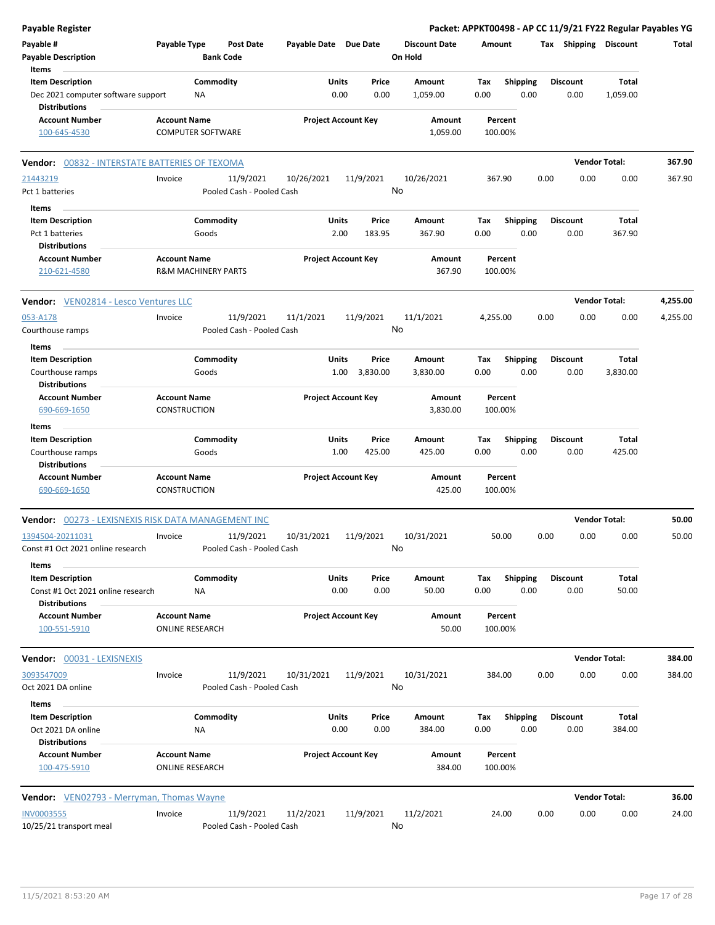| Payable Register                                           |                                                       |                  |                                        |                       |                            |                 |                                 |          |                    |      |      |                       | Packet: APPKT00498 - AP CC 11/9/21 FY22 Regular Payables YG |          |
|------------------------------------------------------------|-------------------------------------------------------|------------------|----------------------------------------|-----------------------|----------------------------|-----------------|---------------------------------|----------|--------------------|------|------|-----------------------|-------------------------------------------------------------|----------|
| Payable #<br><b>Payable Description</b>                    | Payable Type                                          | <b>Bank Code</b> | <b>Post Date</b>                       | Payable Date Due Date |                            |                 | <b>Discount Date</b><br>On Hold | Amount   |                    |      |      | Tax Shipping Discount |                                                             | Total    |
| Items                                                      |                                                       |                  |                                        |                       |                            |                 |                                 |          |                    |      |      |                       |                                                             |          |
| <b>Item Description</b>                                    |                                                       | Commodity        |                                        |                       | Units                      | Price           | <b>Amount</b>                   | Tax      | <b>Shipping</b>    |      |      | <b>Discount</b>       | Total                                                       |          |
| Dec 2021 computer software support                         |                                                       | ΝA               |                                        |                       | 0.00                       | 0.00            | 1,059.00                        | 0.00     |                    | 0.00 |      | 0.00                  | 1,059.00                                                    |          |
| <b>Distributions</b>                                       |                                                       |                  |                                        |                       |                            |                 |                                 |          |                    |      |      |                       |                                                             |          |
| <b>Account Number</b>                                      | <b>Account Name</b>                                   |                  |                                        |                       | <b>Project Account Key</b> |                 | Amount                          |          | Percent            |      |      |                       |                                                             |          |
| 100-645-4530                                               | <b>COMPUTER SOFTWARE</b>                              |                  |                                        |                       |                            |                 | 1,059.00                        |          | 100.00%            |      |      |                       |                                                             |          |
| <b>Vendor: 00832 - INTERSTATE BATTERIES OF TEXOMA</b>      |                                                       |                  |                                        |                       |                            |                 |                                 |          |                    |      |      | <b>Vendor Total:</b>  |                                                             | 367.90   |
| 21443219                                                   | Invoice                                               |                  | 11/9/2021                              | 10/26/2021            |                            | 11/9/2021       | 10/26/2021                      |          | 367.90             |      | 0.00 | 0.00                  | 0.00                                                        | 367.90   |
| Pct 1 batteries                                            |                                                       |                  | Pooled Cash - Pooled Cash              |                       |                            | No              |                                 |          |                    |      |      |                       |                                                             |          |
| Items                                                      |                                                       |                  |                                        |                       |                            |                 |                                 |          |                    |      |      |                       |                                                             |          |
| <b>Item Description</b>                                    |                                                       | Commodity        |                                        |                       | Units                      | Price           | Amount                          | Tax      | <b>Shipping</b>    |      |      | <b>Discount</b>       | Total                                                       |          |
| Pct 1 batteries                                            |                                                       | Goods            |                                        |                       | 2.00                       | 183.95          | 367.90                          | 0.00     |                    | 0.00 |      | 0.00                  | 367.90                                                      |          |
| <b>Distributions</b>                                       |                                                       |                  |                                        |                       |                            |                 |                                 |          |                    |      |      |                       |                                                             |          |
| <b>Account Number</b><br>210-621-4580                      | <b>Account Name</b><br><b>R&amp;M MACHINERY PARTS</b> |                  |                                        |                       | <b>Project Account Key</b> |                 | Amount<br>367.90                |          | Percent<br>100.00% |      |      |                       |                                                             |          |
| Vendor: VEN02814 - Lesco Ventures LLC                      |                                                       |                  |                                        |                       |                            |                 |                                 |          |                    |      |      | <b>Vendor Total:</b>  |                                                             | 4,255.00 |
|                                                            |                                                       |                  |                                        |                       |                            |                 |                                 |          |                    |      |      |                       |                                                             |          |
| 053-A178<br>Courthouse ramps                               | Invoice                                               |                  | 11/9/2021<br>Pooled Cash - Pooled Cash | 11/1/2021             |                            | 11/9/2021<br>No | 11/1/2021                       | 4,255.00 |                    |      | 0.00 | 0.00                  | 0.00                                                        | 4,255.00 |
|                                                            |                                                       |                  |                                        |                       |                            |                 |                                 |          |                    |      |      |                       |                                                             |          |
| Items                                                      |                                                       | Commodity        |                                        |                       | Units                      | Price           | Amount                          |          |                    |      |      | <b>Discount</b>       | Total                                                       |          |
| <b>Item Description</b>                                    |                                                       |                  |                                        |                       |                            |                 |                                 | Tax      | <b>Shipping</b>    |      |      |                       |                                                             |          |
| Courthouse ramps<br><b>Distributions</b>                   |                                                       | Goods            |                                        |                       | 1.00                       | 3,830.00        | 3,830.00                        | 0.00     |                    | 0.00 |      | 0.00                  | 3,830.00                                                    |          |
| <b>Account Number</b>                                      | <b>Account Name</b>                                   |                  |                                        |                       | <b>Project Account Key</b> |                 | Amount                          |          | Percent            |      |      |                       |                                                             |          |
| 690-669-1650                                               | <b>CONSTRUCTION</b>                                   |                  |                                        |                       |                            |                 | 3,830.00                        |          | 100.00%            |      |      |                       |                                                             |          |
| Items                                                      |                                                       |                  |                                        |                       |                            |                 |                                 |          |                    |      |      |                       |                                                             |          |
| <b>Item Description</b>                                    |                                                       | Commodity        |                                        |                       | Units                      | Price           | Amount                          | Tax      | Shipping           |      |      | <b>Discount</b>       | Total                                                       |          |
| Courthouse ramps                                           |                                                       | Goods            |                                        |                       | 1.00                       | 425.00          | 425.00                          | 0.00     |                    | 0.00 |      | 0.00                  | 425.00                                                      |          |
| <b>Distributions</b>                                       |                                                       |                  |                                        |                       |                            |                 |                                 |          |                    |      |      |                       |                                                             |          |
| <b>Account Number</b>                                      | <b>Account Name</b>                                   |                  |                                        |                       | <b>Project Account Key</b> |                 | Amount                          |          | Percent            |      |      |                       |                                                             |          |
| 690-669-1650                                               | CONSTRUCTION                                          |                  |                                        |                       |                            |                 | 425.00                          |          | 100.00%            |      |      |                       |                                                             |          |
| <b>Vendor:</b> 00273 - LEXISNEXIS RISK DATA MANAGEMENT INC |                                                       |                  |                                        |                       |                            |                 |                                 |          |                    |      |      | <b>Vendor Total:</b>  |                                                             | 50.00    |
| 1394504-20211031                                           | Invoice                                               |                  | 11/9/2021                              | 10/31/2021            |                            | 11/9/2021       | 10/31/2021                      |          | 50.00              |      | 0.00 | 0.00                  | 0.00                                                        | 50.00    |
| Const #1 Oct 2021 online research                          |                                                       |                  | Pooled Cash - Pooled Cash              |                       |                            | No              |                                 |          |                    |      |      |                       |                                                             |          |
| Items                                                      |                                                       |                  |                                        |                       |                            |                 |                                 |          |                    |      |      |                       |                                                             |          |
| <b>Item Description</b>                                    |                                                       | Commodity        |                                        |                       | Units                      | Price           | Amount                          | Tax      | <b>Shipping</b>    |      |      | <b>Discount</b>       | Total                                                       |          |
| Const #1 Oct 2021 online research                          |                                                       | <b>NA</b>        |                                        |                       | 0.00                       | 0.00            | 50.00                           | 0.00     |                    | 0.00 |      | 0.00                  | 50.00                                                       |          |
| <b>Distributions</b>                                       |                                                       |                  |                                        |                       |                            |                 |                                 |          |                    |      |      |                       |                                                             |          |
| <b>Account Number</b>                                      | <b>Account Name</b>                                   |                  |                                        |                       | <b>Project Account Key</b> |                 | Amount                          |          | Percent            |      |      |                       |                                                             |          |
| 100-551-5910                                               | <b>ONLINE RESEARCH</b>                                |                  |                                        |                       |                            |                 | 50.00                           |          | 100.00%            |      |      |                       |                                                             |          |
| Vendor: 00031 - LEXISNEXIS                                 |                                                       |                  |                                        |                       |                            |                 |                                 |          |                    |      |      | <b>Vendor Total:</b>  |                                                             | 384.00   |
| 3093547009                                                 | Invoice                                               |                  | 11/9/2021                              | 10/31/2021            |                            | 11/9/2021       | 10/31/2021                      |          | 384.00             |      | 0.00 | 0.00                  | 0.00                                                        | 384.00   |
| Oct 2021 DA online                                         |                                                       |                  | Pooled Cash - Pooled Cash              |                       |                            | No              |                                 |          |                    |      |      |                       |                                                             |          |
|                                                            |                                                       |                  |                                        |                       |                            |                 |                                 |          |                    |      |      |                       |                                                             |          |
| Items                                                      |                                                       |                  |                                        |                       |                            |                 |                                 |          |                    |      |      |                       |                                                             |          |
| <b>Item Description</b>                                    |                                                       | Commodity        |                                        |                       | Units                      | Price           | Amount                          | Tax      | <b>Shipping</b>    |      |      | <b>Discount</b>       | Total                                                       |          |
| Oct 2021 DA online                                         |                                                       | ΝA               |                                        |                       | 0.00                       | 0.00            | 384.00                          | 0.00     |                    | 0.00 |      | 0.00                  | 384.00                                                      |          |
| <b>Distributions</b>                                       |                                                       |                  |                                        |                       |                            |                 |                                 |          |                    |      |      |                       |                                                             |          |
| <b>Account Number</b>                                      | <b>Account Name</b>                                   |                  |                                        |                       | <b>Project Account Key</b> |                 | Amount                          |          | Percent            |      |      |                       |                                                             |          |
| 100-475-5910                                               | <b>ONLINE RESEARCH</b>                                |                  |                                        |                       |                            |                 | 384.00                          |          | 100.00%            |      |      |                       |                                                             |          |
| <b>Vendor:</b> VEN02793 - Merryman, Thomas Wayne           |                                                       |                  |                                        |                       |                            |                 |                                 |          |                    |      |      |                       | <b>Vendor Total:</b>                                        | 36.00    |
| INV0003555                                                 | Invoice                                               |                  | 11/9/2021                              | 11/2/2021             |                            | 11/9/2021       | 11/2/2021                       |          | 24.00              |      | 0.00 | 0.00                  | 0.00                                                        | 24.00    |
| 10/25/21 transport meal                                    |                                                       |                  | Pooled Cash - Pooled Cash              |                       |                            | No              |                                 |          |                    |      |      |                       |                                                             |          |
|                                                            |                                                       |                  |                                        |                       |                            |                 |                                 |          |                    |      |      |                       |                                                             |          |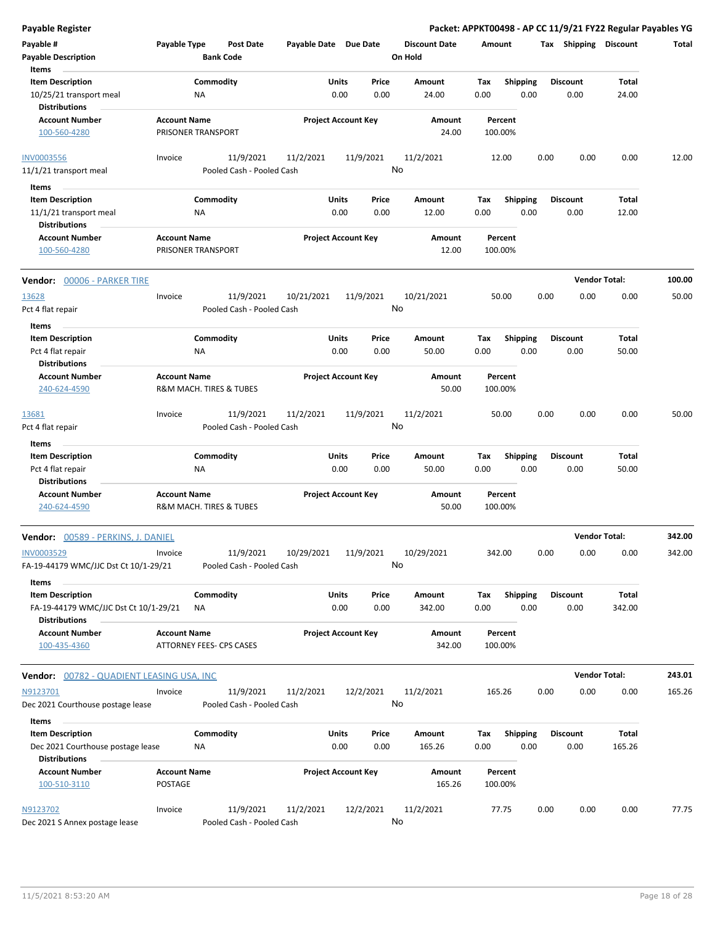| <b>Payable Register</b>                                       |                                |                                        |                       |                            |                      |                    |                         |                 |                      | Packet: APPKT00498 - AP CC 11/9/21 FY22 Regular Payables YG |        |
|---------------------------------------------------------------|--------------------------------|----------------------------------------|-----------------------|----------------------------|----------------------|--------------------|-------------------------|-----------------|----------------------|-------------------------------------------------------------|--------|
| Payable #                                                     | Payable Type                   | <b>Post Date</b>                       | Payable Date Due Date |                            | <b>Discount Date</b> | Amount             |                         | Tax Shipping    |                      | <b>Discount</b>                                             | Total  |
| <b>Payable Description</b>                                    |                                | <b>Bank Code</b>                       |                       |                            | On Hold              |                    |                         |                 |                      |                                                             |        |
| Items                                                         |                                |                                        |                       |                            |                      |                    |                         |                 |                      |                                                             |        |
| <b>Item Description</b>                                       |                                | Commodity                              | Units                 | Price                      | Amount               | Tax                | <b>Shipping</b>         | <b>Discount</b> |                      | Total                                                       |        |
| 10/25/21 transport meal<br><b>Distributions</b>               | ΝA                             |                                        |                       | 0.00<br>0.00               | 24.00                | 0.00               | 0.00                    |                 | 0.00                 | 24.00                                                       |        |
| <b>Account Number</b>                                         | <b>Account Name</b>            |                                        |                       | <b>Project Account Key</b> | Amount               | Percent            |                         |                 |                      |                                                             |        |
| 100-560-4280                                                  | PRISONER TRANSPORT             |                                        |                       |                            | 24.00                | 100.00%            |                         |                 |                      |                                                             |        |
| <b>INV0003556</b><br>11/1/21 transport meal                   | Invoice                        | 11/9/2021<br>Pooled Cash - Pooled Cash | 11/2/2021             | 11/9/2021                  | 11/2/2021<br>No      | 12.00              |                         | 0.00            | 0.00                 | 0.00                                                        | 12.00  |
|                                                               |                                |                                        |                       |                            |                      |                    |                         |                 |                      |                                                             |        |
| Items                                                         |                                |                                        |                       |                            |                      |                    |                         |                 |                      |                                                             |        |
| <b>Item Description</b><br>11/1/21 transport meal             | ΝA                             | Commodity                              | Units                 | Price<br>0.00<br>0.00      | Amount<br>12.00      | Tax<br>0.00        | <b>Shipping</b><br>0.00 | <b>Discount</b> | 0.00                 | Total<br>12.00                                              |        |
| <b>Distributions</b>                                          |                                |                                        |                       |                            |                      |                    |                         |                 |                      |                                                             |        |
| <b>Account Number</b>                                         | <b>Account Name</b>            |                                        |                       | <b>Project Account Key</b> | Amount               | Percent            |                         |                 |                      |                                                             |        |
| 100-560-4280                                                  | PRISONER TRANSPORT             |                                        |                       |                            | 12.00                | 100.00%            |                         |                 |                      |                                                             |        |
| Vendor: 00006 - PARKER TIRE                                   |                                |                                        |                       |                            |                      |                    |                         |                 | <b>Vendor Total:</b> |                                                             | 100.00 |
| 13628                                                         | Invoice                        | 11/9/2021                              | 10/21/2021            | 11/9/2021                  | 10/21/2021           | 50.00              |                         | 0.00            | 0.00                 | 0.00                                                        | 50.00  |
| Pct 4 flat repair                                             |                                | Pooled Cash - Pooled Cash              |                       |                            | No                   |                    |                         |                 |                      |                                                             |        |
| Items                                                         |                                |                                        |                       |                            |                      |                    |                         |                 |                      |                                                             |        |
| <b>Item Description</b>                                       |                                | Commodity                              | Units                 | Price                      | Amount               | Tax                | <b>Shipping</b>         | <b>Discount</b> |                      | Total                                                       |        |
| Pct 4 flat repair                                             | ΝA                             |                                        |                       | 0.00<br>0.00               | 50.00                | 0.00               | 0.00                    |                 | 0.00                 | 50.00                                                       |        |
| <b>Distributions</b>                                          |                                |                                        |                       |                            |                      |                    |                         |                 |                      |                                                             |        |
| <b>Account Number</b>                                         | <b>Account Name</b>            |                                        |                       | <b>Project Account Key</b> | Amount               | Percent            |                         |                 |                      |                                                             |        |
| 240-624-4590                                                  | R&M MACH. TIRES & TUBES        |                                        |                       |                            | 50.00                | 100.00%            |                         |                 |                      |                                                             |        |
| 13681                                                         | Invoice                        | 11/9/2021                              | 11/2/2021             | 11/9/2021                  | 11/2/2021            | 50.00              |                         | 0.00            | 0.00                 | 0.00                                                        | 50.00  |
| Pct 4 flat repair                                             |                                | Pooled Cash - Pooled Cash              |                       |                            | No                   |                    |                         |                 |                      |                                                             |        |
| Items                                                         |                                |                                        |                       |                            |                      |                    |                         |                 |                      |                                                             |        |
| <b>Item Description</b>                                       |                                | Commodity                              | Units                 | Price                      | Amount               | Tax                | <b>Shipping</b>         | <b>Discount</b> |                      | Total                                                       |        |
| Pct 4 flat repair                                             | ΝA                             |                                        |                       | 0.00<br>0.00               | 50.00                | 0.00               | 0.00                    |                 | 0.00                 | 50.00                                                       |        |
| <b>Distributions</b><br><b>Account Number</b>                 | <b>Account Name</b>            |                                        |                       | <b>Project Account Key</b> | Amount               | Percent            |                         |                 |                      |                                                             |        |
| 240-624-4590                                                  | R&M MACH. TIRES & TUBES        |                                        |                       |                            | 50.00                | 100.00%            |                         |                 |                      |                                                             |        |
| Vendor: 00589 - PERKINS, J. DANIEL                            |                                |                                        |                       |                            |                      |                    |                         |                 | <b>Vendor Total:</b> |                                                             | 342.00 |
| INV0003529                                                    | Invoice                        | 11/9/2021                              | 10/29/2021            | 11/9/2021                  | 10/29/2021           | 342.00             |                         | 0.00            | 0.00                 | 0.00                                                        | 342.00 |
| FA-19-44179 WMC/JJC Dst Ct 10/1-29/21                         |                                | Pooled Cash - Pooled Cash              |                       |                            | No                   |                    |                         |                 |                      |                                                             |        |
| Items<br><b>Item Description</b>                              |                                | Commodity                              | Units                 | Price                      | Amount               | Tax                | <b>Shipping</b>         | <b>Discount</b> |                      | Total                                                       |        |
| FA-19-44179 WMC/JJC Dst Ct 10/1-29/21<br><b>Distributions</b> | NA                             |                                        |                       | 0.00<br>0.00               | 342.00               | 0.00               | 0.00                    |                 | 0.00                 | 342.00                                                      |        |
| <b>Account Number</b>                                         | <b>Account Name</b>            |                                        |                       | <b>Project Account Key</b> | Amount               | Percent            |                         |                 |                      |                                                             |        |
| 100-435-4360                                                  | ATTORNEY FEES- CPS CASES       |                                        |                       |                            | 342.00               | 100.00%            |                         |                 |                      |                                                             |        |
| <b>Vendor: 00782 - QUADIENT LEASING USA, INC</b>              |                                |                                        |                       |                            |                      |                    |                         |                 | <b>Vendor Total:</b> |                                                             | 243.01 |
| N9123701                                                      | Invoice                        | 11/9/2021                              | 11/2/2021             | 12/2/2021                  | 11/2/2021            | 165.26             |                         | 0.00            | 0.00                 | 0.00                                                        | 165.26 |
| Dec 2021 Courthouse postage lease                             |                                | Pooled Cash - Pooled Cash              |                       |                            | No                   |                    |                         |                 |                      |                                                             |        |
| Items                                                         |                                |                                        |                       |                            |                      |                    |                         |                 |                      |                                                             |        |
| <b>Item Description</b>                                       |                                | Commodity                              | Units                 | Price                      | Amount               | Tax                | <b>Shipping</b>         | <b>Discount</b> |                      | Total                                                       |        |
| Dec 2021 Courthouse postage lease                             | ΝA                             |                                        |                       | 0.00<br>0.00               | 165.26               | 0.00               | 0.00                    |                 | 0.00                 | 165.26                                                      |        |
| <b>Distributions</b>                                          |                                |                                        |                       |                            |                      |                    |                         |                 |                      |                                                             |        |
| <b>Account Number</b><br>100-510-3110                         | <b>Account Name</b><br>POSTAGE |                                        |                       | <b>Project Account Key</b> | Amount<br>165.26     | Percent<br>100.00% |                         |                 |                      |                                                             |        |
| N9123702                                                      | Invoice                        | 11/9/2021                              | 11/2/2021             | 12/2/2021                  | 11/2/2021            | 77.75              |                         | 0.00            | 0.00                 | 0.00                                                        | 77.75  |
| Dec 2021 S Annex postage lease                                |                                | Pooled Cash - Pooled Cash              |                       |                            | No                   |                    |                         |                 |                      |                                                             |        |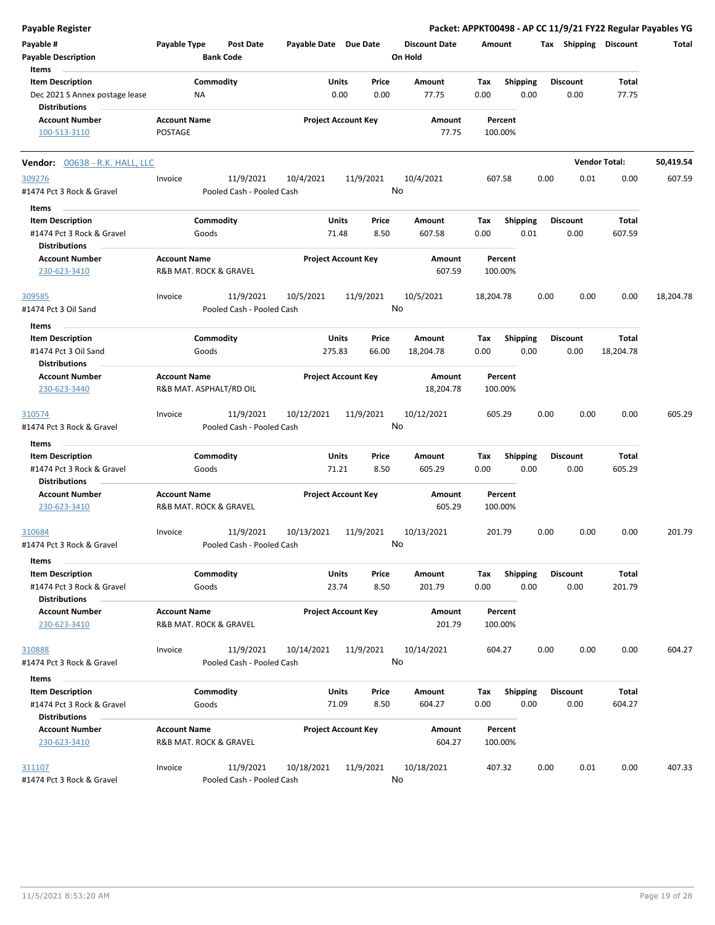| <b>Payable Register</b>                                            |                                                |                    |                                        |                       |                            |                 |                                 |                    |                         |      |                         |                       | Packet: APPKT00498 - AP CC 11/9/21 FY22 Regular Payables YG |
|--------------------------------------------------------------------|------------------------------------------------|--------------------|----------------------------------------|-----------------------|----------------------------|-----------------|---------------------------------|--------------------|-------------------------|------|-------------------------|-----------------------|-------------------------------------------------------------|
| Payable #<br><b>Payable Description</b>                            | Payable Type                                   | <b>Bank Code</b>   | <b>Post Date</b>                       | Payable Date Due Date |                            |                 | <b>Discount Date</b><br>On Hold | Amount             |                         |      | Tax Shipping Discount   |                       | Total                                                       |
| Items<br><b>Item Description</b><br>Dec 2021 S Annex postage lease |                                                | Commodity<br>ΝA    |                                        |                       | Units<br>0.00              | Price<br>0.00   | Amount<br>77.75                 | Tax<br>0.00        | <b>Shipping</b><br>0.00 |      | <b>Discount</b><br>0.00 | <b>Total</b><br>77.75 |                                                             |
| <b>Distributions</b>                                               |                                                |                    |                                        |                       |                            |                 |                                 |                    |                         |      |                         |                       |                                                             |
| <b>Account Number</b><br>100-513-3110                              | <b>Account Name</b><br>POSTAGE                 |                    |                                        |                       | <b>Project Account Key</b> |                 | Amount<br>77.75                 | 100.00%            | Percent                 |      |                         |                       |                                                             |
| Vendor: 00638 - R.K. HALL, LLC                                     |                                                |                    |                                        |                       |                            |                 |                                 |                    |                         |      |                         | <b>Vendor Total:</b>  | 50,419.54                                                   |
| 309276                                                             | Invoice                                        |                    | 11/9/2021                              | 10/4/2021             |                            | 11/9/2021       | 10/4/2021                       | 607.58             |                         | 0.00 | 0.01                    | 0.00                  | 607.59                                                      |
| #1474 Pct 3 Rock & Gravel<br>Items                                 |                                                |                    | Pooled Cash - Pooled Cash              |                       |                            | No              |                                 |                    |                         |      |                         |                       |                                                             |
| <b>Item Description</b>                                            |                                                | Commodity          |                                        |                       | Units                      | Price           | Amount                          | Тах                | Shipping                |      | <b>Discount</b>         | Total                 |                                                             |
| #1474 Pct 3 Rock & Gravel<br><b>Distributions</b>                  |                                                | Goods              |                                        |                       | 71.48                      | 8.50            | 607.58                          | 0.00               | 0.01                    |      | 0.00                    | 607.59                |                                                             |
| <b>Account Number</b><br>230-623-3410                              | <b>Account Name</b><br>R&B MAT. ROCK & GRAVEL  |                    |                                        |                       | <b>Project Account Key</b> |                 | Amount<br>607.59                | Percent<br>100.00% |                         |      |                         |                       |                                                             |
| 309585<br>#1474 Pct 3 Oil Sand                                     | Invoice                                        |                    | 11/9/2021<br>Pooled Cash - Pooled Cash | 10/5/2021             |                            | 11/9/2021<br>No | 10/5/2021                       | 18,204.78          |                         | 0.00 | 0.00                    | 0.00                  | 18,204.78                                                   |
| Items                                                              |                                                |                    |                                        |                       |                            |                 |                                 |                    |                         |      |                         |                       |                                                             |
| <b>Item Description</b><br>#1474 Pct 3 Oil Sand                    |                                                | Commodity<br>Goods |                                        |                       | Units<br>275.83            | Price<br>66.00  | Amount<br>18,204.78             | Тах<br>0.00        | <b>Shipping</b><br>0.00 |      | <b>Discount</b><br>0.00 | Total<br>18,204.78    |                                                             |
| <b>Distributions</b>                                               |                                                |                    |                                        |                       |                            |                 |                                 |                    |                         |      |                         |                       |                                                             |
| <b>Account Number</b><br>230-623-3440                              | <b>Account Name</b><br>R&B MAT. ASPHALT/RD OIL |                    |                                        |                       | <b>Project Account Key</b> |                 | Amount<br>18,204.78             | Percent<br>100.00% |                         |      |                         |                       |                                                             |
| 310574<br>#1474 Pct 3 Rock & Gravel                                | Invoice                                        |                    | 11/9/2021<br>Pooled Cash - Pooled Cash | 10/12/2021            |                            | 11/9/2021<br>No | 10/12/2021                      | 605.29             |                         | 0.00 | 0.00                    | 0.00                  | 605.29                                                      |
| Items                                                              |                                                |                    |                                        |                       |                            |                 |                                 |                    |                         |      |                         |                       |                                                             |
| <b>Item Description</b>                                            |                                                | Commodity          |                                        |                       | Units                      | Price           | Amount                          | Tax                | <b>Shipping</b>         |      | <b>Discount</b>         | Total                 |                                                             |
| #1474 Pct 3 Rock & Gravel<br><b>Distributions</b>                  |                                                | Goods              |                                        |                       | 71.21                      | 8.50            | 605.29                          | 0.00               | 0.00                    |      | 0.00                    | 605.29                |                                                             |
| <b>Account Number</b><br>230-623-3410                              | <b>Account Name</b><br>R&B MAT. ROCK & GRAVEL  |                    |                                        |                       | <b>Project Account Key</b> |                 | Amount<br>605.29                | Percent<br>100.00% |                         |      |                         |                       |                                                             |
| 310684<br>#1474 Pct 3 Rock & Gravel                                | Invoice                                        |                    | 11/9/2021<br>Pooled Cash - Pooled Cash | 10/13/2021            |                            | 11/9/2021       | 10/13/2021<br>No                | 201.79             |                         | 0.00 | 0.00                    | 0.00                  | 201.79                                                      |
| Items                                                              |                                                |                    |                                        |                       |                            |                 |                                 |                    |                         |      |                         |                       |                                                             |
| <b>Item Description</b><br>#1474 Pct 3 Rock & Gravel               |                                                | Commodity<br>Goods |                                        |                       | <b>Units</b><br>23.74      | Price<br>8.50   | Amount<br>201.79                | Tax<br>0.00        | Shipping<br>0.00        |      | <b>Discount</b><br>0.00 | Total<br>201.79       |                                                             |
| <b>Distributions</b><br><b>Account Number</b><br>230-623-3410      | <b>Account Name</b><br>R&B MAT. ROCK & GRAVEL  |                    |                                        |                       | <b>Project Account Key</b> |                 | Amount<br>201.79                | Percent<br>100.00% |                         |      |                         |                       |                                                             |
|                                                                    |                                                |                    |                                        |                       |                            |                 |                                 |                    |                         |      |                         |                       |                                                             |
| 310888<br>#1474 Pct 3 Rock & Gravel                                | Invoice                                        |                    | 11/9/2021<br>Pooled Cash - Pooled Cash | 10/14/2021            |                            | 11/9/2021<br>No | 10/14/2021                      | 604.27             |                         | 0.00 | 0.00                    | 0.00                  | 604.27                                                      |
| Items                                                              |                                                |                    |                                        |                       |                            |                 |                                 |                    |                         |      |                         |                       |                                                             |
| <b>Item Description</b><br>#1474 Pct 3 Rock & Gravel               |                                                | Commodity<br>Goods |                                        |                       | <b>Units</b><br>71.09      | Price<br>8.50   | Amount<br>604.27                | Tax<br>0.00        | <b>Shipping</b><br>0.00 |      | <b>Discount</b><br>0.00 | Total<br>604.27       |                                                             |
| <b>Distributions</b>                                               |                                                |                    |                                        |                       |                            |                 |                                 |                    |                         |      |                         |                       |                                                             |
| <b>Account Number</b><br>230-623-3410                              | <b>Account Name</b><br>R&B MAT. ROCK & GRAVEL  |                    |                                        |                       | <b>Project Account Key</b> |                 | Amount<br>604.27                | Percent<br>100.00% |                         |      |                         |                       |                                                             |
| 311107                                                             | Invoice                                        |                    | 11/9/2021                              | 10/18/2021            |                            | 11/9/2021       | 10/18/2021                      | 407.32             |                         | 0.00 | 0.01                    | 0.00                  | 407.33                                                      |
| #1474 Pct 3 Rock & Gravel                                          |                                                |                    | Pooled Cash - Pooled Cash              |                       |                            |                 | No                              |                    |                         |      |                         |                       |                                                             |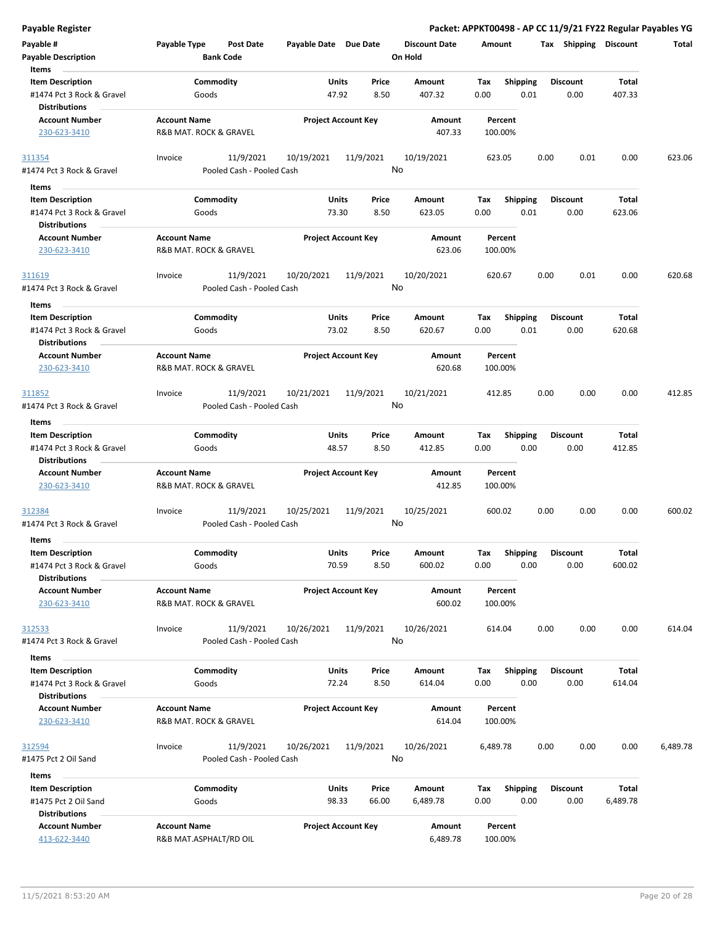| Payable Register                                                             |                                               |                                        |                       |                            |                                 |             |                         | Packet: APPKT00498 - AP CC 11/9/21 FY22 Regular Payables YG |                        |          |
|------------------------------------------------------------------------------|-----------------------------------------------|----------------------------------------|-----------------------|----------------------------|---------------------------------|-------------|-------------------------|-------------------------------------------------------------|------------------------|----------|
| Payable #<br><b>Payable Description</b>                                      | Payable Type                                  | Post Date<br><b>Bank Code</b>          | Payable Date Due Date |                            | <b>Discount Date</b><br>On Hold | Amount      |                         | Tax Shipping Discount                                       |                        | Total    |
| Items                                                                        |                                               |                                        |                       |                            |                                 |             |                         |                                                             |                        |          |
| <b>Item Description</b>                                                      |                                               | Commodity                              |                       | Units<br>Price             | Amount                          | Tax         | <b>Shipping</b>         | <b>Discount</b>                                             | <b>Total</b>           |          |
| #1474 Pct 3 Rock & Gravel<br><b>Distributions</b>                            | Goods                                         |                                        | 47.92                 | 8.50                       | 407.32                          | 0.00        | 0.01                    | 0.00                                                        | 407.33                 |          |
| <b>Account Number</b><br>230-623-3410                                        | <b>Account Name</b><br>R&B MAT. ROCK & GRAVEL |                                        |                       | <b>Project Account Key</b> | Amount<br>407.33                |             | Percent<br>100.00%      |                                                             |                        |          |
| 311354<br>#1474 Pct 3 Rock & Gravel                                          | Invoice                                       | 11/9/2021<br>Pooled Cash - Pooled Cash | 10/19/2021            | 11/9/2021                  | 10/19/2021<br>No                | 623.05      |                         | 0.00<br>0.01                                                | 0.00                   | 623.06   |
| Items                                                                        |                                               |                                        |                       |                            |                                 |             |                         |                                                             |                        |          |
| <b>Item Description</b>                                                      |                                               | Commodity                              |                       | Units<br>Price             | Amount                          | Tax         | <b>Shipping</b>         | <b>Discount</b>                                             | Total                  |          |
| #1474 Pct 3 Rock & Gravel<br><b>Distributions</b>                            | Goods                                         |                                        | 73.30                 | 8.50                       | 623.05                          | 0.00        | 0.01                    | 0.00                                                        | 623.06                 |          |
| <b>Account Number</b><br>230-623-3410                                        | <b>Account Name</b><br>R&B MAT. ROCK & GRAVEL |                                        |                       | <b>Project Account Key</b> | Amount<br>623.06                |             | Percent<br>100.00%      |                                                             |                        |          |
| 311619<br>#1474 Pct 3 Rock & Gravel                                          | Invoice                                       | 11/9/2021<br>Pooled Cash - Pooled Cash | 10/20/2021            | 11/9/2021                  | 10/20/2021<br>No                | 620.67      |                         | 0.00<br>0.01                                                | 0.00                   | 620.68   |
| Items                                                                        |                                               |                                        |                       |                            |                                 |             |                         |                                                             |                        |          |
| <b>Item Description</b><br>#1474 Pct 3 Rock & Gravel<br><b>Distributions</b> | Goods                                         | Commodity                              | 73.02                 | Units<br>Price<br>8.50     | Amount<br>620.67                | Tax<br>0.00 | <b>Shipping</b><br>0.01 | <b>Discount</b><br>0.00                                     | Total<br>620.68        |          |
| <b>Account Number</b><br>230-623-3410                                        | <b>Account Name</b><br>R&B MAT. ROCK & GRAVEL |                                        |                       | <b>Project Account Key</b> | Amount<br>620.68                |             | Percent<br>100.00%      |                                                             |                        |          |
| 311852                                                                       | Invoice                                       | 11/9/2021<br>Pooled Cash - Pooled Cash | 10/21/2021            | 11/9/2021                  | 10/21/2021<br>No                | 412.85      |                         | 0.00<br>0.00                                                | 0.00                   | 412.85   |
| #1474 Pct 3 Rock & Gravel                                                    |                                               |                                        |                       |                            |                                 |             |                         |                                                             |                        |          |
| Items                                                                        |                                               |                                        |                       |                            |                                 |             |                         |                                                             |                        |          |
| <b>Item Description</b><br>#1474 Pct 3 Rock & Gravel<br><b>Distributions</b> | Goods                                         | Commodity                              | 48.57                 | Units<br>Price<br>8.50     | Amount<br>412.85                | Tax<br>0.00 | <b>Shipping</b><br>0.00 | <b>Discount</b><br>0.00                                     | <b>Total</b><br>412.85 |          |
| <b>Account Number</b>                                                        | <b>Account Name</b>                           |                                        |                       | <b>Project Account Key</b> | Amount                          |             | Percent                 |                                                             |                        |          |
| 230-623-3410                                                                 | R&B MAT. ROCK & GRAVEL                        |                                        |                       |                            | 412.85                          |             | 100.00%                 |                                                             |                        |          |
| 312384                                                                       | Invoice                                       | 11/9/2021                              | 10/25/2021            | 11/9/2021                  | 10/25/2021                      | 600.02      |                         | 0.00<br>0.00                                                | 0.00                   | 600.02   |
| #1474 Pct 3 Rock & Gravel                                                    |                                               | Pooled Cash - Pooled Cash              |                       |                            | No                              |             |                         |                                                             |                        |          |
| Items                                                                        |                                               |                                        |                       |                            |                                 |             |                         |                                                             |                        |          |
| <b>Item Description</b><br>#1474 Pct 3 Rock & Gravel<br><b>Distributions</b> |                                               | Commodity<br>Goods                     | <b>Units</b><br>70.59 | Price<br>8.50              | Amount<br>600.02                | Tax<br>0.00 | Shipping<br>0.00        | <b>Discount</b><br>0.00                                     | <b>Total</b><br>600.02 |          |
| <b>Account Number</b><br>230-623-3410                                        | <b>Account Name</b><br>R&B MAT. ROCK & GRAVEL |                                        |                       | <b>Project Account Key</b> | Amount<br>600.02                |             | Percent<br>100.00%      |                                                             |                        |          |
| 312533                                                                       | Invoice                                       | 11/9/2021                              | 10/26/2021            | 11/9/2021                  | 10/26/2021                      | 614.04      |                         | 0.00<br>0.00                                                | 0.00                   | 614.04   |
| #1474 Pct 3 Rock & Gravel                                                    |                                               | Pooled Cash - Pooled Cash              |                       |                            | No                              |             |                         |                                                             |                        |          |
| Items                                                                        |                                               |                                        |                       |                            |                                 |             |                         |                                                             |                        |          |
| <b>Item Description</b>                                                      |                                               | Commodity                              |                       | Units<br>Price             | Amount                          | Tax         | <b>Shipping</b>         | <b>Discount</b>                                             | Total                  |          |
| #1474 Pct 3 Rock & Gravel<br><b>Distributions</b>                            | Goods                                         |                                        | 72.24                 | 8.50                       | 614.04                          | 0.00        | 0.00                    | 0.00                                                        | 614.04                 |          |
| <b>Account Number</b><br>230-623-3410                                        | <b>Account Name</b><br>R&B MAT. ROCK & GRAVEL |                                        |                       | <b>Project Account Key</b> | Amount<br>614.04                |             | Percent<br>100.00%      |                                                             |                        |          |
| 312594<br>#1475 Pct 2 Oil Sand                                               | Invoice                                       | 11/9/2021<br>Pooled Cash - Pooled Cash | 10/26/2021            | 11/9/2021                  | 10/26/2021<br>No                | 6,489.78    |                         | 0.00<br>0.00                                                | 0.00                   | 6,489.78 |
| Items                                                                        |                                               |                                        |                       |                            |                                 |             |                         |                                                             |                        |          |
| <b>Item Description</b>                                                      |                                               | Commodity                              |                       | Units<br>Price             | Amount                          | Tax         | <b>Shipping</b>         | <b>Discount</b>                                             | Total                  |          |
| #1475 Pct 2 Oil Sand<br><b>Distributions</b>                                 | Goods                                         |                                        | 98.33                 | 66.00                      | 6,489.78                        | 0.00        | 0.00                    | 0.00                                                        | 6,489.78               |          |
| <b>Account Number</b>                                                        | <b>Account Name</b>                           |                                        |                       | <b>Project Account Key</b> | Amount                          |             | Percent                 |                                                             |                        |          |
| 413-622-3440                                                                 | R&B MAT.ASPHALT/RD OIL                        |                                        |                       |                            | 6,489.78                        |             | 100.00%                 |                                                             |                        |          |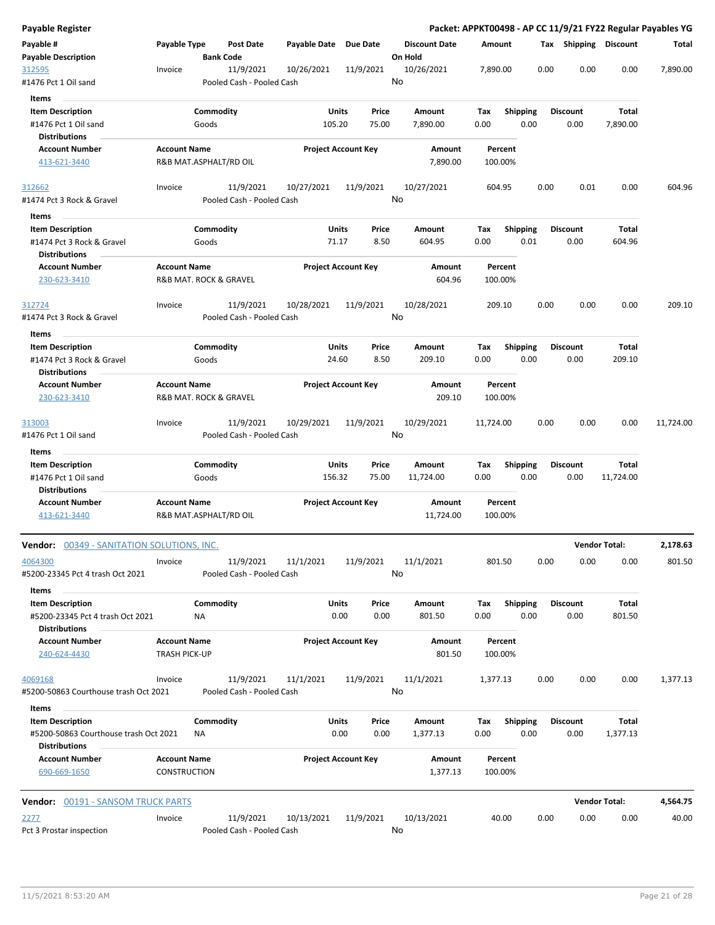| Payable Register                                              |                                             |                        |                                        |              |                            |                                 |                    |                 |                       |                      | Packet: APPKT00498 - AP CC 11/9/21 FY22 Regular Payables YG |
|---------------------------------------------------------------|---------------------------------------------|------------------------|----------------------------------------|--------------|----------------------------|---------------------------------|--------------------|-----------------|-----------------------|----------------------|-------------------------------------------------------------|
| Payable #<br><b>Payable Description</b>                       | Payable Type                                | <b>Bank Code</b>       | Post Date                              | Payable Date | Due Date                   | <b>Discount Date</b><br>On Hold | Amount             |                 | Tax Shipping Discount |                      | Total                                                       |
| 312595<br>#1476 Pct 1 Oil sand                                | Invoice                                     |                        | 11/9/2021<br>Pooled Cash - Pooled Cash | 10/26/2021   | 11/9/2021                  | 10/26/2021<br>No                | 7,890.00           |                 | 0.00<br>0.00          | 0.00                 | 7,890.00                                                    |
| Items                                                         |                                             |                        |                                        |              |                            |                                 |                    |                 |                       |                      |                                                             |
| <b>Item Description</b>                                       |                                             | Commodity              |                                        | Units        | Price                      | Amount                          | Тах                | <b>Shipping</b> | <b>Discount</b>       | Total                |                                                             |
| #1476 Pct 1 Oil sand                                          |                                             | Goods                  |                                        | 105.20       | 75.00                      | 7,890.00                        | 0.00               | 0.00            | 0.00                  | 7,890.00             |                                                             |
| <b>Distributions</b><br><b>Account Number</b>                 | <b>Account Name</b>                         |                        |                                        |              |                            | Amount                          | Percent            |                 |                       |                      |                                                             |
| 413-621-3440                                                  |                                             | R&B MAT.ASPHALT/RD OIL |                                        |              | <b>Project Account Key</b> | 7,890.00                        | 100.00%            |                 |                       |                      |                                                             |
| 312662                                                        | Invoice                                     |                        | 11/9/2021                              | 10/27/2021   | 11/9/2021                  | 10/27/2021                      | 604.95             |                 | 0.01<br>0.00          | 0.00                 | 604.96                                                      |
| #1474 Pct 3 Rock & Gravel                                     |                                             |                        | Pooled Cash - Pooled Cash              |              |                            | No                              |                    |                 |                       |                      |                                                             |
| Items                                                         |                                             |                        |                                        |              |                            |                                 |                    |                 |                       |                      |                                                             |
| <b>Item Description</b>                                       |                                             | Commodity              |                                        | Units        | Price                      | Amount                          | Tax                | <b>Shipping</b> | <b>Discount</b>       | Total                |                                                             |
| #1474 Pct 3 Rock & Gravel<br><b>Distributions</b>             |                                             | Goods                  |                                        | 71.17        | 8.50                       | 604.95                          | 0.00               | 0.01            | 0.00                  | 604.96               |                                                             |
| <b>Account Number</b><br>230-623-3410                         | <b>Account Name</b>                         | R&B MAT. ROCK & GRAVEL |                                        |              | <b>Project Account Key</b> | Amount<br>604.96                | Percent<br>100.00% |                 |                       |                      |                                                             |
|                                                               |                                             |                        |                                        |              |                            |                                 |                    |                 |                       |                      |                                                             |
| 312724                                                        | Invoice                                     |                        | 11/9/2021                              | 10/28/2021   | 11/9/2021                  | 10/28/2021                      | 209.10             |                 | 0.00<br>0.00          | 0.00                 | 209.10                                                      |
| #1474 Pct 3 Rock & Gravel                                     |                                             |                        | Pooled Cash - Pooled Cash              |              |                            | No                              |                    |                 |                       |                      |                                                             |
| Items                                                         |                                             |                        |                                        |              |                            |                                 |                    |                 |                       |                      |                                                             |
| <b>Item Description</b>                                       |                                             | Commodity              |                                        | <b>Units</b> | Price                      | Amount                          | Tax                | <b>Shipping</b> | <b>Discount</b>       | Total                |                                                             |
| #1474 Pct 3 Rock & Gravel                                     |                                             | Goods                  |                                        | 24.60        | 8.50                       | 209.10                          | 0.00               | 0.00            | 0.00                  | 209.10               |                                                             |
| <b>Distributions</b>                                          |                                             |                        |                                        |              |                            |                                 |                    |                 |                       |                      |                                                             |
| <b>Account Number</b>                                         | <b>Account Name</b>                         |                        |                                        |              | <b>Project Account Key</b> | Amount                          | Percent            |                 |                       |                      |                                                             |
| 230-623-3410                                                  |                                             | R&B MAT. ROCK & GRAVEL |                                        |              |                            | 209.10                          | 100.00%            |                 |                       |                      |                                                             |
| 313003<br>#1476 Pct 1 Oil sand                                | Invoice                                     |                        | 11/9/2021<br>Pooled Cash - Pooled Cash | 10/29/2021   | 11/9/2021                  | 10/29/2021<br>No                | 11,724.00          |                 | 0.00<br>0.00          | 0.00                 | 11,724.00                                                   |
|                                                               |                                             |                        |                                        |              |                            |                                 |                    |                 |                       |                      |                                                             |
| Items<br><b>Item Description</b>                              |                                             | Commodity              |                                        | Units        | Price                      | Amount                          | Тах                | <b>Shipping</b> | <b>Discount</b>       | Total                |                                                             |
| #1476 Pct 1 Oil sand                                          |                                             | Goods                  |                                        | 156.32       | 75.00                      | 11,724.00                       | 0.00               | 0.00            | 0.00                  | 11,724.00            |                                                             |
| <b>Distributions</b>                                          |                                             |                        |                                        |              |                            |                                 |                    |                 |                       |                      |                                                             |
| <b>Account Number</b>                                         | <b>Account Name</b>                         |                        |                                        |              | <b>Project Account Key</b> | Amount                          | Percent            |                 |                       |                      |                                                             |
| 413-621-3440                                                  |                                             | R&B MAT.ASPHALT/RD OIL |                                        |              |                            | 11,724.00                       | 100.00%            |                 |                       |                      |                                                             |
| Vendor: 00349 - SANITATION SOLUTIONS, INC.                    |                                             |                        |                                        |              |                            |                                 |                    |                 |                       | <b>Vendor Total:</b> | 2,178.63                                                    |
| 4064300                                                       | Invoice                                     |                        | 11/9/2021                              | 11/1/2021    | 11/9/2021                  | 11/1/2021                       | 801.50             |                 | 0.00<br>0.00          | 0.00                 | 801.50                                                      |
| #5200-23345 Pct 4 trash Oct 2021                              |                                             |                        | Pooled Cash - Pooled Cash              |              |                            | No                              |                    |                 |                       |                      |                                                             |
| Items                                                         |                                             |                        |                                        |              |                            |                                 |                    |                 |                       |                      |                                                             |
| <b>Item Description</b>                                       |                                             | Commodity              |                                        | <b>Units</b> | Price                      | Amount                          | Тах                | Shipping        | <b>Discount</b>       | Total                |                                                             |
| #5200-23345 Pct 4 trash Oct 2021                              |                                             | NA                     |                                        | 0.00         | 0.00                       | 801.50                          | 0.00               | 0.00            | 0.00                  | 801.50               |                                                             |
| <b>Distributions</b>                                          |                                             |                        |                                        |              |                            |                                 |                    |                 |                       |                      |                                                             |
| <b>Account Number</b><br>240-624-4430                         | <b>Account Name</b><br><b>TRASH PICK-UP</b> |                        |                                        |              | <b>Project Account Key</b> | Amount<br>801.50                | Percent<br>100.00% |                 |                       |                      |                                                             |
| 4069168                                                       | Invoice                                     |                        | 11/9/2021                              | 11/1/2021    | 11/9/2021                  | 11/1/2021                       | 1,377.13           |                 | 0.00<br>0.00          | 0.00                 | 1,377.13                                                    |
| #5200-50863 Courthouse trash Oct 2021<br>Items                |                                             |                        | Pooled Cash - Pooled Cash              |              |                            | No                              |                    |                 |                       |                      |                                                             |
| <b>Item Description</b>                                       |                                             | Commodity              |                                        | <b>Units</b> | Price                      | Amount                          | Tax                | <b>Shipping</b> | <b>Discount</b>       | Total                |                                                             |
| #5200-50863 Courthouse trash Oct 2021<br><b>Distributions</b> |                                             | ΝA                     |                                        | 0.00         | 0.00                       | 1,377.13                        | 0.00               | 0.00            | 0.00                  | 1,377.13             |                                                             |
| <b>Account Number</b>                                         | <b>Account Name</b>                         |                        |                                        |              | <b>Project Account Key</b> | Amount                          | Percent            |                 |                       |                      |                                                             |
| 690-669-1650                                                  | <b>CONSTRUCTION</b>                         |                        |                                        |              |                            | 1,377.13                        | 100.00%            |                 |                       |                      |                                                             |
| <b>Vendor: 00191 - SANSOM TRUCK PARTS</b>                     |                                             |                        |                                        |              |                            |                                 |                    |                 |                       | <b>Vendor Total:</b> | 4,564.75                                                    |
| 2277                                                          | Invoice                                     |                        | 11/9/2021                              | 10/13/2021   | 11/9/2021                  | 10/13/2021                      | 40.00              |                 | 0.00<br>0.00          | 0.00                 | 40.00                                                       |
| Pct 3 Prostar inspection                                      |                                             |                        | Pooled Cash - Pooled Cash              |              |                            | No                              |                    |                 |                       |                      |                                                             |
|                                                               |                                             |                        |                                        |              |                            |                                 |                    |                 |                       |                      |                                                             |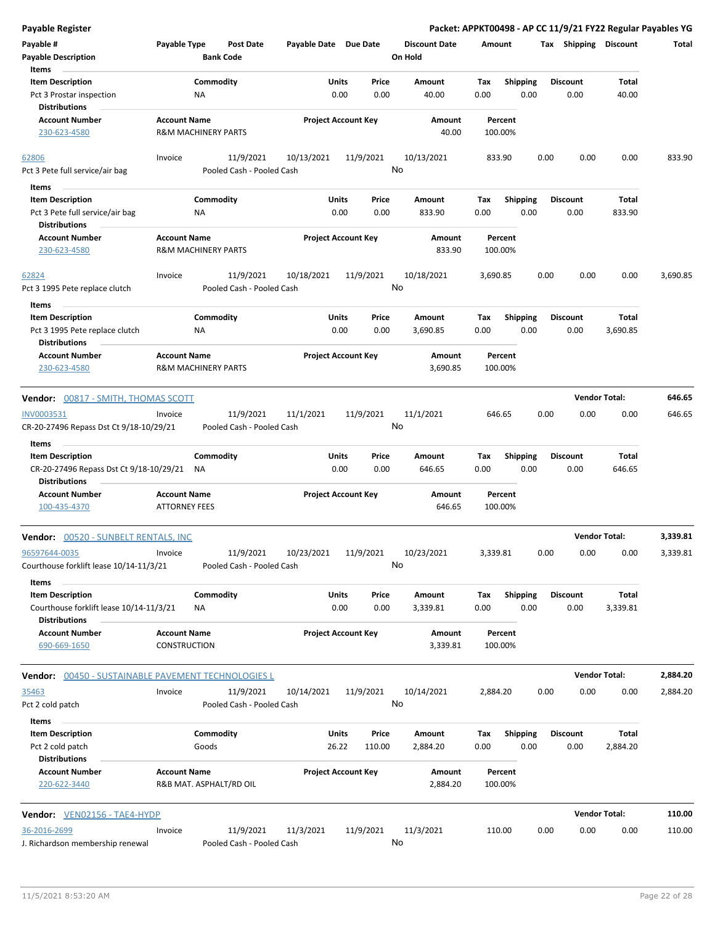| Payable Register                                                                                    |                                                       |                                        |                       |                                   |                                 | Packet: APPKT00498 - AP CC 11/9/21 FY22 Regular Payables YG |      |                         |                   |          |
|-----------------------------------------------------------------------------------------------------|-------------------------------------------------------|----------------------------------------|-----------------------|-----------------------------------|---------------------------------|-------------------------------------------------------------|------|-------------------------|-------------------|----------|
| Payable #<br><b>Payable Description</b>                                                             | Payable Type                                          | <b>Post Date</b><br><b>Bank Code</b>   | Payable Date Due Date |                                   | <b>Discount Date</b><br>On Hold | Amount                                                      |      | Tax Shipping Discount   |                   | Total    |
| Items<br><b>Item Description</b><br>Pct 3 Prostar inspection<br><b>Distributions</b>                | ΝA                                                    | Commodity                              |                       | Units<br>Price<br>0.00<br>0.00    | Amount<br>40.00                 | Shipping<br>Tax<br>0.00                                     | 0.00 | Discount<br>0.00        | Total<br>40.00    |          |
| <b>Account Number</b><br>230-623-4580                                                               | <b>Account Name</b><br><b>R&amp;M MACHINERY PARTS</b> |                                        |                       | <b>Project Account Key</b>        | Amount<br>40.00                 | Percent<br>100.00%                                          |      |                         |                   |          |
| 62806<br>Pct 3 Pete full service/air bag                                                            | Invoice                                               | 11/9/2021<br>Pooled Cash - Pooled Cash | 10/13/2021            | 11/9/2021                         | 10/13/2021<br>No                | 833.90                                                      | 0.00 | 0.00                    | 0.00              | 833.90   |
| Items<br><b>Item Description</b><br>Pct 3 Pete full service/air bag<br><b>Distributions</b>         | ΝA                                                    | Commodity                              |                       | Units<br>Price<br>0.00<br>0.00    | Amount<br>833.90                | Tax<br><b>Shipping</b><br>0.00                              | 0.00 | <b>Discount</b><br>0.00 | Total<br>833.90   |          |
| <b>Account Number</b><br>230-623-4580                                                               | <b>Account Name</b><br><b>R&amp;M MACHINERY PARTS</b> |                                        |                       | <b>Project Account Key</b>        | Amount<br>833.90                | Percent<br>100.00%                                          |      |                         |                   |          |
| 62824<br>Pct 3 1995 Pete replace clutch                                                             | Invoice                                               | 11/9/2021<br>Pooled Cash - Pooled Cash | 10/18/2021            | 11/9/2021                         | 10/18/2021<br>No                | 3,690.85                                                    | 0.00 | 0.00                    | 0.00              | 3,690.85 |
| Items<br><b>Item Description</b><br>Pct 3 1995 Pete replace clutch<br><b>Distributions</b>          | ΝA                                                    | Commodity                              |                       | Units<br>Price<br>0.00<br>0.00    | Amount<br>3,690.85              | Tax<br><b>Shipping</b><br>0.00                              | 0.00 | <b>Discount</b><br>0.00 | Total<br>3,690.85 |          |
| <b>Account Number</b><br>230-623-4580                                                               | <b>Account Name</b><br><b>R&amp;M MACHINERY PARTS</b> |                                        |                       | <b>Project Account Key</b>        | Amount<br>3,690.85              | Percent<br>100.00%                                          |      |                         |                   |          |
| Vendor: 00817 - SMITH, THOMAS SCOTT                                                                 |                                                       |                                        |                       |                                   |                                 |                                                             |      | <b>Vendor Total:</b>    |                   | 646.65   |
| INV0003531<br>CR-20-27496 Repass Dst Ct 9/18-10/29/21                                               | Invoice                                               | 11/9/2021<br>Pooled Cash - Pooled Cash | 11/1/2021             | 11/9/2021                         | 11/1/2021<br>No                 | 646.65                                                      | 0.00 | 0.00                    | 0.00              | 646.65   |
| Items<br><b>Item Description</b><br>CR-20-27496 Repass Dst Ct 9/18-10/29/21<br><b>Distributions</b> | NA                                                    | Commodity                              |                       | Units<br>Price<br>0.00<br>0.00    | Amount<br>646.65                | <b>Shipping</b><br>Tax<br>0.00                              | 0.00 | <b>Discount</b><br>0.00 | Total<br>646.65   |          |
| <b>Account Number</b><br>100-435-4370                                                               | <b>Account Name</b><br><b>ATTORNEY FEES</b>           |                                        |                       | <b>Project Account Key</b>        | Amount<br>646.65                | Percent<br>100.00%                                          |      |                         |                   |          |
| Vendor: 00520 - SUNBELT RENTALS, INC                                                                |                                                       |                                        |                       |                                   |                                 |                                                             |      | <b>Vendor Total:</b>    |                   | 3,339.81 |
| 96597644-0035<br>Courthouse forklift lease 10/14-11/3/21                                            | Invoice                                               | 11/9/2021<br>Pooled Cash - Pooled Cash | 10/23/2021            | 11/9/2021                         | 10/23/2021<br>No                | 3,339.81                                                    | 0.00 | 0.00                    | 0.00              | 3,339.81 |
| Items<br><b>Item Description</b><br>Courthouse forklift lease 10/14-11/3/21<br><b>Distributions</b> | ΝA                                                    | Commodity                              |                       | Units<br>Price<br>0.00<br>0.00    | Amount<br>3,339.81              | Shipping<br>Tax<br>0.00                                     | 0.00 | <b>Discount</b><br>0.00 | Total<br>3,339.81 |          |
| <b>Account Number</b><br>690-669-1650                                                               | <b>Account Name</b><br>CONSTRUCTION                   |                                        |                       | <b>Project Account Key</b>        | Amount<br>3,339.81              | Percent<br>100.00%                                          |      |                         |                   |          |
| Vendor:<br>00450 - SUSTAINABLE PAVEMENT TECHNOLOGIES L                                              |                                                       |                                        |                       |                                   |                                 |                                                             |      | <b>Vendor Total:</b>    |                   | 2,884.20 |
| 35463<br>Pct 2 cold patch                                                                           | Invoice                                               | 11/9/2021<br>Pooled Cash - Pooled Cash | 10/14/2021            | 11/9/2021                         | 10/14/2021<br>No                | 2,884.20                                                    | 0.00 | 0.00                    | 0.00              | 2,884.20 |
| Items<br><b>Item Description</b><br>Pct 2 cold patch<br><b>Distributions</b>                        |                                                       | Commodity<br>Goods                     |                       | Units<br>Price<br>26.22<br>110.00 | Amount<br>2,884.20              | Shipping<br>Tax<br>0.00                                     | 0.00 | <b>Discount</b><br>0.00 | Total<br>2,884.20 |          |
| <b>Account Number</b><br>220-622-3440                                                               | <b>Account Name</b>                                   | R&B MAT. ASPHALT/RD OIL                |                       | <b>Project Account Key</b>        | Amount<br>2,884.20              | Percent<br>100.00%                                          |      |                         |                   |          |
| Vendor: VEN02156 - TAE4-HYDP                                                                        |                                                       |                                        |                       |                                   |                                 |                                                             |      | <b>Vendor Total:</b>    |                   | 110.00   |
| 36-2016-2699<br>J. Richardson membership renewal                                                    | Invoice                                               | 11/9/2021<br>Pooled Cash - Pooled Cash | 11/3/2021             | 11/9/2021                         | 11/3/2021<br>No                 | 110.00                                                      | 0.00 | 0.00                    | 0.00              | 110.00   |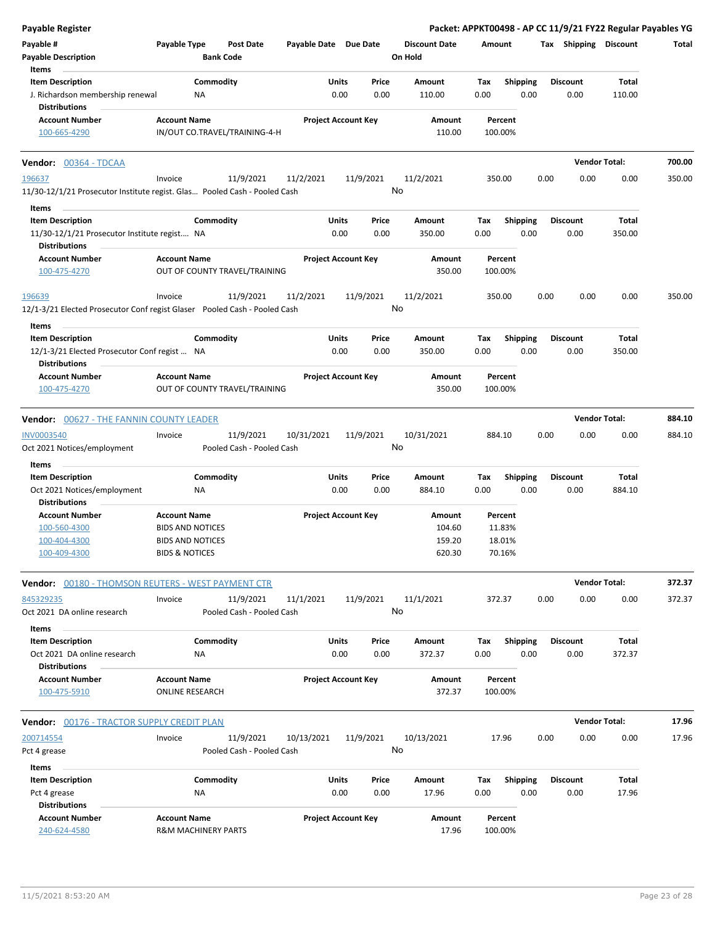| <b>Payable Register</b>                                                                         |                                                       |                            |                 |                                 | Packet: APPKT00498 - AP CC 11/9/21 FY22 Regular Payables YG |                         |                      |        |
|-------------------------------------------------------------------------------------------------|-------------------------------------------------------|----------------------------|-----------------|---------------------------------|-------------------------------------------------------------|-------------------------|----------------------|--------|
| Payable #<br><b>Payable Description</b>                                                         | Payable Type<br><b>Post Date</b><br><b>Bank Code</b>  | Payable Date Due Date      |                 | <b>Discount Date</b><br>On Hold | Amount                                                      | Tax Shipping Discount   |                      | Total  |
| Items<br><b>Item Description</b>                                                                | Commodity                                             | Units                      | Price           | Amount                          | <b>Shipping</b><br>Tax                                      | Discount                | Total                |        |
| J. Richardson membership renewal<br><b>Distributions</b>                                        | ΝA                                                    | 0.00                       | 0.00            | 110.00                          | 0.00<br>0.00                                                | 0.00                    | 110.00               |        |
| <b>Account Number</b>                                                                           | <b>Account Name</b>                                   | <b>Project Account Key</b> |                 | Amount                          | Percent                                                     |                         |                      |        |
| 100-665-4290                                                                                    | IN/OUT CO.TRAVEL/TRAINING-4-H                         |                            |                 | 110.00                          | 100.00%                                                     |                         |                      |        |
| Vendor: 00364 - TDCAA                                                                           |                                                       |                            |                 |                                 |                                                             |                         | <b>Vendor Total:</b> | 700.00 |
| 196637<br>11/30-12/1/21 Prosecutor Institute regist. Glas Pooled Cash - Pooled Cash             | 11/9/2021<br>Invoice                                  | 11/2/2021                  | 11/9/2021<br>No | 11/2/2021                       | 350.00                                                      | 0.00<br>0.00            | 0.00                 | 350.00 |
| Items                                                                                           |                                                       |                            |                 |                                 |                                                             |                         |                      |        |
| <b>Item Description</b><br>11/30-12/1/21 Prosecutor Institute regist NA<br><b>Distributions</b> | Commodity                                             | Units<br>0.00              | Price<br>0.00   | Amount<br>350.00                | Tax<br><b>Shipping</b><br>0.00<br>0.00                      | <b>Discount</b><br>0.00 | Total<br>350.00      |        |
| <b>Account Number</b>                                                                           | <b>Account Name</b>                                   | <b>Project Account Key</b> |                 | Amount                          | Percent                                                     |                         |                      |        |
| 100-475-4270                                                                                    | OUT OF COUNTY TRAVEL/TRAINING                         |                            |                 | 350.00                          | 100.00%                                                     |                         |                      |        |
| 196639<br>12/1-3/21 Elected Prosecutor Conf regist Glaser Pooled Cash - Pooled Cash             | 11/9/2021<br>Invoice                                  | 11/2/2021                  | 11/9/2021<br>No | 11/2/2021                       | 350.00                                                      | 0.00<br>0.00            | 0.00                 | 350.00 |
| Items                                                                                           |                                                       |                            |                 |                                 |                                                             |                         |                      |        |
| <b>Item Description</b>                                                                         | Commodity                                             | Units                      | Price           | Amount                          | <b>Shipping</b><br>Tax                                      | <b>Discount</b>         | Total                |        |
| 12/1-3/21 Elected Prosecutor Conf regist  NA<br><b>Distributions</b>                            |                                                       | 0.00                       | 0.00            | 350.00                          | 0.00<br>0.00                                                | 0.00                    | 350.00               |        |
| <b>Account Number</b><br>100-475-4270                                                           | <b>Account Name</b><br>OUT OF COUNTY TRAVEL/TRAINING  | <b>Project Account Key</b> |                 | Amount<br>350.00                | Percent<br>100.00%                                          |                         |                      |        |
| <b>Vendor: 00627 - THE FANNIN COUNTY LEADER</b>                                                 |                                                       |                            |                 |                                 |                                                             |                         | <b>Vendor Total:</b> | 884.10 |
| <b>INV0003540</b>                                                                               | 11/9/2021<br>Invoice                                  | 10/31/2021                 | 11/9/2021       | 10/31/2021                      | 884.10                                                      | 0.00<br>0.00            | 0.00                 | 884.10 |
| Oct 2021 Notices/employment                                                                     | Pooled Cash - Pooled Cash                             |                            | No              |                                 |                                                             |                         |                      |        |
| Items                                                                                           |                                                       |                            |                 |                                 |                                                             |                         |                      |        |
| <b>Item Description</b>                                                                         | Commodity                                             | Units                      | Price           | Amount                          | Tax<br><b>Shipping</b>                                      | <b>Discount</b>         | Total                |        |
| Oct 2021 Notices/employment                                                                     | <b>NA</b>                                             | 0.00                       | 0.00            | 884.10                          | 0.00<br>0.00                                                | 0.00                    | 884.10               |        |
| <b>Distributions</b>                                                                            |                                                       |                            |                 |                                 |                                                             |                         |                      |        |
| <b>Account Number</b>                                                                           | <b>Account Name</b>                                   | <b>Project Account Key</b> |                 | Amount                          | Percent                                                     |                         |                      |        |
| 100-560-4300                                                                                    | <b>BIDS AND NOTICES</b>                               |                            |                 | 104.60                          | 11.83%                                                      |                         |                      |        |
| 100-404-4300<br>100-409-4300                                                                    | <b>BIDS AND NOTICES</b><br><b>BIDS &amp; NOTICES</b>  |                            |                 | 159.20<br>620.30                | 18.01%<br>70.16%                                            |                         |                      |        |
| <b>Vendor:</b> 00180 - THOMSON REUTERS - WEST PAYMENT CTR                                       |                                                       |                            |                 |                                 |                                                             |                         | <b>Vendor Total:</b> | 372.37 |
| 845329235                                                                                       | 11/9/2021<br>Invoice                                  | 11/1/2021                  | 11/9/2021       | 11/1/2021                       | 372.37                                                      | 0.00<br>0.00            | 0.00                 | 372.37 |
| Oct 2021 DA online research                                                                     | Pooled Cash - Pooled Cash                             |                            | No              |                                 |                                                             |                         |                      |        |
| Items                                                                                           |                                                       |                            |                 |                                 |                                                             |                         |                      |        |
| <b>Item Description</b><br>Oct 2021 DA online research                                          | Commodity<br>NA                                       | Units<br>0.00              | Price<br>0.00   | Amount<br>372.37                | Tax<br><b>Shipping</b><br>0.00<br>0.00                      | <b>Discount</b><br>0.00 | Total<br>372.37      |        |
| <b>Distributions</b><br><b>Account Number</b>                                                   | <b>Account Name</b>                                   |                            |                 |                                 | Percent                                                     |                         |                      |        |
| 100-475-5910                                                                                    | <b>ONLINE RESEARCH</b>                                | <b>Project Account Key</b> |                 | Amount<br>372.37                | 100.00%                                                     |                         |                      |        |
| Vendor: 00176 - TRACTOR SUPPLY CREDIT PLAN                                                      |                                                       |                            |                 |                                 |                                                             |                         | <b>Vendor Total:</b> | 17.96  |
| 200714554                                                                                       | 11/9/2021<br>Invoice                                  | 10/13/2021                 | 11/9/2021       | 10/13/2021                      | 17.96                                                       | 0.00<br>0.00            | 0.00                 | 17.96  |
| Pct 4 grease                                                                                    | Pooled Cash - Pooled Cash                             |                            | No              |                                 |                                                             |                         |                      |        |
| Items                                                                                           |                                                       |                            |                 |                                 |                                                             |                         |                      |        |
| <b>Item Description</b>                                                                         | Commodity                                             | Units                      | Price           | Amount                          | <b>Shipping</b><br>Tax                                      | <b>Discount</b>         | Total                |        |
| Pct 4 grease<br><b>Distributions</b>                                                            | NA                                                    | 0.00                       | 0.00            | 17.96                           | 0.00<br>0.00                                                | 0.00                    | 17.96                |        |
| <b>Account Number</b><br>240-624-4580                                                           | <b>Account Name</b><br><b>R&amp;M MACHINERY PARTS</b> | <b>Project Account Key</b> |                 | Amount<br>17.96                 | Percent<br>100.00%                                          |                         |                      |        |
|                                                                                                 |                                                       |                            |                 |                                 |                                                             |                         |                      |        |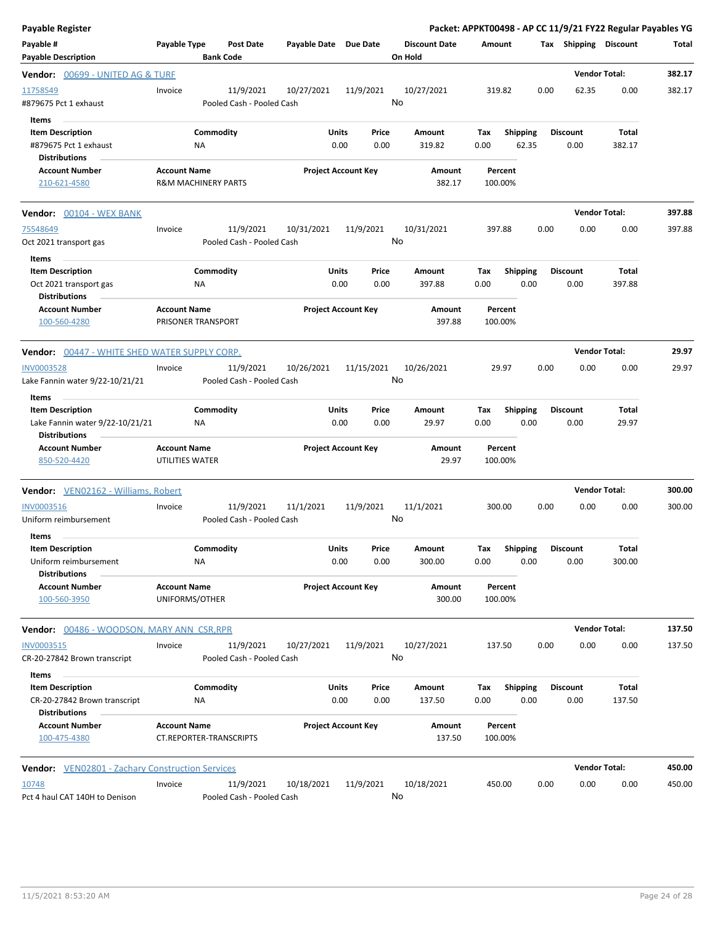| Payable Register                                                                   |                                                       |                                        |                       |                            |       |                                 |                    |                         |      |                         | Packet: APPKT00498 - AP CC 11/9/21 FY22 Regular Payables YG |        |
|------------------------------------------------------------------------------------|-------------------------------------------------------|----------------------------------------|-----------------------|----------------------------|-------|---------------------------------|--------------------|-------------------------|------|-------------------------|-------------------------------------------------------------|--------|
| Payable #<br><b>Payable Description</b>                                            | Payable Type                                          | Post Date<br><b>Bank Code</b>          | Payable Date Due Date |                            |       | <b>Discount Date</b><br>On Hold | Amount             |                         |      | Tax Shipping Discount   |                                                             | Total  |
| <b>Vendor: </b> 00699 - UNITED AG & TURF                                           |                                                       |                                        |                       |                            |       |                                 |                    |                         |      |                         | <b>Vendor Total:</b>                                        | 382.17 |
| 11758549<br>#879675 Pct 1 exhaust                                                  | Invoice                                               | 11/9/2021<br>Pooled Cash - Pooled Cash | 10/27/2021            | 11/9/2021                  |       | 10/27/2021<br>No                | 319.82             |                         | 0.00 | 62.35                   | 0.00                                                        | 382.17 |
| Items<br><b>Item Description</b>                                                   |                                                       | Commodity                              | Units                 | Price                      |       | Amount                          | Tax                | <b>Shipping</b>         |      | <b>Discount</b>         | Total                                                       |        |
| #879675 Pct 1 exhaust<br><b>Distributions</b>                                      | ΝA                                                    |                                        |                       | 0.00                       | 0.00  | 319.82                          | 0.00               | 62.35                   |      | 0.00                    | 382.17                                                      |        |
| <b>Account Number</b><br>210-621-4580                                              | <b>Account Name</b><br><b>R&amp;M MACHINERY PARTS</b> |                                        |                       | <b>Project Account Key</b> |       | Amount<br>382.17                | Percent<br>100.00% |                         |      |                         |                                                             |        |
| <b>Vendor:</b> 00104 - WEX BANK                                                    |                                                       |                                        |                       |                            |       |                                 |                    |                         |      |                         | <b>Vendor Total:</b>                                        | 397.88 |
| 75548649<br>Oct 2021 transport gas                                                 | Invoice                                               | 11/9/2021<br>Pooled Cash - Pooled Cash | 10/31/2021            | 11/9/2021                  |       | 10/31/2021<br>No                | 397.88             |                         | 0.00 | 0.00                    | 0.00                                                        | 397.88 |
| Items<br><b>Item Description</b><br>Oct 2021 transport gas<br><b>Distributions</b> | ΝA                                                    | Commodity                              | Units                 | Price<br>0.00              | 0.00  | Amount<br>397.88                | Tax<br>0.00        | <b>Shipping</b><br>0.00 |      | <b>Discount</b><br>0.00 | Total<br>397.88                                             |        |
| <b>Account Number</b><br>100-560-4280                                              | <b>Account Name</b><br>PRISONER TRANSPORT             |                                        |                       | <b>Project Account Key</b> |       | Amount<br>397.88                | Percent<br>100.00% |                         |      |                         |                                                             |        |
| Vendor: 00447 - WHITE SHED WATER SUPPLY CORP.                                      |                                                       |                                        |                       |                            |       |                                 |                    |                         |      |                         | <b>Vendor Total:</b>                                        | 29.97  |
| <b>INV0003528</b><br>Lake Fannin water 9/22-10/21/21                               | Invoice                                               | 11/9/2021<br>Pooled Cash - Pooled Cash | 10/26/2021            | 11/15/2021                 |       | 10/26/2021<br>No                | 29.97              |                         | 0.00 | 0.00                    | 0.00                                                        | 29.97  |
| Items<br><b>Item Description</b>                                                   |                                                       | Commodity                              | Units                 | Price                      |       | Amount                          | Tax                | <b>Shipping</b>         |      | <b>Discount</b>         | Total                                                       |        |
| Lake Fannin water 9/22-10/21/21<br><b>Distributions</b>                            | NA                                                    |                                        |                       | 0.00                       | 0.00  | 29.97                           | 0.00               | 0.00                    |      | 0.00                    | 29.97                                                       |        |
| <b>Account Number</b><br>850-520-4420                                              | <b>Account Name</b><br>UTILITIES WATER                |                                        |                       | <b>Project Account Key</b> |       | Amount<br>29.97                 | Percent<br>100.00% |                         |      |                         |                                                             |        |
| Vendor: VEN02162 - Williams, Robert                                                |                                                       |                                        |                       |                            |       |                                 |                    |                         |      |                         | <b>Vendor Total:</b>                                        | 300.00 |
| <b>INV0003516</b><br>Uniform reimbursement                                         | Invoice                                               | 11/9/2021<br>Pooled Cash - Pooled Cash | 11/1/2021             | 11/9/2021                  |       | 11/1/2021<br>No                 | 300.00             |                         | 0.00 | 0.00                    | 0.00                                                        | 300.00 |
| Items<br>Item Description<br>Uniform reimbursement<br><b>Distributions</b>         | NA                                                    | Commodity                              | Units                 | Price<br>0.00              | 0.00  | Amount<br>300.00                | Тах<br>0.00        | Shipping<br>0.00        |      | Discount<br>0.00        | Total<br>300.00                                             |        |
| <b>Account Number</b><br>100-560-3950                                              | <b>Account Name</b><br>UNIFORMS/OTHER                 |                                        |                       | <b>Project Account Key</b> |       | Amount<br>300.00                | Percent<br>100.00% |                         |      |                         |                                                             |        |
| Vendor: 00486 - WOODSON, MARY ANN CSR, RPR                                         |                                                       |                                        |                       |                            |       |                                 |                    |                         |      |                         | <b>Vendor Total:</b>                                        | 137.50 |
| INV0003515<br>CR-20-27842 Brown transcript                                         | Invoice                                               | 11/9/2021<br>Pooled Cash - Pooled Cash | 10/27/2021            | 11/9/2021                  |       | 10/27/2021<br>No                | 137.50             |                         | 0.00 | 0.00                    | 0.00                                                        | 137.50 |
| Items<br><b>Item Description</b>                                                   |                                                       | Commodity                              | Units                 |                            | Price | Amount                          | Tax                | <b>Shipping</b>         |      | <b>Discount</b>         | Total                                                       |        |
| CR-20-27842 Brown transcript<br><b>Distributions</b>                               | ΝA                                                    |                                        |                       | 0.00                       | 0.00  | 137.50                          | 0.00               | 0.00                    |      | 0.00                    | 137.50                                                      |        |
| <b>Account Number</b><br>100-475-4380                                              | <b>Account Name</b><br>CT.REPORTER-TRANSCRIPTS        |                                        |                       | <b>Project Account Key</b> |       | Amount<br>137.50                | Percent<br>100.00% |                         |      |                         |                                                             |        |
| Vendor: VEN02801 - Zachary Construction Services                                   |                                                       |                                        |                       |                            |       |                                 |                    |                         |      |                         | <b>Vendor Total:</b>                                        | 450.00 |
| 10748<br>Pct 4 haul CAT 140H to Denison                                            | Invoice                                               | 11/9/2021<br>Pooled Cash - Pooled Cash | 10/18/2021            | 11/9/2021                  |       | 10/18/2021<br>No                | 450.00             |                         | 0.00 | 0.00                    | 0.00                                                        | 450.00 |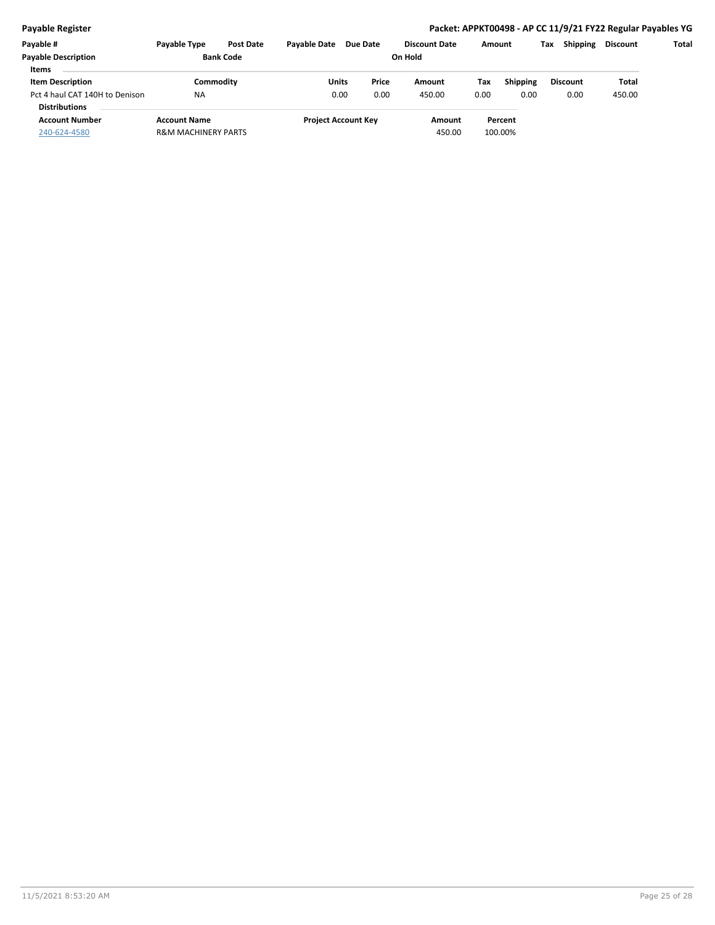#### **Payable Register Packet: APPKT00498 - AP CC 11/9/21 FY22 Regular Payables YG**

| Payable #                      | <b>Payable Type</b>            | <b>Post Date</b> | <b>Pavable Date</b> | <b>Due Date</b>            | <b>Discount Date</b> | Amount |                 | Tax | <b>Shipping</b> | <b>Discount</b> | Total |
|--------------------------------|--------------------------------|------------------|---------------------|----------------------------|----------------------|--------|-----------------|-----|-----------------|-----------------|-------|
| <b>Payable Description</b>     | <b>Bank Code</b>               |                  |                     |                            | On Hold              |        |                 |     |                 |                 |       |
| <b>Items</b>                   |                                |                  |                     |                            |                      |        |                 |     |                 |                 |       |
| <b>Item Description</b>        | Commoditv                      |                  | Units               | Price                      | Amount               | Tax    | <b>Shipping</b> |     | <b>Discount</b> | Total           |       |
| Pct 4 haul CAT 140H to Denison | <b>NA</b>                      |                  | 0.00                | 0.00                       | 450.00               | 0.00   | 0.00            |     | 0.00            | 450.00          |       |
| <b>Distributions</b>           |                                |                  |                     |                            |                      |        |                 |     |                 |                 |       |
| <b>Account Number</b>          | <b>Account Name</b>            |                  |                     | <b>Project Account Key</b> | Amount               |        | Percent         |     |                 |                 |       |
| 240-624-4580                   | <b>R&amp;M MACHINERY PARTS</b> |                  |                     |                            | 450.00               |        | 100.00%         |     |                 |                 |       |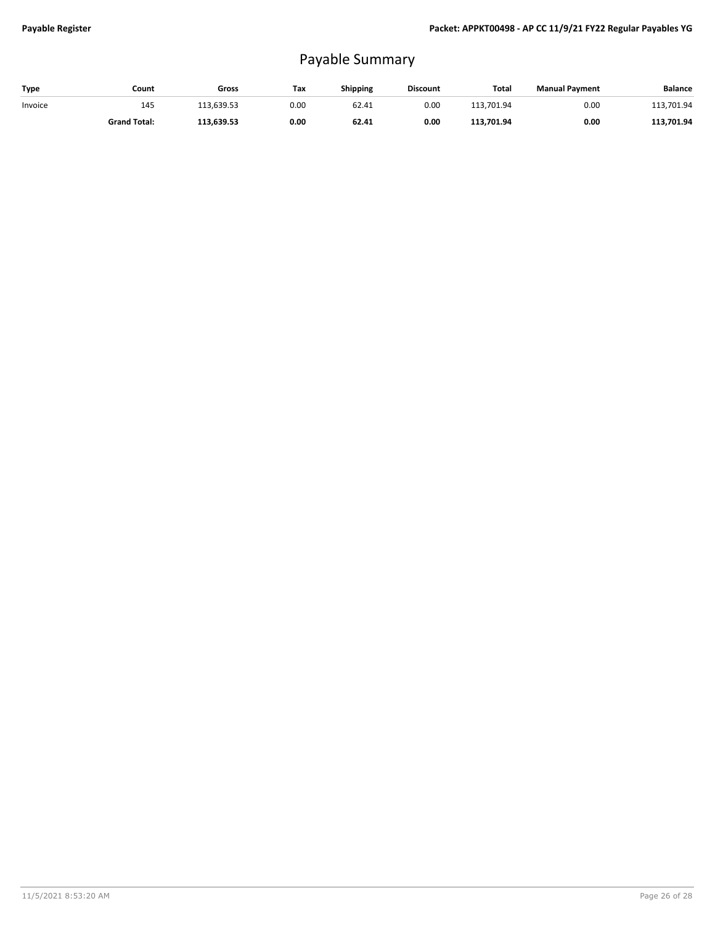# Payable Summary

| Type    | Count               | Gross      | Tax  | <b>Shipping</b> | <b>Discount</b> | Total      | <b>Manual Payment</b> | <b>Balance</b> |
|---------|---------------------|------------|------|-----------------|-----------------|------------|-----------------------|----------------|
| Invoice | 145                 | 113.639.53 | 0.00 | 62.41           | 0.00            | 113.701.94 | 0.00                  | 113,701.94     |
|         | <b>Grand Total:</b> | 113.639.53 | 0.00 | 62.41           | 0.00            | 113.701.94 | 0.00                  | 113.701.94     |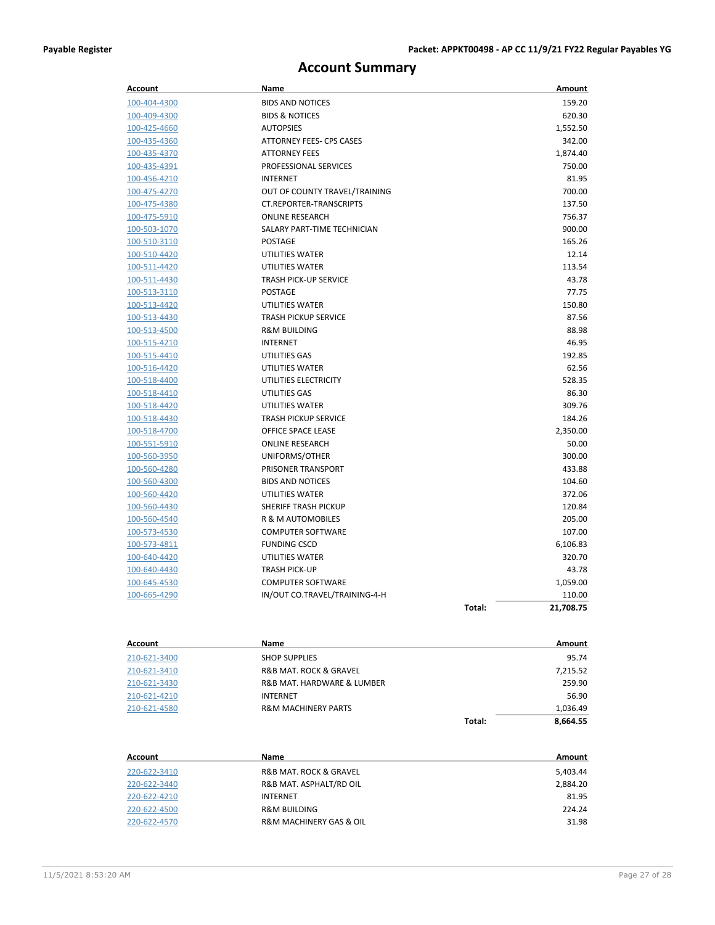## **Account Summary**

| Account      | Name                           |        | Amount    |
|--------------|--------------------------------|--------|-----------|
| 100-404-4300 | <b>BIDS AND NOTICES</b>        |        | 159.20    |
| 100-409-4300 | <b>BIDS &amp; NOTICES</b>      |        | 620.30    |
| 100-425-4660 | <b>AUTOPSIES</b>               |        | 1,552.50  |
| 100-435-4360 | ATTORNEY FEES- CPS CASES       |        | 342.00    |
| 100-435-4370 | <b>ATTORNEY FEES</b>           |        | 1,874.40  |
| 100-435-4391 | PROFESSIONAL SERVICES          |        | 750.00    |
| 100-456-4210 | <b>INTERNET</b>                |        | 81.95     |
| 100-475-4270 | OUT OF COUNTY TRAVEL/TRAINING  |        | 700.00    |
| 100-475-4380 | <b>CT.REPORTER-TRANSCRIPTS</b> |        | 137.50    |
| 100-475-5910 | <b>ONLINE RESEARCH</b>         |        | 756.37    |
| 100-503-1070 | SALARY PART-TIME TECHNICIAN    |        | 900.00    |
| 100-510-3110 | <b>POSTAGE</b>                 |        | 165.26    |
| 100-510-4420 | UTILITIES WATER                |        | 12.14     |
| 100-511-4420 | UTILITIES WATER                |        | 113.54    |
| 100-511-4430 | <b>TRASH PICK-UP SERVICE</b>   |        | 43.78     |
| 100-513-3110 | <b>POSTAGE</b>                 |        | 77.75     |
| 100-513-4420 | UTILITIES WATER                |        | 150.80    |
| 100-513-4430 | <b>TRASH PICKUP SERVICE</b>    |        | 87.56     |
| 100-513-4500 | <b>R&amp;M BUILDING</b>        |        | 88.98     |
| 100-515-4210 | <b>INTERNET</b>                |        | 46.95     |
| 100-515-4410 | UTILITIES GAS                  |        | 192.85    |
| 100-516-4420 | <b>UTILITIES WATER</b>         |        | 62.56     |
| 100-518-4400 | UTILITIES ELECTRICITY          |        | 528.35    |
| 100-518-4410 | UTILITIES GAS                  |        | 86.30     |
| 100-518-4420 | UTILITIES WATER                |        | 309.76    |
| 100-518-4430 | <b>TRASH PICKUP SERVICE</b>    |        | 184.26    |
| 100-518-4700 | OFFICE SPACE LEASE             |        | 2,350.00  |
| 100-551-5910 | <b>ONLINE RESEARCH</b>         |        | 50.00     |
| 100-560-3950 | UNIFORMS/OTHER                 |        | 300.00    |
| 100-560-4280 | PRISONER TRANSPORT             |        | 433.88    |
| 100-560-4300 | <b>BIDS AND NOTICES</b>        |        | 104.60    |
| 100-560-4420 | UTILITIES WATER                |        | 372.06    |
| 100-560-4430 | <b>SHERIFF TRASH PICKUP</b>    |        | 120.84    |
| 100-560-4540 | R & M AUTOMOBILES              |        | 205.00    |
| 100-573-4530 | <b>COMPUTER SOFTWARE</b>       |        | 107.00    |
| 100-573-4811 | <b>FUNDING CSCD</b>            |        | 6,106.83  |
| 100-640-4420 | <b>UTILITIES WATER</b>         |        | 320.70    |
| 100-640-4430 | <b>TRASH PICK-UP</b>           |        | 43.78     |
| 100-645-4530 | <b>COMPUTER SOFTWARE</b>       |        | 1,059.00  |
| 100-665-4290 | IN/OUT CO.TRAVEL/TRAINING-4-H  |        | 110.00    |
|              |                                | Total: | 21,708.75 |
| Account      | Name                           |        | Amount    |
| 210-621-3400 | <b>SHOP SUPPLIES</b>           |        | 95.74     |
| 210-621-3410 | R&B MAT. ROCK & GRAVEL         |        | 7,215.52  |
| 210-621-3430 | R&R MAT HARDWARE & ILIMARER    |        | 259.90    |

|              |                                | Total: | 8.664.55 |
|--------------|--------------------------------|--------|----------|
| 210-621-4580 | <b>R&amp;M MACHINERY PARTS</b> |        | 1.036.49 |
| 210-621-4210 | INTERNET                       |        | 56.90    |
| 210-621-3430 | R&B MAT, HARDWARE & LUMBER     |        | 259.90   |
| 210-621-3410 | R&B MAT. ROCK & GRAVEL         |        | 7.215.52 |

| Account      | Name                                   | Amount   |
|--------------|----------------------------------------|----------|
| 220-622-3410 | <b>R&amp;B MAT. ROCK &amp; GRAVEL</b>  | 5,403.44 |
| 220-622-3440 | R&B MAT. ASPHALT/RD OIL                | 2,884.20 |
| 220-622-4210 | <b>INTERNET</b>                        | 81.95    |
| 220-622-4500 | <b>R&amp;M BUILDING</b>                | 224.24   |
| 220-622-4570 | <b>R&amp;M MACHINERY GAS &amp; OIL</b> | 31.98    |